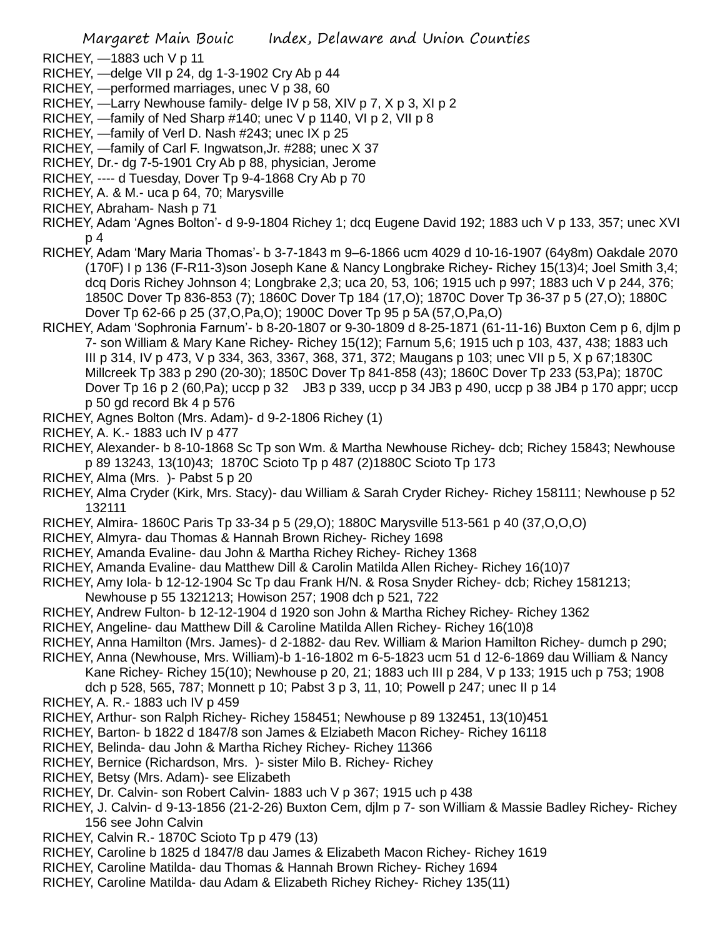- RICHEY, —1883 uch V p 11
- RICHEY, —delge VII p 24, dg 1-3-1902 Cry Ab p 44
- RICHEY, —performed marriages, unec V p 38, 60
- RICHEY, —Larry Newhouse family- delge IV p 58, XIV p 7, X p 3, XI p 2
- RICHEY, —family of Ned Sharp #140; unec V p 1140, VI p 2, VII p 8
- RICHEY, —family of Verl D. Nash #243; unec IX p 25
- RICHEY, —family of Carl F. Ingwatson,Jr. #288; unec X 37
- RICHEY, Dr.- dg 7-5-1901 Cry Ab p 88, physician, Jerome
- RICHEY, ---- d Tuesday, Dover Tp 9-4-1868 Cry Ab p 70
- RICHEY, A. & M.- uca p 64, 70; Marysville
- RICHEY, Abraham- Nash p 71
- RICHEY, Adam 'Agnes Bolton'- d 9-9-1804 Richey 1; dcq Eugene David 192; 1883 uch V p 133, 357; unec XVI p 4
- RICHEY, Adam 'Mary Maria Thomas'- b 3-7-1843 m 9–6-1866 ucm 4029 d 10-16-1907 (64y8m) Oakdale 2070 (170F) I p 136 (F-R11-3)son Joseph Kane & Nancy Longbrake Richey- Richey 15(13)4; Joel Smith 3,4; dcq Doris Richey Johnson 4; Longbrake 2,3; uca 20, 53, 106; 1915 uch p 997; 1883 uch V p 244, 376; 1850C Dover Tp 836-853 (7); 1860C Dover Tp 184 (17,O); 1870C Dover Tp 36-37 p 5 (27,O); 1880C Dover Tp 62-66 p 25 (37,O,Pa,O); 1900C Dover Tp 95 p 5A (57,O,Pa,O)
- RICHEY, Adam 'Sophronia Farnum'- b 8-20-1807 or 9-30-1809 d 8-25-1871 (61-11-16) Buxton Cem p 6, djlm p 7- son William & Mary Kane Richey- Richey 15(12); Farnum 5,6; 1915 uch p 103, 437, 438; 1883 uch III p 314, IV p 473, V p 334, 363, 3367, 368, 371, 372; Maugans p 103; unec VII p 5, X p 67;1830C Millcreek Tp 383 p 290 (20-30); 1850C Dover Tp 841-858 (43); 1860C Dover Tp 233 (53,Pa); 1870C Dover Tp 16 p 2 (60,Pa); uccp p 32 JB3 p 339, uccp p 34 JB3 p 490, uccp p 38 JB4 p 170 appr; uccp p 50 gd record Bk 4 p 576
- RICHEY, Agnes Bolton (Mrs. Adam)- d 9-2-1806 Richey (1)
- RICHEY, A. K.- 1883 uch IV p 477
- RICHEY, Alexander- b 8-10-1868 Sc Tp son Wm. & Martha Newhouse Richey- dcb; Richey 15843; Newhouse p 89 13243, 13(10)43; 1870C Scioto Tp p 487 (2)1880C Scioto Tp 173
- RICHEY, Alma (Mrs. )- Pabst 5 p 20
- RICHEY, Alma Cryder (Kirk, Mrs. Stacy)- dau William & Sarah Cryder Richey- Richey 158111; Newhouse p 52 132111
- RICHEY, Almira- 1860C Paris Tp 33-34 p 5 (29,O); 1880C Marysville 513-561 p 40 (37,O,O,O)
- RICHEY, Almyra- dau Thomas & Hannah Brown Richey- Richey 1698
- RICHEY, Amanda Evaline- dau John & Martha Richey Richey- Richey 1368
- RICHEY, Amanda Evaline- dau Matthew Dill & Carolin Matilda Allen Richey- Richey 16(10)7
- RICHEY, Amy Iola- b 12-12-1904 Sc Tp dau Frank H/N. & Rosa Snyder Richey- dcb; Richey 1581213;
	- Newhouse p 55 1321213; Howison 257; 1908 dch p 521, 722
- RICHEY, Andrew Fulton- b 12-12-1904 d 1920 son John & Martha Richey Richey- Richey 1362
- RICHEY, Angeline- dau Matthew Dill & Caroline Matilda Allen Richey- Richey 16(10)8
- RICHEY, Anna Hamilton (Mrs. James)- d 2-1882- dau Rev. William & Marion Hamilton Richey- dumch p 290;
- RICHEY, Anna (Newhouse, Mrs. William)-b 1-16-1802 m 6-5-1823 ucm 51 d 12-6-1869 dau William & Nancy Kane Richey- Richey 15(10); Newhouse p 20, 21; 1883 uch III p 284, V p 133; 1915 uch p 753; 1908 dch p 528, 565, 787; Monnett p 10; Pabst 3 p 3, 11, 10; Powell p 247; unec II p 14
- RICHEY, A. R.- 1883 uch IV p 459
- RICHEY, Arthur- son Ralph Richey- Richey 158451; Newhouse p 89 132451, 13(10)451
- RICHEY, Barton- b 1822 d 1847/8 son James & Elziabeth Macon Richey- Richey 16118
- RICHEY, Belinda- dau John & Martha Richey Richey- Richey 11366
- RICHEY, Bernice (Richardson, Mrs. )- sister Milo B. Richey- Richey
- RICHEY, Betsy (Mrs. Adam)- see Elizabeth
- RICHEY, Dr. Calvin- son Robert Calvin- 1883 uch V p 367; 1915 uch p 438
- RICHEY, J. Calvin- d 9-13-1856 (21-2-26) Buxton Cem, djlm p 7- son William & Massie Badley Richey- Richey 156 see John Calvin
- RICHEY, Calvin R.- 1870C Scioto Tp p 479 (13)
- RICHEY, Caroline b 1825 d 1847/8 dau James & Elizabeth Macon Richey- Richey 1619
- RICHEY, Caroline Matilda- dau Thomas & Hannah Brown Richey- Richey 1694
- RICHEY, Caroline Matilda- dau Adam & Elizabeth Richey Richey- Richey 135(11)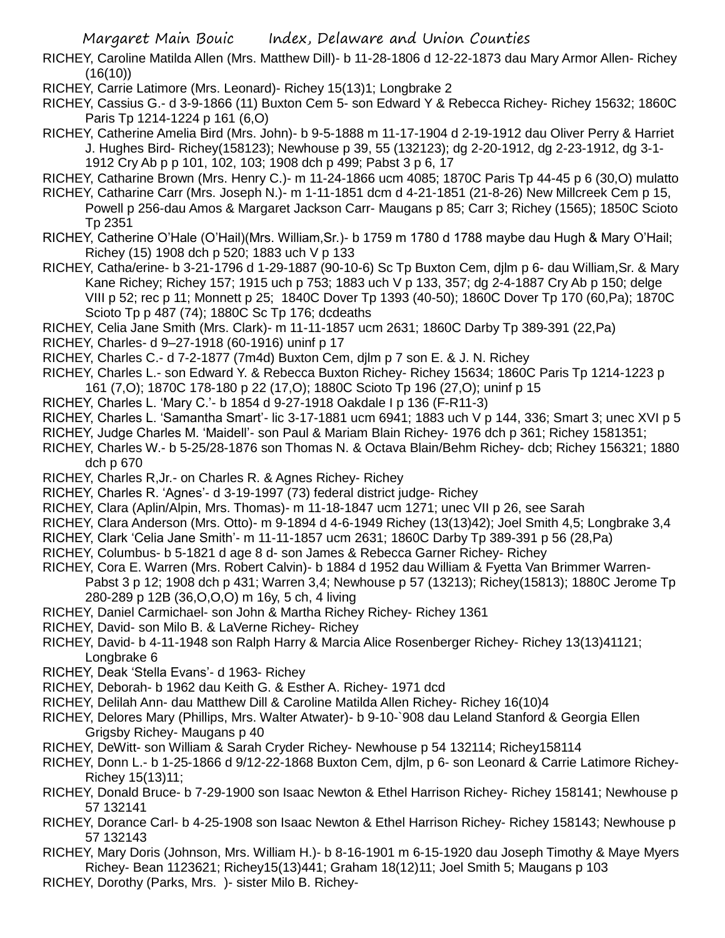RICHEY, Caroline Matilda Allen (Mrs. Matthew Dill)- b 11-28-1806 d 12-22-1873 dau Mary Armor Allen- Richey  $(16(10))$ 

RICHEY, Carrie Latimore (Mrs. Leonard)- Richey 15(13)1; Longbrake 2

RICHEY, Cassius G.- d 3-9-1866 (11) Buxton Cem 5- son Edward Y & Rebecca Richey- Richey 15632; 1860C Paris Tp 1214-1224 p 161 (6,O)

RICHEY, Catherine Amelia Bird (Mrs. John)- b 9-5-1888 m 11-17-1904 d 2-19-1912 dau Oliver Perry & Harriet J. Hughes Bird- Richey(158123); Newhouse p 39, 55 (132123); dg 2-20-1912, dg 2-23-1912, dg 3-1- 1912 Cry Ab p p 101, 102, 103; 1908 dch p 499; Pabst 3 p 6, 17

RICHEY, Catharine Brown (Mrs. Henry C.)- m 11-24-1866 ucm 4085; 1870C Paris Tp 44-45 p 6 (30,O) mulatto

- RICHEY, Catharine Carr (Mrs. Joseph N.)- m 1-11-1851 dcm d 4-21-1851 (21-8-26) New Millcreek Cem p 15, Powell p 256-dau Amos & Margaret Jackson Carr- Maugans p 85; Carr 3; Richey (1565); 1850C Scioto Tp 2351
- RICHEY, Catherine O'Hale (O'Hail)(Mrs. William,Sr.)- b 1759 m 1780 d 1788 maybe dau Hugh & Mary O'Hail; Richey (15) 1908 dch p 520; 1883 uch V p 133
- RICHEY, Catha/erine- b 3-21-1796 d 1-29-1887 (90-10-6) Sc Tp Buxton Cem, djlm p 6- dau William,Sr. & Mary Kane Richey; Richey 157; 1915 uch p 753; 1883 uch V p 133, 357; dg 2-4-1887 Cry Ab p 150; delge VIII p 52; rec p 11; Monnett p 25; 1840C Dover Tp 1393 (40-50); 1860C Dover Tp 170 (60,Pa); 1870C Scioto Tp p 487 (74); 1880C Sc Tp 176; dcdeaths
- RICHEY, Celia Jane Smith (Mrs. Clark)- m 11-11-1857 ucm 2631; 1860C Darby Tp 389-391 (22,Pa)
- RICHEY, Charles- d 9–27-1918 (60-1916) uninf p 17

RICHEY, Charles C.- d 7-2-1877 (7m4d) Buxton Cem, djlm p 7 son E. & J. N. Richey

- RICHEY, Charles L.- son Edward Y. & Rebecca Buxton Richey- Richey 15634; 1860C Paris Tp 1214-1223 p 161 (7,O); 1870C 178-180 p 22 (17,O); 1880C Scioto Tp 196 (27,O); uninf p 15
- RICHEY, Charles L. 'Mary C.'- b 1854 d 9-27-1918 Oakdale I p 136 (F-R11-3)

RICHEY, Charles L. 'Samantha Smart'- lic 3-17-1881 ucm 6941; 1883 uch V p 144, 336; Smart 3; unec XVI p 5

- RICHEY, Judge Charles M. 'Maidell'- son Paul & Mariam Blain Richey- 1976 dch p 361; Richey 1581351;
- RICHEY, Charles W.- b 5-25/28-1876 son Thomas N. & Octava Blain/Behm Richey- dcb; Richey 156321; 1880 dch p 670
- RICHEY, Charles R,Jr.- on Charles R. & Agnes Richey- Richey

RICHEY, Charles R. 'Agnes'- d 3-19-1997 (73) federal district judge- Richey

- RICHEY, Clara (Aplin/Alpin, Mrs. Thomas)- m 11-18-1847 ucm 1271; unec VII p 26, see Sarah
- RICHEY, Clara Anderson (Mrs. Otto)- m 9-1894 d 4-6-1949 Richey (13(13)42); Joel Smith 4,5; Longbrake 3,4
- RICHEY, Clark 'Celia Jane Smith'- m 11-11-1857 ucm 2631; 1860C Darby Tp 389-391 p 56 (28,Pa)
- RICHEY, Columbus- b 5-1821 d age 8 d- son James & Rebecca Garner Richey- Richey
- RICHEY, Cora E. Warren (Mrs. Robert Calvin)- b 1884 d 1952 dau William & Fyetta Van Brimmer Warren-Pabst 3 p 12; 1908 dch p 431; Warren 3,4; Newhouse p 57 (13213); Richey(15813); 1880C Jerome Tp 280-289 p 12B (36,O,O,O) m 16y, 5 ch, 4 living
- RICHEY, Daniel Carmichael- son John & Martha Richey Richey- Richey 1361
- RICHEY, David- son Milo B. & LaVerne Richey- Richey

RICHEY, David- b 4-11-1948 son Ralph Harry & Marcia Alice Rosenberger Richey- Richey 13(13)41121; Longbrake 6

- RICHEY, Deak 'Stella Evans'- d 1963- Richey
- RICHEY, Deborah- b 1962 dau Keith G. & Esther A. Richey- 1971 dcd
- RICHEY, Delilah Ann- dau Matthew Dill & Caroline Matilda Allen Richey- Richey 16(10)4
- RICHEY, Delores Mary (Phillips, Mrs. Walter Atwater)- b 9-10-`908 dau Leland Stanford & Georgia Ellen Grigsby Richey- Maugans p 40
- RICHEY, DeWitt- son William & Sarah Cryder Richey- Newhouse p 54 132114; Richey158114
- RICHEY, Donn L.- b 1-25-1866 d 9/12-22-1868 Buxton Cem, djlm, p 6- son Leonard & Carrie Latimore Richey-Richey 15(13)11;
- RICHEY, Donald Bruce- b 7-29-1900 son Isaac Newton & Ethel Harrison Richey- Richey 158141; Newhouse p 57 132141
- RICHEY, Dorance Carl- b 4-25-1908 son Isaac Newton & Ethel Harrison Richey- Richey 158143; Newhouse p 57 132143
- RICHEY, Mary Doris (Johnson, Mrs. William H.)- b 8-16-1901 m 6-15-1920 dau Joseph Timothy & Maye Myers Richey- Bean 1123621; Richey15(13)441; Graham 18(12)11; Joel Smith 5; Maugans p 103
- RICHEY, Dorothy (Parks, Mrs. )- sister Milo B. Richey-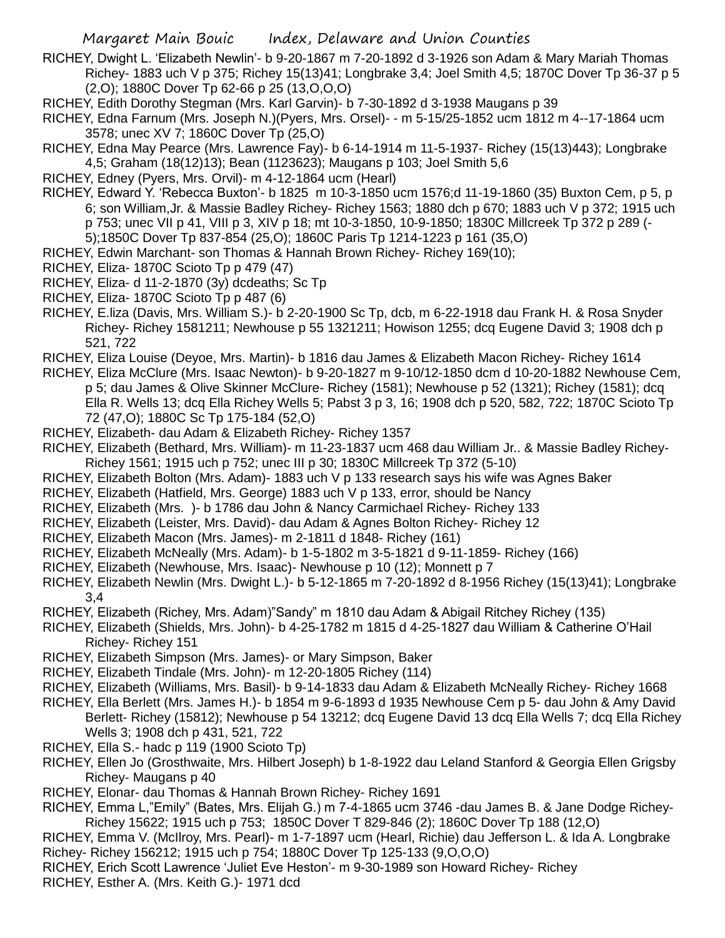- RICHEY, Dwight L. 'Elizabeth Newlin'- b 9-20-1867 m 7-20-1892 d 3-1926 son Adam & Mary Mariah Thomas Richey- 1883 uch V p 375; Richey 15(13)41; Longbrake 3,4; Joel Smith 4,5; 1870C Dover Tp 36-37 p 5 (2,O); 1880C Dover Tp 62-66 p 25 (13,O,O,O)
- RICHEY, Edith Dorothy Stegman (Mrs. Karl Garvin)- b 7-30-1892 d 3-1938 Maugans p 39
- RICHEY, Edna Farnum (Mrs. Joseph N.)(Pyers, Mrs. Orsel)- m 5-15/25-1852 ucm 1812 m 4--17-1864 ucm 3578; unec XV 7; 1860C Dover Tp (25,O)
- RICHEY, Edna May Pearce (Mrs. Lawrence Fay)- b 6-14-1914 m 11-5-1937- Richey (15(13)443); Longbrake 4,5; Graham (18(12)13); Bean (1123623); Maugans p 103; Joel Smith 5,6
- RICHEY, Edney (Pyers, Mrs. Orvil)- m 4-12-1864 ucm (Hearl)
- RICHEY, Edward Y. 'Rebecca Buxton'- b 1825 m 10-3-1850 ucm 1576;d 11-19-1860 (35) Buxton Cem, p 5, p 6; son William,Jr. & Massie Badley Richey- Richey 1563; 1880 dch p 670; 1883 uch V p 372; 1915 uch p 753; unec VII p 41, VIII p 3, XIV p 18; mt 10-3-1850, 10-9-1850; 1830C Millcreek Tp 372 p 289 (- 5);1850C Dover Tp 837-854 (25,O); 1860C Paris Tp 1214-1223 p 161 (35,O)
- RICHEY, Edwin Marchant- son Thomas & Hannah Brown Richey- Richey 169(10);
- RICHEY, Eliza- 1870C Scioto Tp p 479 (47)
- RICHEY, Eliza- d 11-2-1870 (3y) dcdeaths; Sc Tp
- RICHEY, Eliza- 1870C Scioto Tp p 487 (6)
- RICHEY, E.liza (Davis, Mrs. William S.)- b 2-20-1900 Sc Tp, dcb, m 6-22-1918 dau Frank H. & Rosa Snyder Richey- Richey 1581211; Newhouse p 55 1321211; Howison 1255; dcq Eugene David 3; 1908 dch p 521, 722
- RICHEY, Eliza Louise (Deyoe, Mrs. Martin)- b 1816 dau James & Elizabeth Macon Richey- Richey 1614
- RICHEY, Eliza McClure (Mrs. Isaac Newton)- b 9-20-1827 m 9-10/12-1850 dcm d 10-20-1882 Newhouse Cem, p 5; dau James & Olive Skinner McClure- Richey (1581); Newhouse p 52 (1321); Richey (1581); dcq Ella R. Wells 13; dcq Ella Richey Wells 5; Pabst 3 p 3, 16; 1908 dch p 520, 582, 722; 1870C Scioto Tp 72 (47,O); 1880C Sc Tp 175-184 (52,O)
- RICHEY, Elizabeth- dau Adam & Elizabeth Richey- Richey 1357
- RICHEY, Elizabeth (Bethard, Mrs. William)- m 11-23-1837 ucm 468 dau William Jr.. & Massie Badley Richey-Richey 1561; 1915 uch p 752; unec III p 30; 1830C Millcreek Tp 372 (5-10)
- RICHEY, Elizabeth Bolton (Mrs. Adam)- 1883 uch V p 133 research says his wife was Agnes Baker
- RICHEY, Elizabeth (Hatfield, Mrs. George) 1883 uch V p 133, error, should be Nancy
- RICHEY, Elizabeth (Mrs. )- b 1786 dau John & Nancy Carmichael Richey- Richey 133
- RICHEY, Elizabeth (Leister, Mrs. David)- dau Adam & Agnes Bolton Richey- Richey 12
- RICHEY, Elizabeth Macon (Mrs. James)- m 2-1811 d 1848- Richey (161)
- RICHEY, Elizabeth McNeally (Mrs. Adam)- b 1-5-1802 m 3-5-1821 d 9-11-1859- Richey (166)
- RICHEY, Elizabeth (Newhouse, Mrs. Isaac)- Newhouse p 10 (12); Monnett p 7
- RICHEY, Elizabeth Newlin (Mrs. Dwight L.)- b 5-12-1865 m 7-20-1892 d 8-1956 Richey (15(13)41); Longbrake 3,4
- RICHEY, Elizabeth (Richey, Mrs. Adam)"Sandy" m 1810 dau Adam & Abigail Ritchey Richey (135)
- RICHEY, Elizabeth (Shields, Mrs. John)- b 4-25-1782 m 1815 d 4-25-1827 dau William & Catherine O'Hail Richey- Richey 151
- RICHEY, Elizabeth Simpson (Mrs. James)- or Mary Simpson, Baker
- RICHEY, Elizabeth Tindale (Mrs. John)- m 12-20-1805 Richey (114)
- RICHEY, Elizabeth (Williams, Mrs. Basil)- b 9-14-1833 dau Adam & Elizabeth McNeally Richey- Richey 1668
- RICHEY, Ella Berlett (Mrs. James H.)- b 1854 m 9-6-1893 d 1935 Newhouse Cem p 5- dau John & Amy David Berlett- Richey (15812); Newhouse p 54 13212; dcq Eugene David 13 dcq Ella Wells 7; dcq Ella Richey Wells 3; 1908 dch p 431, 521, 722
- RICHEY, Ella S.- hadc p 119 (1900 Scioto Tp)
- RICHEY, Ellen Jo (Grosthwaite, Mrs. Hilbert Joseph) b 1-8-1922 dau Leland Stanford & Georgia Ellen Grigsby Richey- Maugans p 40
- RICHEY, Elonar- dau Thomas & Hannah Brown Richey- Richey 1691
- RICHEY, Emma L,"Emily" (Bates, Mrs. Elijah G.) m 7-4-1865 ucm 3746 -dau James B. & Jane Dodge Richey-Richey 15622; 1915 uch p 753; 1850C Dover T 829-846 (2); 1860C Dover Tp 188 (12,O)
- RICHEY, Emma V. (McIlroy, Mrs. Pearl)- m 1-7-1897 ucm (Hearl, Richie) dau Jefferson L. & Ida A. Longbrake Richey- Richey 156212; 1915 uch p 754; 1880C Dover Tp 125-133 (9,O,O,O)
- RICHEY, Erich Scott Lawrence 'Juliet Eve Heston'- m 9-30-1989 son Howard Richey- Richey
- RICHEY, Esther A. (Mrs. Keith G.)- 1971 dcd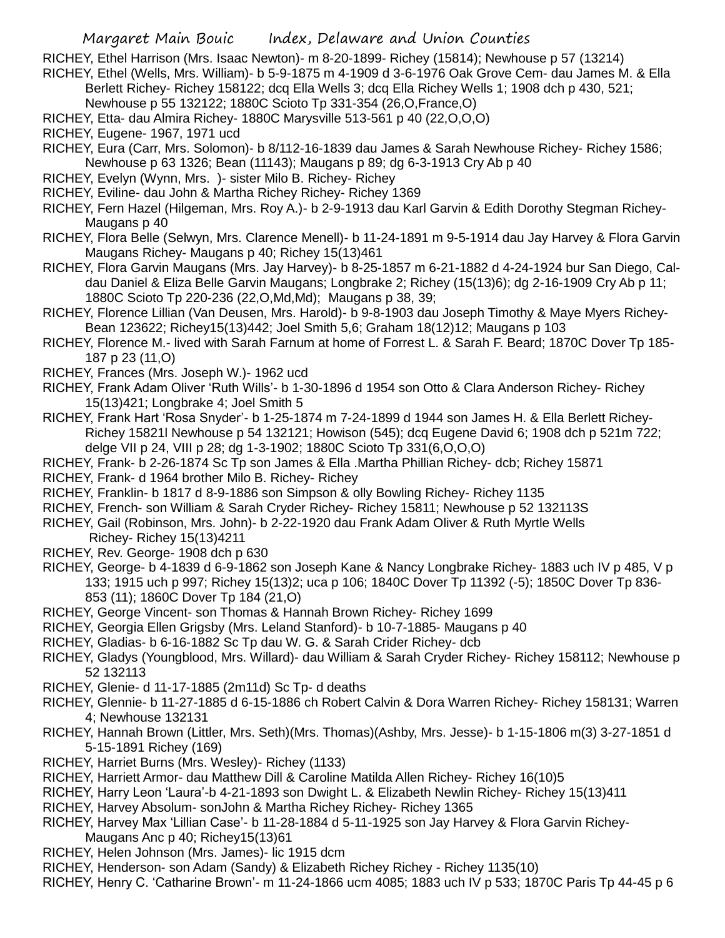RICHEY, Ethel Harrison (Mrs. Isaac Newton)- m 8-20-1899- Richey (15814); Newhouse p 57 (13214)

- RICHEY, Ethel (Wells, Mrs. William)- b 5-9-1875 m 4-1909 d 3-6-1976 Oak Grove Cem- dau James M. & Ella Berlett Richey- Richey 158122; dcq Ella Wells 3; dcq Ella Richey Wells 1; 1908 dch p 430, 521; Newhouse p 55 132122; 1880C Scioto Tp 331-354 (26,O,France,O)
- RICHEY, Etta- dau Almira Richey- 1880C Marysville 513-561 p 40 (22,O,O,O)
- RICHEY, Eugene- 1967, 1971 ucd
- RICHEY, Eura (Carr, Mrs. Solomon)- b 8/112-16-1839 dau James & Sarah Newhouse Richey- Richey 1586; Newhouse p 63 1326; Bean (11143); Maugans p 89; dg 6-3-1913 Cry Ab p 40
- RICHEY, Evelyn (Wynn, Mrs. )- sister Milo B. Richey- Richey
- RICHEY, Eviline- dau John & Martha Richey Richey- Richey 1369
- RICHEY, Fern Hazel (Hilgeman, Mrs. Roy A.)- b 2-9-1913 dau Karl Garvin & Edith Dorothy Stegman Richey-Maugans p 40
- RICHEY, Flora Belle (Selwyn, Mrs. Clarence Menell)- b 11-24-1891 m 9-5-1914 dau Jay Harvey & Flora Garvin Maugans Richey- Maugans p 40; Richey 15(13)461
- RICHEY, Flora Garvin Maugans (Mrs. Jay Harvey)- b 8-25-1857 m 6-21-1882 d 4-24-1924 bur San Diego, Caldau Daniel & Eliza Belle Garvin Maugans; Longbrake 2; Richey (15(13)6); dg 2-16-1909 Cry Ab p 11; 1880C Scioto Tp 220-236 (22,O,Md,Md); Maugans p 38, 39;
- RICHEY, Florence Lillian (Van Deusen, Mrs. Harold)- b 9-8-1903 dau Joseph Timothy & Maye Myers Richey-Bean 123622; Richey15(13)442; Joel Smith 5,6; Graham 18(12)12; Maugans p 103
- RICHEY, Florence M.- lived with Sarah Farnum at home of Forrest L. & Sarah F. Beard; 1870C Dover Tp 185- 187 p 23 (11,O)
- RICHEY, Frances (Mrs. Joseph W.)- 1962 ucd
- RICHEY, Frank Adam Oliver 'Ruth Wills'- b 1-30-1896 d 1954 son Otto & Clara Anderson Richey- Richey 15(13)421; Longbrake 4; Joel Smith 5
- RICHEY, Frank Hart 'Rosa Snyder'- b 1-25-1874 m 7-24-1899 d 1944 son James H. & Ella Berlett Richey-Richey 15821l Newhouse p 54 132121; Howison (545); dcq Eugene David 6; 1908 dch p 521m 722; delge VII p 24, VIII p 28; dg 1-3-1902; 1880C Scioto Tp 331(6,O,O,O)
- RICHEY, Frank- b 2-26-1874 Sc Tp son James & Ella .Martha Phillian Richey- dcb; Richey 15871
- RICHEY, Frank- d 1964 brother Milo B. Richey- Richey
- RICHEY, Franklin- b 1817 d 8-9-1886 son Simpson & olly Bowling Richey- Richey 1135
- RICHEY, French- son William & Sarah Cryder Richey- Richey 15811; Newhouse p 52 132113S
- RICHEY, Gail (Robinson, Mrs. John)- b 2-22-1920 dau Frank Adam Oliver & Ruth Myrtle Wells Richey- Richey 15(13)4211
- RICHEY, Rev. George- 1908 dch p 630
- RICHEY, George- b 4-1839 d 6-9-1862 son Joseph Kane & Nancy Longbrake Richey- 1883 uch IV p 485, V p 133; 1915 uch p 997; Richey 15(13)2; uca p 106; 1840C Dover Tp 11392 (-5); 1850C Dover Tp 836- 853 (11); 1860C Dover Tp 184 (21,O)
- RICHEY, George Vincent- son Thomas & Hannah Brown Richey- Richey 1699
- RICHEY, Georgia Ellen Grigsby (Mrs. Leland Stanford)- b 10-7-1885- Maugans p 40
- RICHEY, Gladias- b 6-16-1882 Sc Tp dau W. G. & Sarah Crider Richey- dcb
- RICHEY, Gladys (Youngblood, Mrs. Willard)- dau William & Sarah Cryder Richey- Richey 158112; Newhouse p 52 132113
- RICHEY, Glenie- d 11-17-1885 (2m11d) Sc Tp- d deaths
- RICHEY, Glennie- b 11-27-1885 d 6-15-1886 ch Robert Calvin & Dora Warren Richey- Richey 158131; Warren 4; Newhouse 132131
- RICHEY, Hannah Brown (Littler, Mrs. Seth)(Mrs. Thomas)(Ashby, Mrs. Jesse)- b 1-15-1806 m(3) 3-27-1851 d 5-15-1891 Richey (169)
- RICHEY, Harriet Burns (Mrs. Wesley)- Richey (1133)
- RICHEY, Harriett Armor- dau Matthew Dill & Caroline Matilda Allen Richey- Richey 16(10)5
- RICHEY, Harry Leon 'Laura'-b 4-21-1893 son Dwight L. & Elizabeth Newlin Richey- Richey 15(13)411
- RICHEY, Harvey Absolum- sonJohn & Martha Richey Richey- Richey 1365
- RICHEY, Harvey Max 'Lillian Case'- b 11-28-1884 d 5-11-1925 son Jay Harvey & Flora Garvin Richey-Maugans Anc p 40; Richey15(13)61
- RICHEY, Helen Johnson (Mrs. James)- lic 1915 dcm
- RICHEY, Henderson- son Adam (Sandy) & Elizabeth Richey Richey Richey 1135(10)
- RICHEY, Henry C. 'Catharine Brown'- m 11-24-1866 ucm 4085; 1883 uch IV p 533; 1870C Paris Tp 44-45 p 6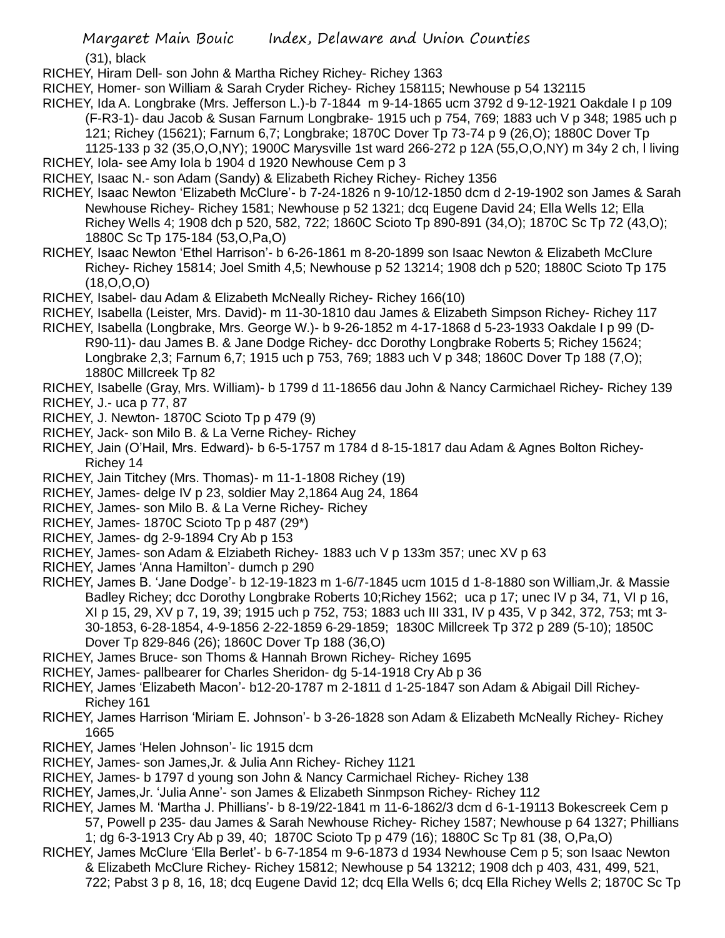(31), black

- RICHEY, Hiram Dell- son John & Martha Richey Richey- Richey 1363
- RICHEY, Homer- son William & Sarah Cryder Richey- Richey 158115; Newhouse p 54 132115
- RICHEY, Ida A. Longbrake (Mrs. Jefferson L.)-b 7-1844 m 9-14-1865 ucm 3792 d 9-12-1921 Oakdale I p 109 (F-R3-1)- dau Jacob & Susan Farnum Longbrake- 1915 uch p 754, 769; 1883 uch V p 348; 1985 uch p 121; Richey (15621); Farnum 6,7; Longbrake; 1870C Dover Tp 73-74 p 9 (26,O); 1880C Dover Tp 1125-133 p 32 (35,O,O,NY); 1900C Marysville 1st ward 266-272 p 12A (55,O,O,NY) m 34y 2 ch, l living
- RICHEY, Iola- see Amy Iola b 1904 d 1920 Newhouse Cem p 3
- RICHEY, Isaac N.- son Adam (Sandy) & Elizabeth Richey Richey- Richey 1356
- RICHEY, Isaac Newton 'Elizabeth McClure'- b 7-24-1826 n 9-10/12-1850 dcm d 2-19-1902 son James & Sarah Newhouse Richey- Richey 1581; Newhouse p 52 1321; dcq Eugene David 24; Ella Wells 12; Ella Richey Wells 4; 1908 dch p 520, 582, 722; 1860C Scioto Tp 890-891 (34,O); 1870C Sc Tp 72 (43,O); 1880C Sc Tp 175-184 (53,O,Pa,O)
- RICHEY, Isaac Newton 'Ethel Harrison'- b 6-26-1861 m 8-20-1899 son Isaac Newton & Elizabeth McClure Richey- Richey 15814; Joel Smith 4,5; Newhouse p 52 13214; 1908 dch p 520; 1880C Scioto Tp 175 (18,O,O,O)
- RICHEY, Isabel- dau Adam & Elizabeth McNeally Richey- Richey 166(10)
- RICHEY, Isabella (Leister, Mrs. David)- m 11-30-1810 dau James & Elizabeth Simpson Richey- Richey 117
- RICHEY, Isabella (Longbrake, Mrs. George W.)- b 9-26-1852 m 4-17-1868 d 5-23-1933 Oakdale I p 99 (D-R90-11)- dau James B. & Jane Dodge Richey- dcc Dorothy Longbrake Roberts 5; Richey 15624; Longbrake 2,3; Farnum 6,7; 1915 uch p 753, 769; 1883 uch V p 348; 1860C Dover Tp 188 (7,O); 1880C Millcreek Tp 82
- RICHEY, Isabelle (Gray, Mrs. William)- b 1799 d 11-18656 dau John & Nancy Carmichael Richey- Richey 139
- RICHEY, J.- uca p 77, 87
- RICHEY, J. Newton- 1870C Scioto Tp p 479 (9)
- RICHEY, Jack- son Milo B. & La Verne Richey- Richey
- RICHEY, Jain (O'Hail, Mrs. Edward)- b 6-5-1757 m 1784 d 8-15-1817 dau Adam & Agnes Bolton Richey-Richey 14
- RICHEY, Jain Titchey (Mrs. Thomas)- m 11-1-1808 Richey (19)
- RICHEY, James- delge IV p 23, soldier May 2,1864 Aug 24, 1864
- RICHEY, James- son Milo B. & La Verne Richey- Richey
- RICHEY, James- 1870C Scioto Tp p 487 (29\*)
- RICHEY, James- dg 2-9-1894 Cry Ab p 153
- RICHEY, James- son Adam & Elziabeth Richey- 1883 uch V p 133m 357; unec XV p 63
- RICHEY, James 'Anna Hamilton'- dumch p 290
- RICHEY, James B. 'Jane Dodge'- b 12-19-1823 m 1-6/7-1845 ucm 1015 d 1-8-1880 son William,Jr. & Massie Badley Richey; dcc Dorothy Longbrake Roberts 10; Richey 1562; uca p 17; unec IV p 34, 71, VI p 16, XI p 15, 29, XV p 7, 19, 39; 1915 uch p 752, 753; 1883 uch III 331, IV p 435, V p 342, 372, 753; mt 3- 30-1853, 6-28-1854, 4-9-1856 2-22-1859 6-29-1859; 1830C Millcreek Tp 372 p 289 (5-10); 1850C Dover Tp 829-846 (26); 1860C Dover Tp 188 (36,O)
- RICHEY, James Bruce- son Thoms & Hannah Brown Richey- Richey 1695
- RICHEY, James- pallbearer for Charles Sheridon- dg 5-14-1918 Cry Ab p 36
- RICHEY, James 'Elizabeth Macon'- b12-20-1787 m 2-1811 d 1-25-1847 son Adam & Abigail Dill Richey-Richey 161
- RICHEY, James Harrison 'Miriam E. Johnson'- b 3-26-1828 son Adam & Elizabeth McNeally Richey- Richey 1665
- RICHEY, James 'Helen Johnson'- lic 1915 dcm
- RICHEY, James- son James,Jr. & Julia Ann Richey- Richey 1121
- RICHEY, James- b 1797 d young son John & Nancy Carmichael Richey- Richey 138
- RICHEY, James,Jr. 'Julia Anne'- son James & Elizabeth Sinmpson Richey- Richey 112
- RICHEY, James M. 'Martha J. Phillians'- b 8-19/22-1841 m 11-6-1862/3 dcm d 6-1-19113 Bokescreek Cem p 57, Powell p 235- dau James & Sarah Newhouse Richey- Richey 1587; Newhouse p 64 1327; Phillians 1; dg 6-3-1913 Cry Ab p 39, 40; 1870C Scioto Tp p 479 (16); 1880C Sc Tp 81 (38, O,Pa,O)
- RICHEY, James McClure 'Ella Berlet'- b 6-7-1854 m 9-6-1873 d 1934 Newhouse Cem p 5; son Isaac Newton & Elizabeth McClure Richey- Richey 15812; Newhouse p 54 13212; 1908 dch p 403, 431, 499, 521, 722; Pabst 3 p 8, 16, 18; dcq Eugene David 12; dcq Ella Wells 6; dcq Ella Richey Wells 2; 1870C Sc Tp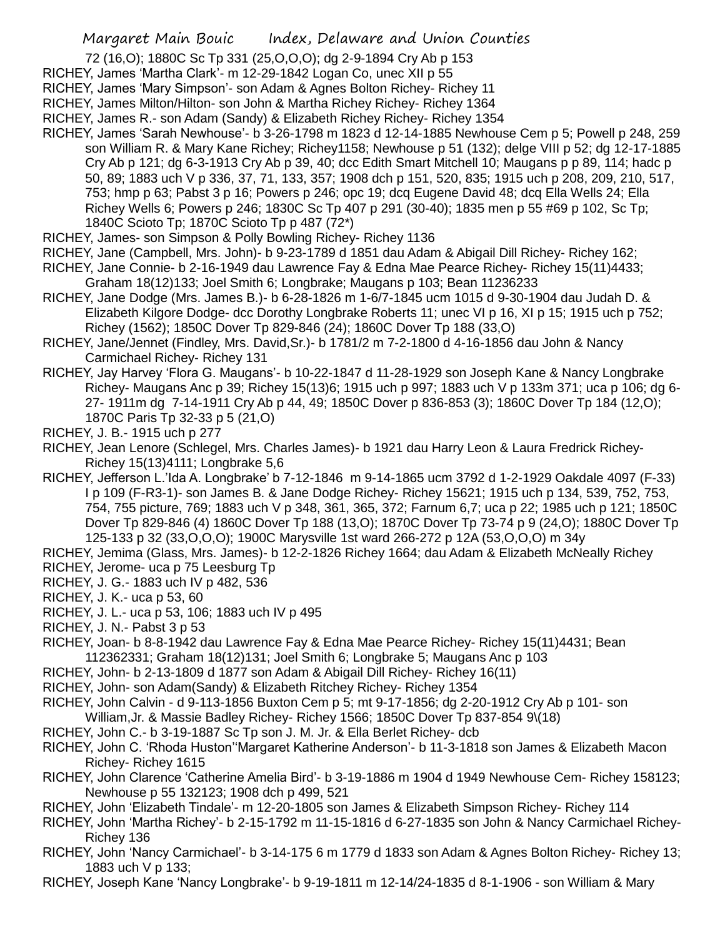72 (16,O); 1880C Sc Tp 331 (25,O,O,O); dg 2-9-1894 Cry Ab p 153

- RICHEY, James 'Martha Clark'- m 12-29-1842 Logan Co, unec XII p 55
- RICHEY, James 'Mary Simpson'- son Adam & Agnes Bolton Richey- Richey 11
- RICHEY, James Milton/Hilton- son John & Martha Richey Richey- Richey 1364
- RICHEY, James R.- son Adam (Sandy) & Elizabeth Richey Richey- Richey 1354
- RICHEY, James 'Sarah Newhouse'- b 3-26-1798 m 1823 d 12-14-1885 Newhouse Cem p 5; Powell p 248, 259 son William R. & Mary Kane Richey; Richey1158; Newhouse p 51 (132); delge VIII p 52; dg 12-17-1885 Cry Ab p 121; dg 6-3-1913 Cry Ab p 39, 40; dcc Edith Smart Mitchell 10; Maugans p p 89, 114; hadc p 50, 89; 1883 uch V p 336, 37, 71, 133, 357; 1908 dch p 151, 520, 835; 1915 uch p 208, 209, 210, 517, 753; hmp p 63; Pabst 3 p 16; Powers p 246; opc 19; dcq Eugene David 48; dcq Ella Wells 24; Ella Richey Wells 6; Powers p 246; 1830C Sc Tp 407 p 291 (30-40); 1835 men p 55 #69 p 102, Sc Tp; 1840C Scioto Tp; 1870C Scioto Tp p 487 (72\*)
- RICHEY, James- son Simpson & Polly Bowling Richey- Richey 1136
- RICHEY, Jane (Campbell, Mrs. John)- b 9-23-1789 d 1851 dau Adam & Abigail Dill Richey- Richey 162;
- RICHEY, Jane Connie- b 2-16-1949 dau Lawrence Fay & Edna Mae Pearce Richey- Richey 15(11)4433; Graham 18(12)133; Joel Smith 6; Longbrake; Maugans p 103; Bean 11236233
- RICHEY, Jane Dodge (Mrs. James B.)- b 6-28-1826 m 1-6/7-1845 ucm 1015 d 9-30-1904 dau Judah D. & Elizabeth Kilgore Dodge- dcc Dorothy Longbrake Roberts 11; unec VI p 16, XI p 15; 1915 uch p 752; Richey (1562); 1850C Dover Tp 829-846 (24); 1860C Dover Tp 188 (33,O)
- RICHEY, Jane/Jennet (Findley, Mrs. David,Sr.)- b 1781/2 m 7-2-1800 d 4-16-1856 dau John & Nancy Carmichael Richey- Richey 131
- RICHEY, Jay Harvey 'Flora G. Maugans'- b 10-22-1847 d 11-28-1929 son Joseph Kane & Nancy Longbrake Richey- Maugans Anc p 39; Richey 15(13)6; 1915 uch p 997; 1883 uch V p 133m 371; uca p 106; dg 6- 27- 1911m dg 7-14-1911 Cry Ab p 44, 49; 1850C Dover p 836-853 (3); 1860C Dover Tp 184 (12,O); 1870C Paris Tp 32-33 p 5 (21,O)
- RICHEY, J. B.- 1915 uch p 277
- RICHEY, Jean Lenore (Schlegel, Mrs. Charles James)- b 1921 dau Harry Leon & Laura Fredrick Richey-Richey 15(13)4111; Longbrake 5,6
- RICHEY, Jefferson L.'Ida A. Longbrake' b 7-12-1846 m 9-14-1865 ucm 3792 d 1-2-1929 Oakdale 4097 (F-33) I p 109 (F-R3-1)- son James B. & Jane Dodge Richey- Richey 15621; 1915 uch p 134, 539, 752, 753, 754, 755 picture, 769; 1883 uch V p 348, 361, 365, 372; Farnum 6,7; uca p 22; 1985 uch p 121; 1850C Dover Tp 829-846 (4) 1860C Dover Tp 188 (13,O); 1870C Dover Tp 73-74 p 9 (24,O); 1880C Dover Tp 125-133 p 32 (33,O,O,O); 1900C Marysville 1st ward 266-272 p 12A (53,O,O,O) m 34y
- RICHEY, Jemima (Glass, Mrs. James)- b 12-2-1826 Richey 1664; dau Adam & Elizabeth McNeally Richey RICHEY, Jerome- uca p 75 Leesburg Tp
- RICHEY, J. G.- 1883 uch IV p 482, 536
- RICHEY, J. K.- uca p 53, 60
- RICHEY, J. L.- uca p 53, 106; 1883 uch IV p 495
- RICHEY, J. N.- Pabst 3 p 53
- RICHEY, Joan- b 8-8-1942 dau Lawrence Fay & Edna Mae Pearce Richey- Richey 15(11)4431; Bean 112362331; Graham 18(12)131; Joel Smith 6; Longbrake 5; Maugans Anc p 103
- RICHEY, John- b 2-13-1809 d 1877 son Adam & Abigail Dill Richey- Richey 16(11)
- RICHEY, John- son Adam(Sandy) & Elizabeth Ritchey Richey- Richey 1354
- RICHEY, John Calvin d 9-113-1856 Buxton Cem p 5; mt 9-17-1856; dg 2-20-1912 Cry Ab p 101- son
- William,Jr. & Massie Badley Richey- Richey 1566; 1850C Dover Tp 837-854 9\(18)
- RICHEY, John C.- b 3-19-1887 Sc Tp son J. M. Jr. & Ella Berlet Richey- dcb
- RICHEY, John C. 'Rhoda Huston''Margaret Katherine Anderson'- b 11-3-1818 son James & Elizabeth Macon Richey- Richey 1615
- RICHEY, John Clarence 'Catherine Amelia Bird'- b 3-19-1886 m 1904 d 1949 Newhouse Cem- Richey 158123; Newhouse p 55 132123; 1908 dch p 499, 521
- RICHEY, John 'Elizabeth Tindale'- m 12-20-1805 son James & Elizabeth Simpson Richey- Richey 114
- RICHEY, John 'Martha Richey'- b 2-15-1792 m 11-15-1816 d 6-27-1835 son John & Nancy Carmichael Richey-Richey 136
- RICHEY, John 'Nancy Carmichael'- b 3-14-175 6 m 1779 d 1833 son Adam & Agnes Bolton Richey- Richey 13; 1883 uch V p 133;
- RICHEY, Joseph Kane 'Nancy Longbrake'- b 9-19-1811 m 12-14/24-1835 d 8-1-1906 son William & Mary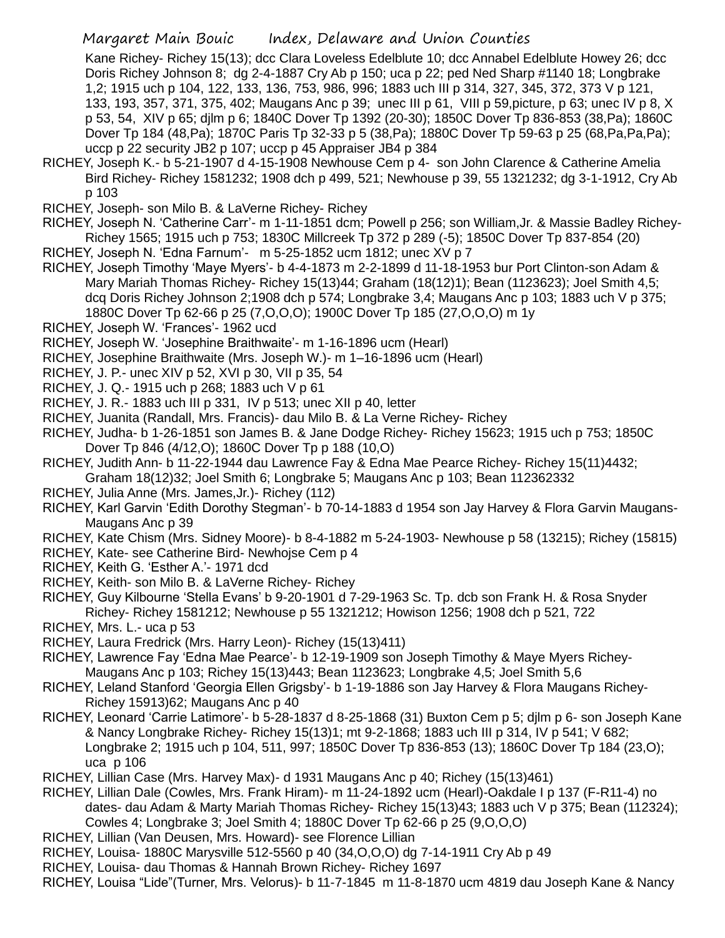Kane Richey- Richey 15(13); dcc Clara Loveless Edelblute 10; dcc Annabel Edelblute Howey 26; dcc Doris Richey Johnson 8; dg 2-4-1887 Cry Ab p 150; uca p 22; ped Ned Sharp #1140 18; Longbrake 1,2; 1915 uch p 104, 122, 133, 136, 753, 986, 996; 1883 uch III p 314, 327, 345, 372, 373 V p 121, 133, 193, 357, 371, 375, 402; Maugans Anc p 39; unec III p 61, VIII p 59,picture, p 63; unec IV p 8, X p 53, 54, XIV p 65; djlm p 6; 1840C Dover Tp 1392 (20-30); 1850C Dover Tp 836-853 (38,Pa); 1860C Dover Tp 184 (48,Pa); 1870C Paris Tp 32-33 p 5 (38,Pa); 1880C Dover Tp 59-63 p 25 (68,Pa,Pa,Pa); uccp p 22 security JB2 p 107; uccp p 45 Appraiser JB4 p 384

- RICHEY, Joseph K.- b 5-21-1907 d 4-15-1908 Newhouse Cem p 4- son John Clarence & Catherine Amelia Bird Richey- Richey 1581232; 1908 dch p 499, 521; Newhouse p 39, 55 1321232; dg 3-1-1912, Cry Ab p 103
- RICHEY, Joseph- son Milo B. & LaVerne Richey- Richey
- RICHEY, Joseph N. 'Catherine Carr'- m 1-11-1851 dcm; Powell p 256; son William,Jr. & Massie Badley Richey-Richey 1565; 1915 uch p 753; 1830C Millcreek Tp 372 p 289 (-5); 1850C Dover Tp 837-854 (20)
- RICHEY, Joseph N. 'Edna Farnum'- m 5-25-1852 ucm 1812; unec XV p 7
- RICHEY, Joseph Timothy 'Maye Myers'- b 4-4-1873 m 2-2-1899 d 11-18-1953 bur Port Clinton-son Adam & Mary Mariah Thomas Richey- Richey 15(13)44; Graham (18(12)1); Bean (1123623); Joel Smith 4,5; dcq Doris Richey Johnson 2;1908 dch p 574; Longbrake 3,4; Maugans Anc p 103; 1883 uch V p 375; 1880C Dover Tp 62-66 p 25 (7,O,O,O); 1900C Dover Tp 185 (27,O,O,O) m 1y
- RICHEY, Joseph W. 'Frances'- 1962 ucd
- RICHEY, Joseph W. 'Josephine Braithwaite'- m 1-16-1896 ucm (Hearl)
- RICHEY, Josephine Braithwaite (Mrs. Joseph W.)- m 1–16-1896 ucm (Hearl)
- RICHEY, J. P.- unec XIV p 52, XVI p 30, VII p 35, 54
- RICHEY, J. Q.- 1915 uch p 268; 1883 uch V p 61
- RICHEY, J. R.- 1883 uch III p 331, IV p 513; unec XII p 40, letter
- RICHEY, Juanita (Randall, Mrs. Francis)- dau Milo B. & La Verne Richey- Richey
- RICHEY, Judha- b 1-26-1851 son James B. & Jane Dodge Richey- Richey 15623; 1915 uch p 753; 1850C Dover Tp 846 (4/12,O); 1860C Dover Tp p 188 (10,O)
- RICHEY, Judith Ann- b 11-22-1944 dau Lawrence Fay & Edna Mae Pearce Richey- Richey 15(11)4432;
	- Graham 18(12)32; Joel Smith 6; Longbrake 5; Maugans Anc p 103; Bean 112362332
- RICHEY, Julia Anne (Mrs. James,Jr.)- Richey (112)
- RICHEY, Karl Garvin 'Edith Dorothy Stegman'- b 70-14-1883 d 1954 son Jay Harvey & Flora Garvin Maugans-Maugans Anc p 39
- RICHEY, Kate Chism (Mrs. Sidney Moore)- b 8-4-1882 m 5-24-1903- Newhouse p 58 (13215); Richey (15815)
- RICHEY, Kate- see Catherine Bird- Newhojse Cem p 4
- RICHEY, Keith G. 'Esther A.'- 1971 dcd
- RICHEY, Keith- son Milo B. & LaVerne Richey- Richey

RICHEY, Guy Kilbourne 'Stella Evans' b 9-20-1901 d 7-29-1963 Sc. Tp. dcb son Frank H. & Rosa Snyder Richey- Richey 1581212; Newhouse p 55 1321212; Howison 1256; 1908 dch p 521, 722

- RICHEY, Mrs. L.- uca p 53
- RICHEY, Laura Fredrick (Mrs. Harry Leon)- Richey (15(13)411)
- RICHEY, Lawrence Fay 'Edna Mae Pearce'- b 12-19-1909 son Joseph Timothy & Maye Myers Richey-Maugans Anc p 103; Richey 15(13)443; Bean 1123623; Longbrake 4,5; Joel Smith 5,6
- RICHEY, Leland Stanford 'Georgia Ellen Grigsby'- b 1-19-1886 son Jay Harvey & Flora Maugans Richey-Richey 15913)62; Maugans Anc p 40
- RICHEY, Leonard 'Carrie Latimore'- b 5-28-1837 d 8-25-1868 (31) Buxton Cem p 5; djlm p 6- son Joseph Kane & Nancy Longbrake Richey- Richey 15(13)1; mt 9-2-1868; 1883 uch III p 314, IV p 541; V 682; Longbrake 2; 1915 uch p 104, 511, 997; 1850C Dover Tp 836-853 (13); 1860C Dover Tp 184 (23,O); uca p 106
- RICHEY, Lillian Case (Mrs. Harvey Max)- d 1931 Maugans Anc p 40; Richey (15(13)461)
- RICHEY, Lillian Dale (Cowles, Mrs. Frank Hiram)- m 11-24-1892 ucm (Hearl)-Oakdale I p 137 (F-R11-4) no dates- dau Adam & Marty Mariah Thomas Richey- Richey 15(13)43; 1883 uch V p 375; Bean (112324); Cowles 4; Longbrake 3; Joel Smith 4; 1880C Dover Tp 62-66 p 25 (9,O,O,O)
- RICHEY, Lillian (Van Deusen, Mrs. Howard)- see Florence Lillian
- RICHEY, Louisa- 1880C Marysville 512-5560 p 40 (34,O,O,O) dg 7-14-1911 Cry Ab p 49
- RICHEY, Louisa- dau Thomas & Hannah Brown Richey- Richey 1697
- RICHEY, Louisa "Lide"(Turner, Mrs. Velorus)- b 11-7-1845 m 11-8-1870 ucm 4819 dau Joseph Kane & Nancy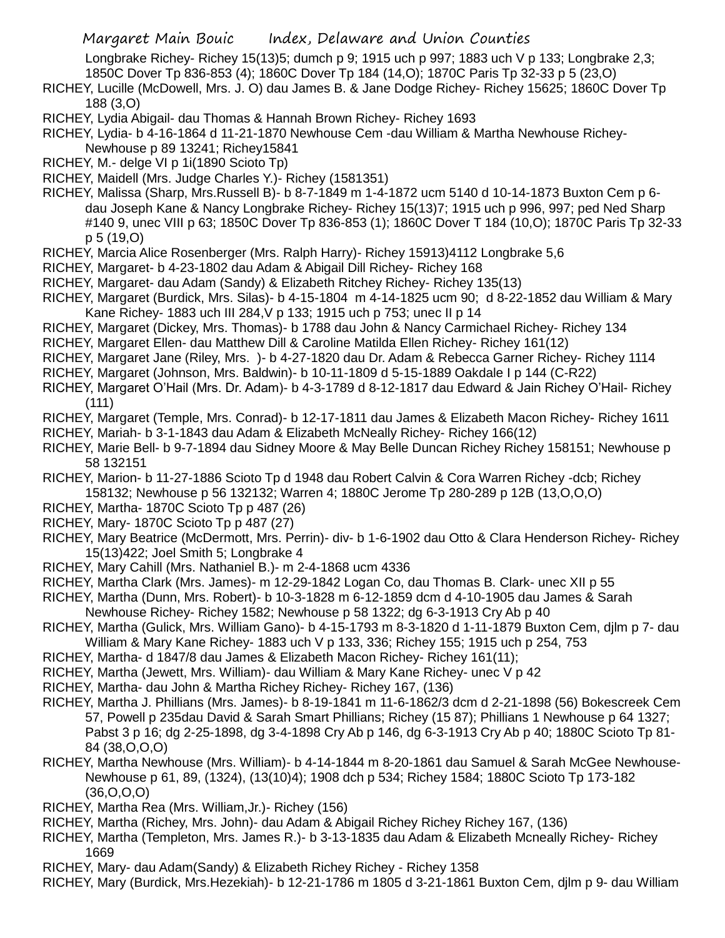Longbrake Richey- Richey 15(13)5; dumch p 9; 1915 uch p 997; 1883 uch V p 133; Longbrake 2,3; 1850C Dover Tp 836-853 (4); 1860C Dover Tp 184 (14,O); 1870C Paris Tp 32-33 p 5 (23,O)

RICHEY, Lucille (McDowell, Mrs. J. O) dau James B. & Jane Dodge Richey- Richey 15625; 1860C Dover Tp 188 (3,O)

RICHEY, Lydia Abigail- dau Thomas & Hannah Brown Richey- Richey 1693

RICHEY, Lydia- b 4-16-1864 d 11-21-1870 Newhouse Cem -dau William & Martha Newhouse Richey-Newhouse p 89 13241; Richey15841

- RICHEY, M.- delge VI p 1i(1890 Scioto Tp)
- RICHEY, Maidell (Mrs. Judge Charles Y.)- Richey (1581351)
- RICHEY, Malissa (Sharp, Mrs.Russell B)- b 8-7-1849 m 1-4-1872 ucm 5140 d 10-14-1873 Buxton Cem p 6 dau Joseph Kane & Nancy Longbrake Richey- Richey 15(13)7; 1915 uch p 996, 997; ped Ned Sharp #140 9, unec VIII p 63; 1850C Dover Tp 836-853 (1); 1860C Dover T 184 (10,O); 1870C Paris Tp 32-33 p 5 (19,O)
- RICHEY, Marcia Alice Rosenberger (Mrs. Ralph Harry)- Richey 15913)4112 Longbrake 5,6
- RICHEY, Margaret- b 4-23-1802 dau Adam & Abigail Dill Richey- Richey 168
- RICHEY, Margaret- dau Adam (Sandy) & Elizabeth Ritchey Richey- Richey 135(13)
- RICHEY, Margaret (Burdick, Mrs. Silas)- b 4-15-1804 m 4-14-1825 ucm 90; d 8-22-1852 dau William & Mary Kane Richey- 1883 uch III 284,V p 133; 1915 uch p 753; unec II p 14
- RICHEY, Margaret (Dickey, Mrs. Thomas)- b 1788 dau John & Nancy Carmichael Richey- Richey 134
- RICHEY, Margaret Ellen- dau Matthew Dill & Caroline Matilda Ellen Richey- Richey 161(12)
- RICHEY, Margaret Jane (Riley, Mrs. )- b 4-27-1820 dau Dr. Adam & Rebecca Garner Richey- Richey 1114
- RICHEY, Margaret (Johnson, Mrs. Baldwin)- b 10-11-1809 d 5-15-1889 Oakdale I p 144 (C-R22)
- RICHEY, Margaret O'Hail (Mrs. Dr. Adam)- b 4-3-1789 d 8-12-1817 dau Edward & Jain Richey O'Hail- Richey (111)
- RICHEY, Margaret (Temple, Mrs. Conrad)- b 12-17-1811 dau James & Elizabeth Macon Richey- Richey 1611
- RICHEY, Mariah- b 3-1-1843 dau Adam & Elizabeth McNeally Richey- Richey 166(12)
- RICHEY, Marie Bell- b 9-7-1894 dau Sidney Moore & May Belle Duncan Richey Richey 158151; Newhouse p 58 132151
- RICHEY, Marion- b 11-27-1886 Scioto Tp d 1948 dau Robert Calvin & Cora Warren Richey -dcb; Richey 158132; Newhouse p 56 132132; Warren 4; 1880C Jerome Tp 280-289 p 12B (13,O,O,O)
- RICHEY, Martha- 1870C Scioto Tp p 487 (26)
- RICHEY, Mary- 1870C Scioto Tp p 487 (27)
- RICHEY, Mary Beatrice (McDermott, Mrs. Perrin)- div- b 1-6-1902 dau Otto & Clara Henderson Richey- Richey 15(13)422; Joel Smith 5; Longbrake 4
- RICHEY, Mary Cahill (Mrs. Nathaniel B.)- m 2-4-1868 ucm 4336
- RICHEY, Martha Clark (Mrs. James)- m 12-29-1842 Logan Co, dau Thomas B. Clark- unec XII p 55
- RICHEY, Martha (Dunn, Mrs. Robert)- b 10-3-1828 m 6-12-1859 dcm d 4-10-1905 dau James & Sarah Newhouse Richey- Richey 1582; Newhouse p 58 1322; dg 6-3-1913 Cry Ab p 40
- RICHEY, Martha (Gulick, Mrs. William Gano)- b 4-15-1793 m 8-3-1820 d 1-11-1879 Buxton Cem, djlm p 7- dau William & Mary Kane Richey- 1883 uch V p 133, 336; Richey 155; 1915 uch p 254, 753
- RICHEY, Martha- d 1847/8 dau James & Elizabeth Macon Richey- Richey 161(11);
- RICHEY, Martha (Jewett, Mrs. William)- dau William & Mary Kane Richey- unec V p 42
- RICHEY, Martha- dau John & Martha Richey Richey- Richey 167, (136)
- RICHEY, Martha J. Phillians (Mrs. James)- b 8-19-1841 m 11-6-1862/3 dcm d 2-21-1898 (56) Bokescreek Cem 57, Powell p 235dau David & Sarah Smart Phillians; Richey (15 87); Phillians 1 Newhouse p 64 1327; Pabst 3 p 16; dg 2-25-1898, dg 3-4-1898 Cry Ab p 146, dg 6-3-1913 Cry Ab p 40; 1880C Scioto Tp 81- 84 (38,O,O,O)
- RICHEY, Martha Newhouse (Mrs. William)- b 4-14-1844 m 8-20-1861 dau Samuel & Sarah McGee Newhouse-Newhouse p 61, 89, (1324), (13(10)4); 1908 dch p 534; Richey 1584; 1880C Scioto Tp 173-182 (36,O,O,O)
- RICHEY, Martha Rea (Mrs. William,Jr.)- Richey (156)
- RICHEY, Martha (Richey, Mrs. John)- dau Adam & Abigail Richey Richey Richey 167, (136)
- RICHEY, Martha (Templeton, Mrs. James R.)- b 3-13-1835 dau Adam & Elizabeth Mcneally Richey- Richey 1669
- RICHEY, Mary- dau Adam(Sandy) & Elizabeth Richey Richey Richey 1358
- RICHEY, Mary (Burdick, Mrs.Hezekiah)- b 12-21-1786 m 1805 d 3-21-1861 Buxton Cem, djlm p 9- dau William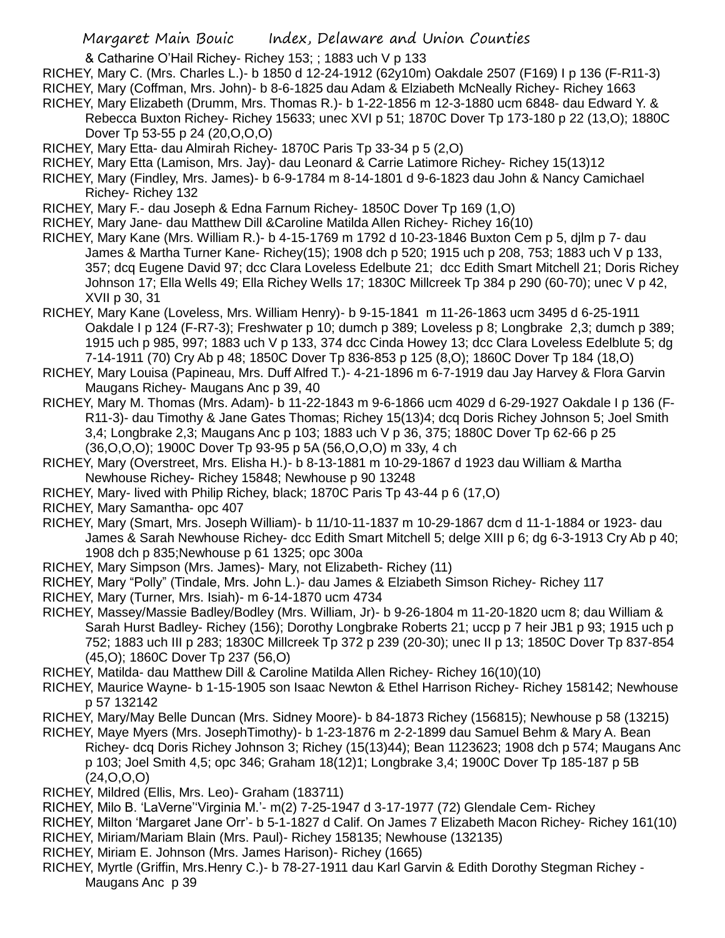& Catharine O'Hail Richey- Richey 153; ; 1883 uch V p 133

- RICHEY, Mary C. (Mrs. Charles L.)- b 1850 d 12-24-1912 (62y10m) Oakdale 2507 (F169) I p 136 (F-R11-3) RICHEY, Mary (Coffman, Mrs. John)- b 8-6-1825 dau Adam & Elziabeth McNeally Richey- Richey 1663
- RICHEY, Mary Elizabeth (Drumm, Mrs. Thomas R.)- b 1-22-1856 m 12-3-1880 ucm 6848- dau Edward Y. & Rebecca Buxton Richey- Richey 15633; unec XVI p 51; 1870C Dover Tp 173-180 p 22 (13,O); 1880C Dover Tp 53-55 p 24 (20,O,O,O)
- RICHEY, Mary Etta- dau Almirah Richey- 1870C Paris Tp 33-34 p 5 (2,O)
- RICHEY, Mary Etta (Lamison, Mrs. Jay)- dau Leonard & Carrie Latimore Richey- Richey 15(13)12
- RICHEY, Mary (Findley, Mrs. James)- b 6-9-1784 m 8-14-1801 d 9-6-1823 dau John & Nancy Camichael Richey- Richey 132
- RICHEY, Mary F.- dau Joseph & Edna Farnum Richey- 1850C Dover Tp 169 (1,O)
- RICHEY, Mary Jane- dau Matthew Dill &Caroline Matilda Allen Richey- Richey 16(10)
- RICHEY, Mary Kane (Mrs. William R.)- b 4-15-1769 m 1792 d 10-23-1846 Buxton Cem p 5, djlm p 7- dau James & Martha Turner Kane- Richey(15); 1908 dch p 520; 1915 uch p 208, 753; 1883 uch V p 133, 357; dcq Eugene David 97; dcc Clara Loveless Edelbute 21; dcc Edith Smart Mitchell 21; Doris Richey Johnson 17; Ella Wells 49; Ella Richey Wells 17; 1830C Millcreek Tp 384 p 290 (60-70); unec V p 42, XVII p 30, 31
- RICHEY, Mary Kane (Loveless, Mrs. William Henry)- b 9-15-1841 m 11-26-1863 ucm 3495 d 6-25-1911 Oakdale I p 124 (F-R7-3); Freshwater p 10; dumch p 389; Loveless p 8; Longbrake 2,3; dumch p 389; 1915 uch p 985, 997; 1883 uch V p 133, 374 dcc Cinda Howey 13; dcc Clara Loveless Edelblute 5; dg 7-14-1911 (70) Cry Ab p 48; 1850C Dover Tp 836-853 p 125 (8,O); 1860C Dover Tp 184 (18,O)
- RICHEY, Mary Louisa (Papineau, Mrs. Duff Alfred T.)- 4-21-1896 m 6-7-1919 dau Jay Harvey & Flora Garvin Maugans Richey- Maugans Anc p 39, 40
- RICHEY, Mary M. Thomas (Mrs. Adam)- b 11-22-1843 m 9-6-1866 ucm 4029 d 6-29-1927 Oakdale I p 136 (F-R11-3)- dau Timothy & Jane Gates Thomas; Richey 15(13)4; dcq Doris Richey Johnson 5; Joel Smith 3,4; Longbrake 2,3; Maugans Anc p 103; 1883 uch V p 36, 375; 1880C Dover Tp 62-66 p 25 (36,O,O,O); 1900C Dover Tp 93-95 p 5A (56,O,O,O) m 33y, 4 ch
- RICHEY, Mary (Overstreet, Mrs. Elisha H.)- b 8-13-1881 m 10-29-1867 d 1923 dau William & Martha Newhouse Richey- Richey 15848; Newhouse p 90 13248
- RICHEY, Mary- lived with Philip Richey, black; 1870C Paris Tp 43-44 p 6 (17,O)
- RICHEY, Mary Samantha- opc 407
- RICHEY, Mary (Smart, Mrs. Joseph William)- b 11/10-11-1837 m 10-29-1867 dcm d 11-1-1884 or 1923- dau James & Sarah Newhouse Richey- dcc Edith Smart Mitchell 5; delge XIII p 6; dg 6-3-1913 Cry Ab p 40; 1908 dch p 835;Newhouse p 61 1325; opc 300a
- RICHEY, Mary Simpson (Mrs. James)- Mary, not Elizabeth- Richey (11)
- RICHEY, Mary "Polly" (Tindale, Mrs. John L.)- dau James & Elziabeth Simson Richey- Richey 117
- RICHEY, Mary (Turner, Mrs. Isiah)- m 6-14-1870 ucm 4734
- RICHEY, Massey/Massie Badley/Bodley (Mrs. William, Jr)- b 9-26-1804 m 11-20-1820 ucm 8; dau William & Sarah Hurst Badley- Richey (156); Dorothy Longbrake Roberts 21; uccp p 7 heir JB1 p 93; 1915 uch p 752; 1883 uch III p 283; 1830C Millcreek Tp 372 p 239 (20-30); unec II p 13; 1850C Dover Tp 837-854 (45,O); 1860C Dover Tp 237 (56,O)
- RICHEY, Matilda- dau Matthew Dill & Caroline Matilda Allen Richey- Richey 16(10)(10)
- RICHEY, Maurice Wayne- b 1-15-1905 son Isaac Newton & Ethel Harrison Richey- Richey 158142; Newhouse p 57 132142
- RICHEY, Mary/May Belle Duncan (Mrs. Sidney Moore)- b 84-1873 Richey (156815); Newhouse p 58 (13215)
- RICHEY, Maye Myers (Mrs. JosephTimothy)- b 1-23-1876 m 2-2-1899 dau Samuel Behm & Mary A. Bean Richey- dcq Doris Richey Johnson 3; Richey (15(13)44); Bean 1123623; 1908 dch p 574; Maugans Anc p 103; Joel Smith 4,5; opc 346; Graham 18(12)1; Longbrake 3,4; 1900C Dover Tp 185-187 p 5B (24,O,O,O)
- RICHEY, Mildred (Ellis, Mrs. Leo)- Graham (183711)
- RICHEY, Milo B. 'LaVerne''Virginia M.'- m(2) 7-25-1947 d 3-17-1977 (72) Glendale Cem- Richey
- RICHEY, Milton 'Margaret Jane Orr'- b 5-1-1827 d Calif. On James 7 Elizabeth Macon Richey- Richey 161(10)
- RICHEY, Miriam/Mariam Blain (Mrs. Paul)- Richey 158135; Newhouse (132135)
- RICHEY, Miriam E. Johnson (Mrs. James Harison)- Richey (1665)
- RICHEY, Myrtle (Griffin, Mrs.Henry C.)- b 78-27-1911 dau Karl Garvin & Edith Dorothy Stegman Richey Maugans Anc p 39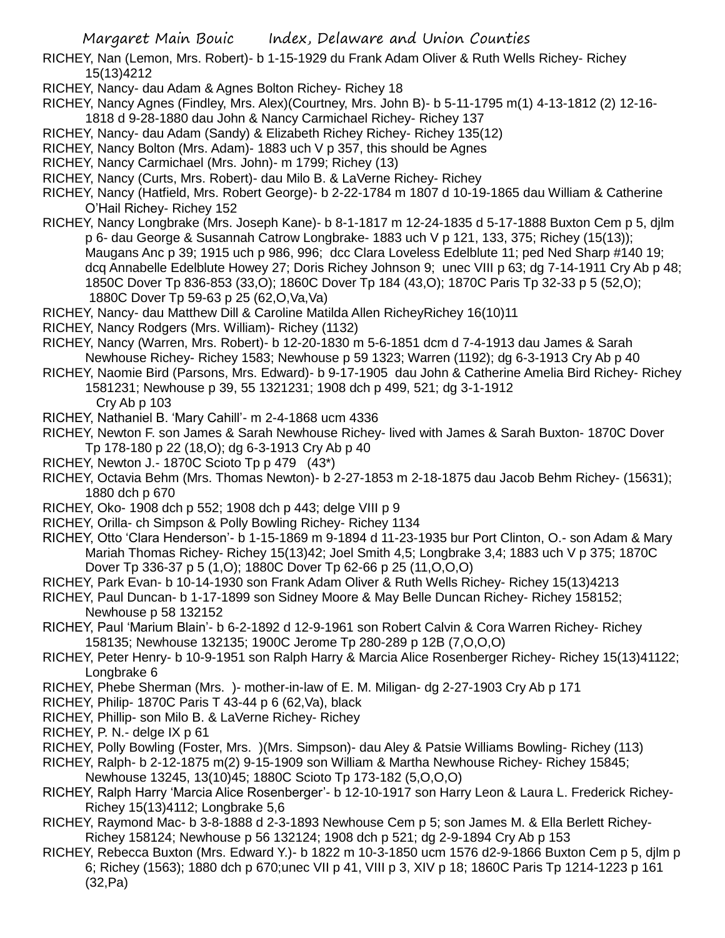- RICHEY, Nan (Lemon, Mrs. Robert)- b 1-15-1929 du Frank Adam Oliver & Ruth Wells Richey- Richey 15(13)4212
- RICHEY, Nancy- dau Adam & Agnes Bolton Richey- Richey 18
- RICHEY, Nancy Agnes (Findley, Mrs. Alex)(Courtney, Mrs. John B)- b 5-11-1795 m(1) 4-13-1812 (2) 12-16- 1818 d 9-28-1880 dau John & Nancy Carmichael Richey- Richey 137
- RICHEY, Nancy- dau Adam (Sandy) & Elizabeth Richey Richey- Richey 135(12)
- RICHEY, Nancy Bolton (Mrs. Adam)- 1883 uch V p 357, this should be Agnes
- RICHEY, Nancy Carmichael (Mrs. John)- m 1799; Richey (13)
- RICHEY, Nancy (Curts, Mrs. Robert)- dau Milo B. & LaVerne Richey- Richey
- RICHEY, Nancy (Hatfield, Mrs. Robert George)- b 2-22-1784 m 1807 d 10-19-1865 dau William & Catherine O'Hail Richey- Richey 152
- RICHEY, Nancy Longbrake (Mrs. Joseph Kane)- b 8-1-1817 m 12-24-1835 d 5-17-1888 Buxton Cem p 5, djlm p 6- dau George & Susannah Catrow Longbrake- 1883 uch V p 121, 133, 375; Richey (15(13)); Maugans Anc p 39; 1915 uch p 986, 996; dcc Clara Loveless Edelblute 11; ped Ned Sharp #140 19; dcq Annabelle Edelblute Howey 27; Doris Richey Johnson 9; unec VIII p 63; dg 7-14-1911 Cry Ab p 48; 1850C Dover Tp 836-853 (33,O); 1860C Dover Tp 184 (43,O); 1870C Paris Tp 32-33 p 5 (52,O); 1880C Dover Tp 59-63 p 25 (62,O,Va,Va)
- RICHEY, Nancy- dau Matthew Dill & Caroline Matilda Allen RicheyRichey 16(10)11
- RICHEY, Nancy Rodgers (Mrs. William)- Richey (1132)
- RICHEY, Nancy (Warren, Mrs. Robert)- b 12-20-1830 m 5-6-1851 dcm d 7-4-1913 dau James & Sarah Newhouse Richey- Richey 1583; Newhouse p 59 1323; Warren (1192); dg 6-3-1913 Cry Ab p 40
- RICHEY, Naomie Bird (Parsons, Mrs. Edward)- b 9-17-1905 dau John & Catherine Amelia Bird Richey- Richey 1581231; Newhouse p 39, 55 1321231; 1908 dch p 499, 521; dg 3-1-1912

Cry Ab p 103

- RICHEY, Nathaniel B. 'Mary Cahill'- m 2-4-1868 ucm 4336
- RICHEY, Newton F. son James & Sarah Newhouse Richey- lived with James & Sarah Buxton- 1870C Dover Tp 178-180 p 22 (18,O); dg 6-3-1913 Cry Ab p 40
- RICHEY, Newton J.- 1870C Scioto Tp p 479 (43\*)
- RICHEY, Octavia Behm (Mrs. Thomas Newton)- b 2-27-1853 m 2-18-1875 dau Jacob Behm Richey- (15631); 1880 dch p 670
- RICHEY, Oko- 1908 dch p 552; 1908 dch p 443; delge VIII p 9
- RICHEY, Orilla- ch Simpson & Polly Bowling Richey- Richey 1134
- RICHEY, Otto 'Clara Henderson'- b 1-15-1869 m 9-1894 d 11-23-1935 bur Port Clinton, O.- son Adam & Mary Mariah Thomas Richey- Richey 15(13)42; Joel Smith 4,5; Longbrake 3,4; 1883 uch V p 375; 1870C Dover Tp 336-37 p 5 (1,O); 1880C Dover Tp 62-66 p 25 (11,O,O,O)
- RICHEY, Park Evan- b 10-14-1930 son Frank Adam Oliver & Ruth Wells Richey- Richey 15(13)4213
- RICHEY, Paul Duncan- b 1-17-1899 son Sidney Moore & May Belle Duncan Richey- Richey 158152; Newhouse p 58 132152
- RICHEY, Paul 'Marium Blain'- b 6-2-1892 d 12-9-1961 son Robert Calvin & Cora Warren Richey- Richey 158135; Newhouse 132135; 1900C Jerome Tp 280-289 p 12B (7,O,O,O)
- RICHEY, Peter Henry- b 10-9-1951 son Ralph Harry & Marcia Alice Rosenberger Richey- Richey 15(13)41122; Longbrake 6
- RICHEY, Phebe Sherman (Mrs. )- mother-in-law of E. M. Miligan- dg 2-27-1903 Cry Ab p 171
- RICHEY, Philip- 1870C Paris T 43-44 p 6 (62,Va), black
- RICHEY, Phillip- son Milo B. & LaVerne Richey- Richey
- RICHEY, P. N.- delge IX p 61
- RICHEY, Polly Bowling (Foster, Mrs. )(Mrs. Simpson)- dau Aley & Patsie Williams Bowling- Richey (113)
- RICHEY, Ralph- b 2-12-1875 m(2) 9-15-1909 son William & Martha Newhouse Richey- Richey 15845;
	- Newhouse 13245, 13(10)45; 1880C Scioto Tp 173-182 (5,O,O,O)
- RICHEY, Ralph Harry 'Marcia Alice Rosenberger'- b 12-10-1917 son Harry Leon & Laura L. Frederick Richey-Richey 15(13)4112; Longbrake 5,6
- RICHEY, Raymond Mac- b 3-8-1888 d 2-3-1893 Newhouse Cem p 5; son James M. & Ella Berlett Richey-Richey 158124; Newhouse p 56 132124; 1908 dch p 521; dg 2-9-1894 Cry Ab p 153
- RICHEY, Rebecca Buxton (Mrs. Edward Y.)- b 1822 m 10-3-1850 ucm 1576 d2-9-1866 Buxton Cem p 5, djlm p 6; Richey (1563); 1880 dch p 670;unec VII p 41, VIII p 3, XIV p 18; 1860C Paris Tp 1214-1223 p 161 (32,Pa)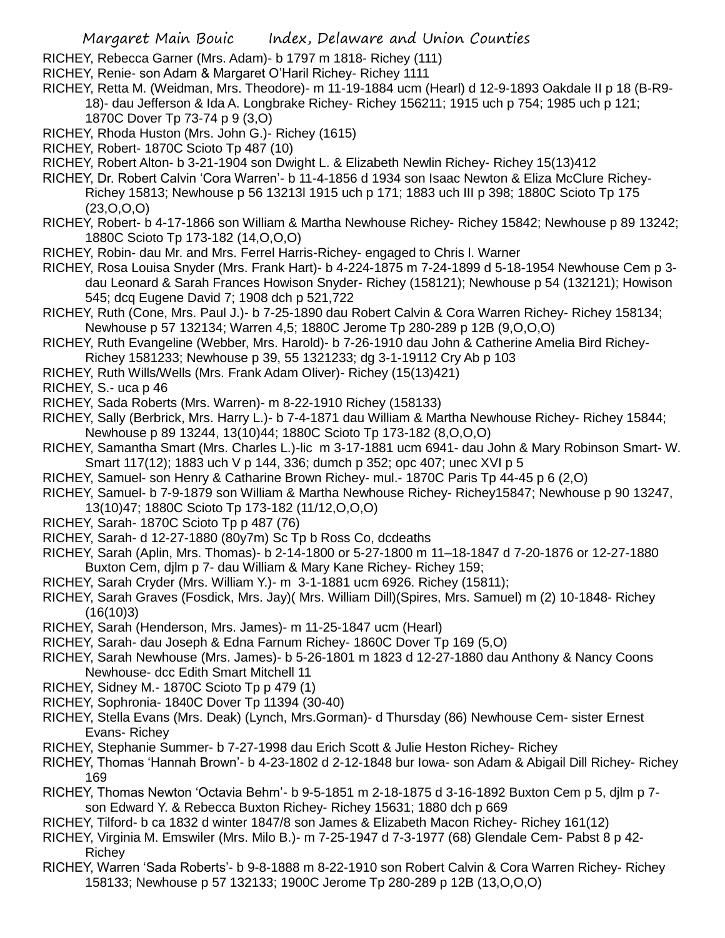RICHEY, Rebecca Garner (Mrs. Adam)- b 1797 m 1818- Richey (111)

- RICHEY, Renie- son Adam & Margaret O'Haril Richey- Richey 1111
- RICHEY, Retta M. (Weidman, Mrs. Theodore)- m 11-19-1884 ucm (Hearl) d 12-9-1893 Oakdale II p 18 (B-R9- 18)- dau Jefferson & Ida A. Longbrake Richey- Richey 156211; 1915 uch p 754; 1985 uch p 121; 1870C Dover Tp 73-74 p 9 (3,O)
- RICHEY, Rhoda Huston (Mrs. John G.)- Richey (1615)
- RICHEY, Robert- 1870C Scioto Tp 487 (10)
- RICHEY, Robert Alton- b 3-21-1904 son Dwight L. & Elizabeth Newlin Richey- Richey 15(13)412
- RICHEY, Dr. Robert Calvin 'Cora Warren'- b 11-4-1856 d 1934 son Isaac Newton & Eliza McClure Richey-Richey 15813; Newhouse p 56 13213l 1915 uch p 171; 1883 uch III p 398; 1880C Scioto Tp 175 (23,O,O,O)
- RICHEY, Robert- b 4-17-1866 son William & Martha Newhouse Richey- Richey 15842; Newhouse p 89 13242; 1880C Scioto Tp 173-182 (14,O,O,O)
- RICHEY, Robin- dau Mr. and Mrs. Ferrel Harris-Richey- engaged to Chris l. Warner
- RICHEY, Rosa Louisa Snyder (Mrs. Frank Hart)- b 4-224-1875 m 7-24-1899 d 5-18-1954 Newhouse Cem p 3 dau Leonard & Sarah Frances Howison Snyder- Richey (158121); Newhouse p 54 (132121); Howison 545; dcq Eugene David 7; 1908 dch p 521,722
- RICHEY, Ruth (Cone, Mrs. Paul J.)- b 7-25-1890 dau Robert Calvin & Cora Warren Richey- Richey 158134; Newhouse p 57 132134; Warren 4,5; 1880C Jerome Tp 280-289 p 12B (9,O,O,O)
- RICHEY, Ruth Evangeline (Webber, Mrs. Harold)- b 7-26-1910 dau John & Catherine Amelia Bird Richey-Richey 1581233; Newhouse p 39, 55 1321233; dg 3-1-19112 Cry Ab p 103
- RICHEY, Ruth Wills/Wells (Mrs. Frank Adam Oliver)- Richey (15(13)421)
- RICHEY, S.- uca p 46
- RICHEY, Sada Roberts (Mrs. Warren)- m 8-22-1910 Richey (158133)
- RICHEY, Sally (Berbrick, Mrs. Harry L.)- b 7-4-1871 dau William & Martha Newhouse Richey- Richey 15844; Newhouse p 89 13244, 13(10)44; 1880C Scioto Tp 173-182 (8,O,O,O)
- RICHEY, Samantha Smart (Mrs. Charles L.)-lic m 3-17-1881 ucm 6941- dau John & Mary Robinson Smart- W. Smart 117(12); 1883 uch V p 144, 336; dumch p 352; opc 407; unec XVI p 5
- RICHEY, Samuel- son Henry & Catharine Brown Richey- mul.- 1870C Paris Tp 44-45 p 6 (2,O)
- RICHEY, Samuel- b 7-9-1879 son William & Martha Newhouse Richey- Richey15847; Newhouse p 90 13247, 13(10)47; 1880C Scioto Tp 173-182 (11/12,O,O,O)
- RICHEY, Sarah- 1870C Scioto Tp p 487 (76)
- RICHEY, Sarah- d 12-27-1880 (80y7m) Sc Tp b Ross Co, dcdeaths
- RICHEY, Sarah (Aplin, Mrs. Thomas)- b 2-14-1800 or 5-27-1800 m 11–18-1847 d 7-20-1876 or 12-27-1880 Buxton Cem, djlm p 7- dau William & Mary Kane Richey- Richey 159;
- RICHEY, Sarah Cryder (Mrs. William Y.)- m 3-1-1881 ucm 6926. Richey (15811);
- RICHEY, Sarah Graves (Fosdick, Mrs. Jay)( Mrs. William Dill)(Spires, Mrs. Samuel) m (2) 10-1848- Richey  $(16(10)3)$
- RICHEY, Sarah (Henderson, Mrs. James)- m 11-25-1847 ucm (Hearl)
- RICHEY, Sarah- dau Joseph & Edna Farnum Richey- 1860C Dover Tp 169 (5,O)
- RICHEY, Sarah Newhouse (Mrs. James)- b 5-26-1801 m 1823 d 12-27-1880 dau Anthony & Nancy Coons Newhouse- dcc Edith Smart Mitchell 11
- RICHEY, Sidney M.- 1870C Scioto Tp p 479 (1)
- RICHEY, Sophronia- 1840C Dover Tp 11394 (30-40)
- RICHEY, Stella Evans (Mrs. Deak) (Lynch, Mrs.Gorman)- d Thursday (86) Newhouse Cem- sister Ernest Evans- Richey
- RICHEY, Stephanie Summer- b 7-27-1998 dau Erich Scott & Julie Heston Richey- Richey
- RICHEY, Thomas 'Hannah Brown'- b 4-23-1802 d 2-12-1848 bur Iowa- son Adam & Abigail Dill Richey- Richey 169
- RICHEY, Thomas Newton 'Octavia Behm'- b 9-5-1851 m 2-18-1875 d 3-16-1892 Buxton Cem p 5, djlm p 7 son Edward Y. & Rebecca Buxton Richey- Richey 15631; 1880 dch p 669
- RICHEY, Tilford- b ca 1832 d winter 1847/8 son James & Elizabeth Macon Richey- Richey 161(12)
- RICHEY, Virginia M. Emswiler (Mrs. Milo B.)- m 7-25-1947 d 7-3-1977 (68) Glendale Cem- Pabst 8 p 42- Richey
- RICHEY, Warren 'Sada Roberts'- b 9-8-1888 m 8-22-1910 son Robert Calvin & Cora Warren Richey- Richey 158133; Newhouse p 57 132133; 1900C Jerome Tp 280-289 p 12B (13,O,O,O)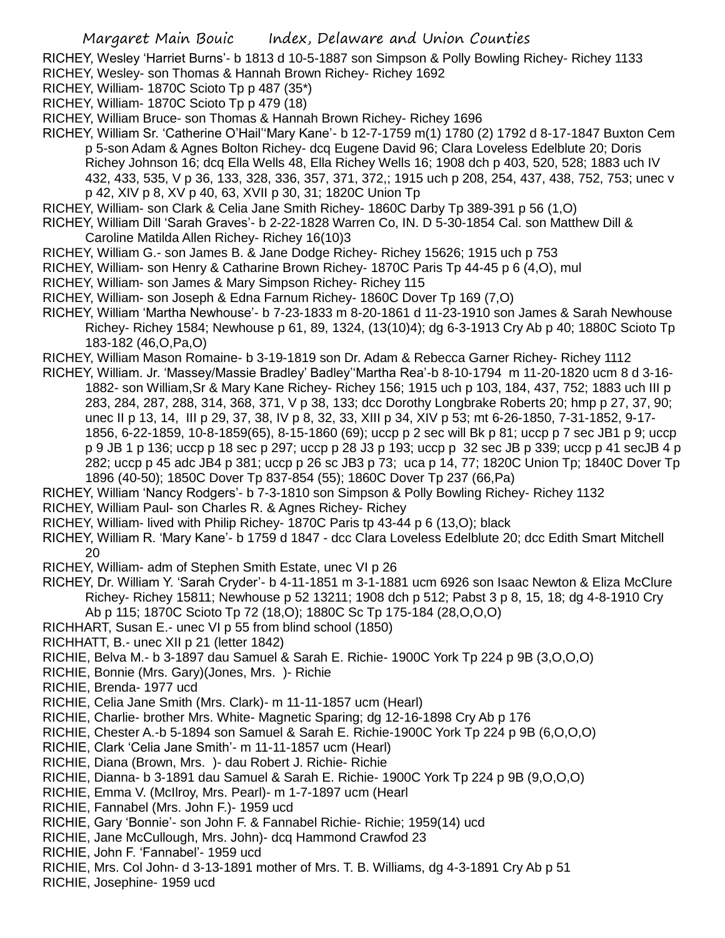RICHEY, Wesley 'Harriet Burns'- b 1813 d 10-5-1887 son Simpson & Polly Bowling Richey- Richey 1133 RICHEY, Wesley- son Thomas & Hannah Brown Richey- Richey 1692

- RICHEY, William- 1870C Scioto Tp p 487 (35\*)
- RICHEY, William- 1870C Scioto Tp p 479 (18)
- RICHEY, William Bruce- son Thomas & Hannah Brown Richey- Richey 1696
- RICHEY, William Sr. 'Catherine O'Hail''Mary Kane'- b 12-7-1759 m(1) 1780 (2) 1792 d 8-17-1847 Buxton Cem p 5-son Adam & Agnes Bolton Richey- dcq Eugene David 96; Clara Loveless Edelblute 20; Doris Richey Johnson 16; dcq Ella Wells 48, Ella Richey Wells 16; 1908 dch p 403, 520, 528; 1883 uch IV 432, 433, 535, V p 36, 133, 328, 336, 357, 371, 372,; 1915 uch p 208, 254, 437, 438, 752, 753; unec v p 42, XIV p 8, XV p 40, 63, XVII p 30, 31; 1820C Union Tp
- RICHEY, William- son Clark & Celia Jane Smith Richey- 1860C Darby Tp 389-391 p 56 (1,O)
- RICHEY, William Dill 'Sarah Graves'- b 2-22-1828 Warren Co, IN. D 5-30-1854 Cal. son Matthew Dill & Caroline Matilda Allen Richey- Richey 16(10)3
- RICHEY, William G.- son James B. & Jane Dodge Richey- Richey 15626; 1915 uch p 753
- RICHEY, William- son Henry & Catharine Brown Richey- 1870C Paris Tp 44-45 p 6 (4,O), mul
- RICHEY, William- son James & Mary Simpson Richey- Richey 115
- RICHEY, William- son Joseph & Edna Farnum Richey- 1860C Dover Tp 169 (7,O)
- RICHEY, William 'Martha Newhouse'- b 7-23-1833 m 8-20-1861 d 11-23-1910 son James & Sarah Newhouse Richey- Richey 1584; Newhouse p 61, 89, 1324, (13(10)4); dg 6-3-1913 Cry Ab p 40; 1880C Scioto Tp 183-182 (46,O,Pa,O)
- RICHEY, William Mason Romaine- b 3-19-1819 son Dr. Adam & Rebecca Garner Richey- Richey 1112
- RICHEY, William. Jr. 'Massey/Massie Bradley' Badley''Martha Rea'-b 8-10-1794 m 11-20-1820 ucm 8 d 3-16- 1882- son William,Sr & Mary Kane Richey- Richey 156; 1915 uch p 103, 184, 437, 752; 1883 uch III p 283, 284, 287, 288, 314, 368, 371, V p 38, 133; dcc Dorothy Longbrake Roberts 20; hmp p 27, 37, 90; unec II p 13, 14, III p 29, 37, 38, IV p 8, 32, 33, XIII p 34, XIV p 53; mt 6-26-1850, 7-31-1852, 9-17- 1856, 6-22-1859, 10-8-1859(65), 8-15-1860 (69); uccp p 2 sec will Bk p 81; uccp p 7 sec JB1 p 9; uccp p 9 JB 1 p 136; uccp p 18 sec p 297; uccp p 28 J3 p 193; uccp p 32 sec JB p 339; uccp p 41 secJB 4 p 282; uccp p 45 adc JB4 p 381; uccp p 26 sc JB3 p 73; uca p 14, 77; 1820C Union Tp; 1840C Dover Tp 1896 (40-50); 1850C Dover Tp 837-854 (55); 1860C Dover Tp 237 (66,Pa)
- RICHEY, William 'Nancy Rodgers'- b 7-3-1810 son Simpson & Polly Bowling Richey- Richey 1132
- RICHEY, William Paul- son Charles R. & Agnes Richey- Richey
- RICHEY, William- lived with Philip Richey- 1870C Paris tp 43-44 p 6 (13,O); black
- RICHEY, William R. 'Mary Kane'- b 1759 d 1847 dcc Clara Loveless Edelblute 20; dcc Edith Smart Mitchell 20
- RICHEY, William- adm of Stephen Smith Estate, unec VI p 26
- RICHEY, Dr. William Y. 'Sarah Cryder'- b 4-11-1851 m 3-1-1881 ucm 6926 son Isaac Newton & Eliza McClure Richey- Richey 15811; Newhouse p 52 13211; 1908 dch p 512; Pabst 3 p 8, 15, 18; dg 4-8-1910 Cry Ab p 115; 1870C Scioto Tp 72 (18,O); 1880C Sc Tp 175-184 (28,O,O,O)
- RICHHART, Susan E.- unec VI p 55 from blind school (1850)
- RICHHATT, B.- unec XII p 21 (letter 1842)
- RICHIE, Belva M.- b 3-1897 dau Samuel & Sarah E. Richie- 1900C York Tp 224 p 9B (3,O,O,O)
- RICHIE, Bonnie (Mrs. Gary)(Jones, Mrs. )- Richie
- RICHIE, Brenda- 1977 ucd
- RICHIE, Celia Jane Smith (Mrs. Clark)- m 11-11-1857 ucm (Hearl)
- RICHIE, Charlie- brother Mrs. White- Magnetic Sparing; dg 12-16-1898 Cry Ab p 176
- RICHIE, Chester A.-b 5-1894 son Samuel & Sarah E. Richie-1900C York Tp 224 p 9B (6,O,O,O)
- RICHIE, Clark 'Celia Jane Smith'- m 11-11-1857 ucm (Hearl)
- RICHIE, Diana (Brown, Mrs. )- dau Robert J. Richie- Richie
- RICHIE, Dianna- b 3-1891 dau Samuel & Sarah E. Richie- 1900C York Tp 224 p 9B (9,O,O,O)
- RICHIE, Emma V. (McIlroy, Mrs. Pearl)- m 1-7-1897 ucm (Hearl
- RICHIE, Fannabel (Mrs. John F.)- 1959 ucd
- RICHIE, Gary 'Bonnie'- son John F. & Fannabel Richie- Richie; 1959(14) ucd
- RICHIE, Jane McCullough, Mrs. John)- dcq Hammond Crawfod 23
- RICHIE, John F. 'Fannabel'- 1959 ucd
- RICHIE, Mrs. Col John- d 3-13-1891 mother of Mrs. T. B. Williams, dg 4-3-1891 Cry Ab p 51
- RICHIE, Josephine- 1959 ucd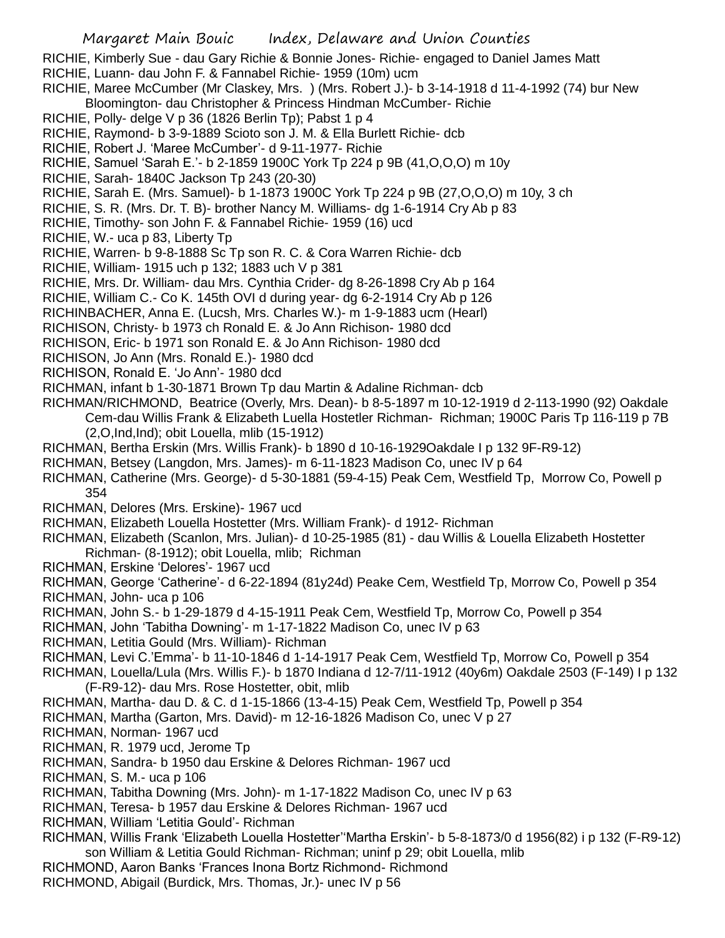RICHIE, Kimberly Sue - dau Gary Richie & Bonnie Jones- Richie- engaged to Daniel James Matt

- RICHIE, Luann- dau John F. & Fannabel Richie- 1959 (10m) ucm
- RICHIE, Maree McCumber (Mr Claskey, Mrs. ) (Mrs. Robert J.)- b 3-14-1918 d 11-4-1992 (74) bur New Bloomington- dau Christopher & Princess Hindman McCumber- Richie
- RICHIE, Polly- delge V p 36 (1826 Berlin Tp); Pabst 1 p 4
- RICHIE, Raymond- b 3-9-1889 Scioto son J. M. & Ella Burlett Richie- dcb
- RICHIE, Robert J. 'Maree McCumber'- d 9-11-1977- Richie
- RICHIE, Samuel 'Sarah E.'- b 2-1859 1900C York Tp 224 p 9B (41,O,O,O) m 10y
- RICHIE, Sarah- 1840C Jackson Tp 243 (20-30)
- RICHIE, Sarah E. (Mrs. Samuel)- b 1-1873 1900C York Tp 224 p 9B (27,O,O,O) m 10y, 3 ch
- RICHIE, S. R. (Mrs. Dr. T. B)- brother Nancy M. Williams- dg 1-6-1914 Cry Ab p 83
- RICHIE, Timothy- son John F. & Fannabel Richie- 1959 (16) ucd
- RICHIE, W.- uca p 83, Liberty Tp
- RICHIE, Warren- b 9-8-1888 Sc Tp son R. C. & Cora Warren Richie- dcb
- RICHIE, William- 1915 uch p 132; 1883 uch V p 381
- RICHIE, Mrs. Dr. William- dau Mrs. Cynthia Crider- dg 8-26-1898 Cry Ab p 164
- RICHIE, William C.- Co K. 145th OVI d during year- dg 6-2-1914 Cry Ab p 126
- RICHINBACHER, Anna E. (Lucsh, Mrs. Charles W.)- m 1-9-1883 ucm (Hearl)
- RICHISON, Christy- b 1973 ch Ronald E. & Jo Ann Richison- 1980 dcd
- RICHISON, Eric- b 1971 son Ronald E. & Jo Ann Richison- 1980 dcd
- RICHISON, Jo Ann (Mrs. Ronald E.)- 1980 dcd
- RICHISON, Ronald E. 'Jo Ann'- 1980 dcd
- RICHMAN, infant b 1-30-1871 Brown Tp dau Martin & Adaline Richman- dcb
- RICHMAN/RICHMOND, Beatrice (Overly, Mrs. Dean)- b 8-5-1897 m 10-12-1919 d 2-113-1990 (92) Oakdale Cem-dau Willis Frank & Elizabeth Luella Hostetler Richman- Richman; 1900C Paris Tp 116-119 p 7B (2,O,Ind,Ind); obit Louella, mlib (15-1912)
- RICHMAN, Bertha Erskin (Mrs. Willis Frank)- b 1890 d 10-16-1929Oakdale I p 132 9F-R9-12)
- RICHMAN, Betsey (Langdon, Mrs. James)- m 6-11-1823 Madison Co, unec IV p 64
- RICHMAN, Catherine (Mrs. George)- d 5-30-1881 (59-4-15) Peak Cem, Westfield Tp, Morrow Co, Powell p 354
- RICHMAN, Delores (Mrs. Erskine)- 1967 ucd
- RICHMAN, Elizabeth Louella Hostetter (Mrs. William Frank)- d 1912- Richman
- RICHMAN, Elizabeth (Scanlon, Mrs. Julian)- d 10-25-1985 (81) dau Willis & Louella Elizabeth Hostetter Richman- (8-1912); obit Louella, mlib; Richman
- RICHMAN, Erskine 'Delores'- 1967 ucd
- RICHMAN, George 'Catherine'- d 6-22-1894 (81y24d) Peake Cem, Westfield Tp, Morrow Co, Powell p 354 RICHMAN, John- uca p 106
- RICHMAN, John S.- b 1-29-1879 d 4-15-1911 Peak Cem, Westfield Tp, Morrow Co, Powell p 354
- RICHMAN, John 'Tabitha Downing'- m 1-17-1822 Madison Co, unec IV p 63
- RICHMAN, Letitia Gould (Mrs. William)- Richman
- RICHMAN, Levi C.'Emma'- b 11-10-1846 d 1-14-1917 Peak Cem, Westfield Tp, Morrow Co, Powell p 354
- RICHMAN, Louella/Lula (Mrs. Willis F.)- b 1870 Indiana d 12-7/11-1912 (40y6m) Oakdale 2503 (F-149) I p 132 (F-R9-12)- dau Mrs. Rose Hostetter, obit, mlib
- RICHMAN, Martha- dau D. & C. d 1-15-1866 (13-4-15) Peak Cem, Westfield Tp, Powell p 354
- RICHMAN, Martha (Garton, Mrs. David)- m 12-16-1826 Madison Co, unec V p 27
- RICHMAN, Norman- 1967 ucd
- RICHMAN, R. 1979 ucd, Jerome Tp
- RICHMAN, Sandra- b 1950 dau Erskine & Delores Richman- 1967 ucd
- RICHMAN, S. M.- uca p 106
- RICHMAN, Tabitha Downing (Mrs. John)- m 1-17-1822 Madison Co, unec IV p 63
- RICHMAN, Teresa- b 1957 dau Erskine & Delores Richman- 1967 ucd
- RICHMAN, William 'Letitia Gould'- Richman
- RICHMAN, Willis Frank 'Elizabeth Louella Hostetter''Martha Erskin'- b 5-8-1873/0 d 1956(82) i p 132 (F-R9-12) son William & Letitia Gould Richman- Richman; uninf p 29; obit Louella, mlib
- RICHMOND, Aaron Banks 'Frances Inona Bortz Richmond- Richmond
- RICHMOND, Abigail (Burdick, Mrs. Thomas, Jr.)- unec IV p 56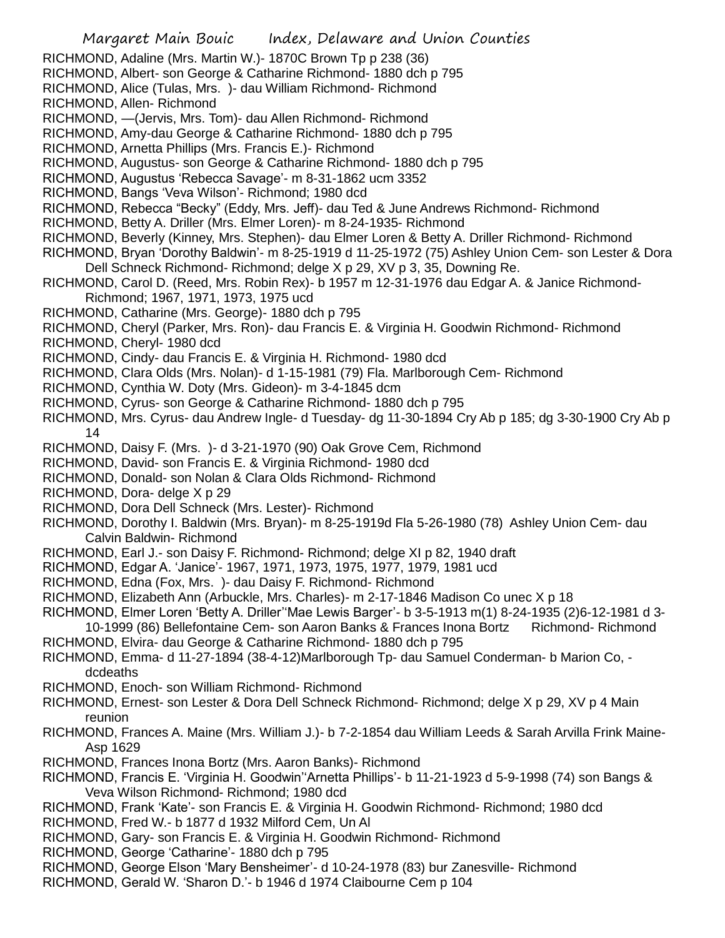- RICHMOND, Adaline (Mrs. Martin W.)- 1870C Brown Tp p 238 (36)
- RICHMOND, Albert- son George & Catharine Richmond- 1880 dch p 795
- RICHMOND, Alice (Tulas, Mrs. )- dau William Richmond- Richmond
- RICHMOND, Allen- Richmond
- RICHMOND, —(Jervis, Mrs. Tom)- dau Allen Richmond- Richmond
- RICHMOND, Amy-dau George & Catharine Richmond- 1880 dch p 795
- RICHMOND, Arnetta Phillips (Mrs. Francis E.)- Richmond
- RICHMOND, Augustus- son George & Catharine Richmond- 1880 dch p 795
- RICHMOND, Augustus 'Rebecca Savage'- m 8-31-1862 ucm 3352
- RICHMOND, Bangs 'Veva Wilson'- Richmond; 1980 dcd
- RICHMOND, Rebecca "Becky" (Eddy, Mrs. Jeff)- dau Ted & June Andrews Richmond- Richmond
- RICHMOND, Betty A. Driller (Mrs. Elmer Loren)- m 8-24-1935- Richmond
- RICHMOND, Beverly (Kinney, Mrs. Stephen)- dau Elmer Loren & Betty A. Driller Richmond- Richmond
- RICHMOND, Bryan 'Dorothy Baldwin'- m 8-25-1919 d 11-25-1972 (75) Ashley Union Cem- son Lester & Dora Dell Schneck Richmond- Richmond; delge X p 29, XV p 3, 35, Downing Re.
- RICHMOND, Carol D. (Reed, Mrs. Robin Rex)- b 1957 m 12-31-1976 dau Edgar A. & Janice Richmond-Richmond; 1967, 1971, 1973, 1975 ucd
- RICHMOND, Catharine (Mrs. George)- 1880 dch p 795
- RICHMOND, Cheryl (Parker, Mrs. Ron)- dau Francis E. & Virginia H. Goodwin Richmond- Richmond
- RICHMOND, Cheryl- 1980 dcd
- RICHMOND, Cindy- dau Francis E. & Virginia H. Richmond- 1980 dcd
- RICHMOND, Clara Olds (Mrs. Nolan)- d 1-15-1981 (79) Fla. Marlborough Cem- Richmond
- RICHMOND, Cynthia W. Doty (Mrs. Gideon)- m 3-4-1845 dcm
- RICHMOND, Cyrus- son George & Catharine Richmond- 1880 dch p 795
- RICHMOND, Mrs. Cyrus- dau Andrew Ingle- d Tuesday- dg 11-30-1894 Cry Ab p 185; dg 3-30-1900 Cry Ab p 14
- RICHMOND, Daisy F. (Mrs. )- d 3-21-1970 (90) Oak Grove Cem, Richmond
- RICHMOND, David- son Francis E. & Virginia Richmond- 1980 dcd
- RICHMOND, Donald- son Nolan & Clara Olds Richmond- Richmond
- RICHMOND, Dora- delge X p 29
- RICHMOND, Dora Dell Schneck (Mrs. Lester)- Richmond
- RICHMOND, Dorothy I. Baldwin (Mrs. Bryan)- m 8-25-1919d Fla 5-26-1980 (78) Ashley Union Cem- dau Calvin Baldwin- Richmond
- RICHMOND, Earl J.- son Daisy F. Richmond- Richmond; delge XI p 82, 1940 draft
- RICHMOND, Edgar A. 'Janice'- 1967, 1971, 1973, 1975, 1977, 1979, 1981 ucd
- RICHMOND, Edna (Fox, Mrs. )- dau Daisy F. Richmond- Richmond
- RICHMOND, Elizabeth Ann (Arbuckle, Mrs. Charles)- m 2-17-1846 Madison Co unec X p 18
- RICHMOND, Elmer Loren 'Betty A. Driller''Mae Lewis Barger'- b 3-5-1913 m(1) 8-24-1935 (2)6-12-1981 d 3-
- 10-1999 (86) Bellefontaine Cem- son Aaron Banks & Frances Inona Bortz Richmond- Richmond RICHMOND, Elvira- dau George & Catharine Richmond- 1880 dch p 795
- RICHMOND, Emma- d 11-27-1894 (38-4-12)Marlborough Tp- dau Samuel Conderman- b Marion Co, dcdeaths
- RICHMOND, Enoch- son William Richmond- Richmond
- RICHMOND, Ernest- son Lester & Dora Dell Schneck Richmond- Richmond; delge X p 29, XV p 4 Main reunion
- RICHMOND, Frances A. Maine (Mrs. William J.)- b 7-2-1854 dau William Leeds & Sarah Arvilla Frink Maine-Asp 1629
- RICHMOND, Frances Inona Bortz (Mrs. Aaron Banks)- Richmond
- RICHMOND, Francis E. 'Virginia H. Goodwin''Arnetta Phillips'- b 11-21-1923 d 5-9-1998 (74) son Bangs & Veva Wilson Richmond- Richmond; 1980 dcd
- RICHMOND, Frank 'Kate'- son Francis E. & Virginia H. Goodwin Richmond- Richmond; 1980 dcd
- RICHMOND, Fred W.- b 1877 d 1932 Milford Cem, Un Al
- RICHMOND, Gary- son Francis E. & Virginia H. Goodwin Richmond- Richmond
- RICHMOND, George 'Catharine'- 1880 dch p 795
- RICHMOND, George Elson 'Mary Bensheimer'- d 10-24-1978 (83) bur Zanesville- Richmond
- RICHMOND, Gerald W. 'Sharon D.'- b 1946 d 1974 Claibourne Cem p 104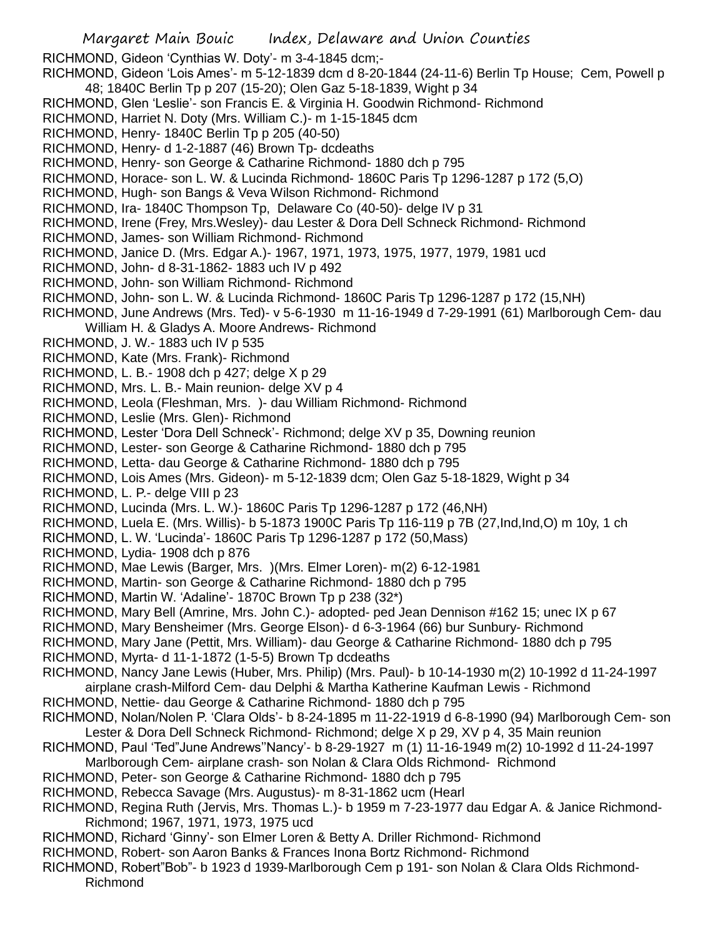RICHMOND, Gideon 'Cynthias W. Doty'- m 3-4-1845 dcm;-

RICHMOND, Gideon 'Lois Ames'- m 5-12-1839 dcm d 8-20-1844 (24-11-6) Berlin Tp House; Cem, Powell p 48; 1840C Berlin Tp p 207 (15-20); Olen Gaz 5-18-1839, Wight p 34

- RICHMOND, Glen 'Leslie'- son Francis E. & Virginia H. Goodwin Richmond- Richmond
- RICHMOND, Harriet N. Doty (Mrs. William C.)- m 1-15-1845 dcm
- RICHMOND, Henry- 1840C Berlin Tp p 205 (40-50)
- RICHMOND, Henry- d 1-2-1887 (46) Brown Tp- dcdeaths
- RICHMOND, Henry- son George & Catharine Richmond- 1880 dch p 795
- RICHMOND, Horace- son L. W. & Lucinda Richmond- 1860C Paris Tp 1296-1287 p 172 (5,O)
- RICHMOND, Hugh- son Bangs & Veva Wilson Richmond- Richmond
- RICHMOND, Ira- 1840C Thompson Tp, Delaware Co (40-50)- delge IV p 31
- RICHMOND, Irene (Frey, Mrs.Wesley)- dau Lester & Dora Dell Schneck Richmond- Richmond
- RICHMOND, James- son William Richmond- Richmond
- RICHMOND, Janice D. (Mrs. Edgar A.)- 1967, 1971, 1973, 1975, 1977, 1979, 1981 ucd
- RICHMOND, John- d 8-31-1862- 1883 uch IV p 492
- RICHMOND, John- son William Richmond- Richmond
- RICHMOND, John- son L. W. & Lucinda Richmond- 1860C Paris Tp 1296-1287 p 172 (15,NH)
- RICHMOND, June Andrews (Mrs. Ted)- v 5-6-1930 m 11-16-1949 d 7-29-1991 (61) Marlborough Cem- dau
- William H. & Gladys A. Moore Andrews- Richmond
- RICHMOND, J. W.- 1883 uch IV p 535
- RICHMOND, Kate (Mrs. Frank)- Richmond
- RICHMOND, L. B.- 1908 dch p 427; delge X p 29
- RICHMOND, Mrs. L. B.- Main reunion- delge XV p 4
- RICHMOND, Leola (Fleshman, Mrs. )- dau William Richmond- Richmond
- RICHMOND, Leslie (Mrs. Glen)- Richmond
- RICHMOND, Lester 'Dora Dell Schneck'- Richmond; delge XV p 35, Downing reunion
- RICHMOND, Lester- son George & Catharine Richmond- 1880 dch p 795
- RICHMOND, Letta- dau George & Catharine Richmond- 1880 dch p 795
- RICHMOND, Lois Ames (Mrs. Gideon)- m 5-12-1839 dcm; Olen Gaz 5-18-1829, Wight p 34
- RICHMOND, L. P.- delge VIII p 23
- RICHMOND, Lucinda (Mrs. L. W.)- 1860C Paris Tp 1296-1287 p 172 (46,NH)
- RICHMOND, Luela E. (Mrs. Willis)- b 5-1873 1900C Paris Tp 116-119 p 7B (27,Ind,Ind,O) m 10y, 1 ch
- RICHMOND, L. W. 'Lucinda'- 1860C Paris Tp 1296-1287 p 172 (50,Mass)
- RICHMOND, Lydia- 1908 dch p 876
- RICHMOND, Mae Lewis (Barger, Mrs. )(Mrs. Elmer Loren)- m(2) 6-12-1981
- RICHMOND, Martin- son George & Catharine Richmond- 1880 dch p 795
- RICHMOND, Martin W. 'Adaline'- 1870C Brown Tp p 238 (32\*)
- RICHMOND, Mary Bell (Amrine, Mrs. John C.)- adopted- ped Jean Dennison #162 15; unec IX p 67
- RICHMOND, Mary Bensheimer (Mrs. George Elson)- d 6-3-1964 (66) bur Sunbury- Richmond
- RICHMOND, Mary Jane (Pettit, Mrs. William)- dau George & Catharine Richmond- 1880 dch p 795
- RICHMOND, Myrta- d 11-1-1872 (1-5-5) Brown Tp dcdeaths
- RICHMOND, Nancy Jane Lewis (Huber, Mrs. Philip) (Mrs. Paul)- b 10-14-1930 m(2) 10-1992 d 11-24-1997 airplane crash-Milford Cem- dau Delphi & Martha Katherine Kaufman Lewis - Richmond
- RICHMOND, Nettie- dau George & Catharine Richmond- 1880 dch p 795
- RICHMOND, Nolan/Nolen P. 'Clara Olds'- b 8-24-1895 m 11-22-1919 d 6-8-1990 (94) Marlborough Cem- son Lester & Dora Dell Schneck Richmond- Richmond; delge X p 29, XV p 4, 35 Main reunion
- RICHMOND, Paul 'Ted"June Andrews''Nancy'- b 8-29-1927 m (1) 11-16-1949 m(2) 10-1992 d 11-24-1997
- Marlborough Cem- airplane crash- son Nolan & Clara Olds Richmond- Richmond
- RICHMOND, Peter- son George & Catharine Richmond- 1880 dch p 795
- RICHMOND, Rebecca Savage (Mrs. Augustus)- m 8-31-1862 ucm (Hearl
- RICHMOND, Regina Ruth (Jervis, Mrs. Thomas L.)- b 1959 m 7-23-1977 dau Edgar A. & Janice Richmond-Richmond; 1967, 1971, 1973, 1975 ucd
- RICHMOND, Richard 'Ginny'- son Elmer Loren & Betty A. Driller Richmond- Richmond
- RICHMOND, Robert- son Aaron Banks & Frances Inona Bortz Richmond- Richmond
- RICHMOND, Robert"Bob"- b 1923 d 1939-Marlborough Cem p 191- son Nolan & Clara Olds Richmond-Richmond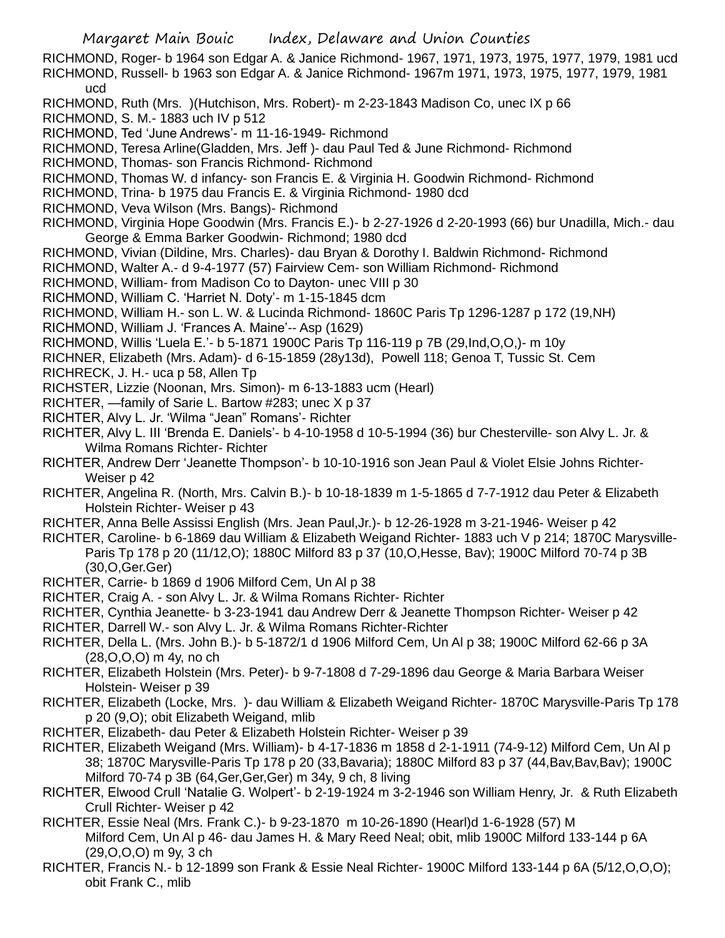RICHMOND, Roger- b 1964 son Edgar A. & Janice Richmond- 1967, 1971, 1973, 1975, 1977, 1979, 1981 ucd RICHMOND, Russell- b 1963 son Edgar A. & Janice Richmond- 1967m 1971, 1973, 1975, 1977, 1979, 1981 ucd

- RICHMOND, Ruth (Mrs. )(Hutchison, Mrs. Robert)- m 2-23-1843 Madison Co, unec IX p 66
- RICHMOND, S. M.- 1883 uch IV p 512
- RICHMOND, Ted 'June Andrews'- m 11-16-1949- Richmond
- RICHMOND, Teresa Arline(Gladden, Mrs. Jeff )- dau Paul Ted & June Richmond- Richmond
- RICHMOND, Thomas- son Francis Richmond- Richmond
- RICHMOND, Thomas W. d infancy- son Francis E. & Virginia H. Goodwin Richmond- Richmond
- RICHMOND, Trina- b 1975 dau Francis E. & Virginia Richmond- 1980 dcd
- RICHMOND, Veva Wilson (Mrs. Bangs)- Richmond
- RICHMOND, Virginia Hope Goodwin (Mrs. Francis E.)- b 2-27-1926 d 2-20-1993 (66) bur Unadilla, Mich.- dau George & Emma Barker Goodwin- Richmond; 1980 dcd
- RICHMOND, Vivian (Dildine, Mrs. Charles)- dau Bryan & Dorothy I. Baldwin Richmond- Richmond
- RICHMOND, Walter A.- d 9-4-1977 (57) Fairview Cem- son William Richmond- Richmond
- RICHMOND, William- from Madison Co to Dayton- unec VIII p 30
- RICHMOND, William C. 'Harriet N. Doty'- m 1-15-1845 dcm
- RICHMOND, William H.- son L. W. & Lucinda Richmond- 1860C Paris Tp 1296-1287 p 172 (19,NH)
- RICHMOND, William J. 'Frances A. Maine'-- Asp (1629)
- RICHMOND, Willis 'Luela E.'- b 5-1871 1900C Paris Tp 116-119 p 7B (29,Ind,O,O,)- m 10y
- RICHNER, Elizabeth (Mrs. Adam)- d 6-15-1859 (28y13d), Powell 118; Genoa T, Tussic St. Cem
- RICHRECK, J. H.- uca p 58, Allen Tp
- RICHSTER, Lizzie (Noonan, Mrs. Simon)- m 6-13-1883 ucm (Hearl)
- RICHTER, —family of Sarie L. Bartow #283; unec X p 37
- RICHTER, Alvy L. Jr. 'Wilma "Jean" Romans'- Richter
- RICHTER, Alvy L. III 'Brenda E. Daniels'- b 4-10-1958 d 10-5-1994 (36) bur Chesterville- son Alvy L. Jr. & Wilma Romans Richter- Richter
- RICHTER, Andrew Derr 'Jeanette Thompson'- b 10-10-1916 son Jean Paul & Violet Elsie Johns Richter-Weiser p 42
- RICHTER, Angelina R. (North, Mrs. Calvin B.)- b 10-18-1839 m 1-5-1865 d 7-7-1912 dau Peter & Elizabeth Holstein Richter- Weiser p 43
- RICHTER, Anna Belle Assissi English (Mrs. Jean Paul,Jr.)- b 12-26-1928 m 3-21-1946- Weiser p 42
- RICHTER, Caroline- b 6-1869 dau William & Elizabeth Weigand Richter- 1883 uch V p 214; 1870C Marysville-Paris Tp 178 p 20 (11/12,O); 1880C Milford 83 p 37 (10,O,Hesse, Bav); 1900C Milford 70-74 p 3B (30,O,Ger.Ger)
- RICHTER, Carrie- b 1869 d 1906 Milford Cem, Un Al p 38
- RICHTER, Craig A. son Alvy L. Jr. & Wilma Romans Richter- Richter
- RICHTER, Cynthia Jeanette- b 3-23-1941 dau Andrew Derr & Jeanette Thompson Richter- Weiser p 42
- RICHTER, Darrell W.- son Alvy L. Jr. & Wilma Romans Richter-Richter
- RICHTER, Della L. (Mrs. John B.)- b 5-1872/1 d 1906 Milford Cem, Un Al p 38; 1900C Milford 62-66 p 3A (28,O,O,O) m 4y, no ch
- RICHTER, Elizabeth Holstein (Mrs. Peter)- b 9-7-1808 d 7-29-1896 dau George & Maria Barbara Weiser Holstein- Weiser p 39
- RICHTER, Elizabeth (Locke, Mrs. )- dau William & Elizabeth Weigand Richter- 1870C Marysville-Paris Tp 178 p 20 (9,O); obit Elizabeth Weigand, mlib
- RICHTER, Elizabeth- dau Peter & Elizabeth Holstein Richter- Weiser p 39
- RICHTER, Elizabeth Weigand (Mrs. William)- b 4-17-1836 m 1858 d 2-1-1911 (74-9-12) Milford Cem, Un Al p 38; 1870C Marysville-Paris Tp 178 p 20 (33,Bavaria); 1880C Milford 83 p 37 (44,Bav,Bav,Bav); 1900C Milford 70-74 p 3B (64,Ger,Ger,Ger) m 34y, 9 ch, 8 living
- RICHTER, Elwood Crull 'Natalie G. Wolpert'- b 2-19-1924 m 3-2-1946 son William Henry, Jr. & Ruth Elizabeth Crull Richter- Weiser p 42
- RICHTER, Essie Neal (Mrs. Frank C.)- b 9-23-1870 m 10-26-1890 (Hearl)d 1-6-1928 (57) M Milford Cem, Un Al p 46- dau James H. & Mary Reed Neal; obit, mlib 1900C Milford 133-144 p 6A (29,O,O,O) m 9y, 3 ch
- RICHTER, Francis N.- b 12-1899 son Frank & Essie Neal Richter- 1900C Milford 133-144 p 6A (5/12,O,O,O); obit Frank C., mlib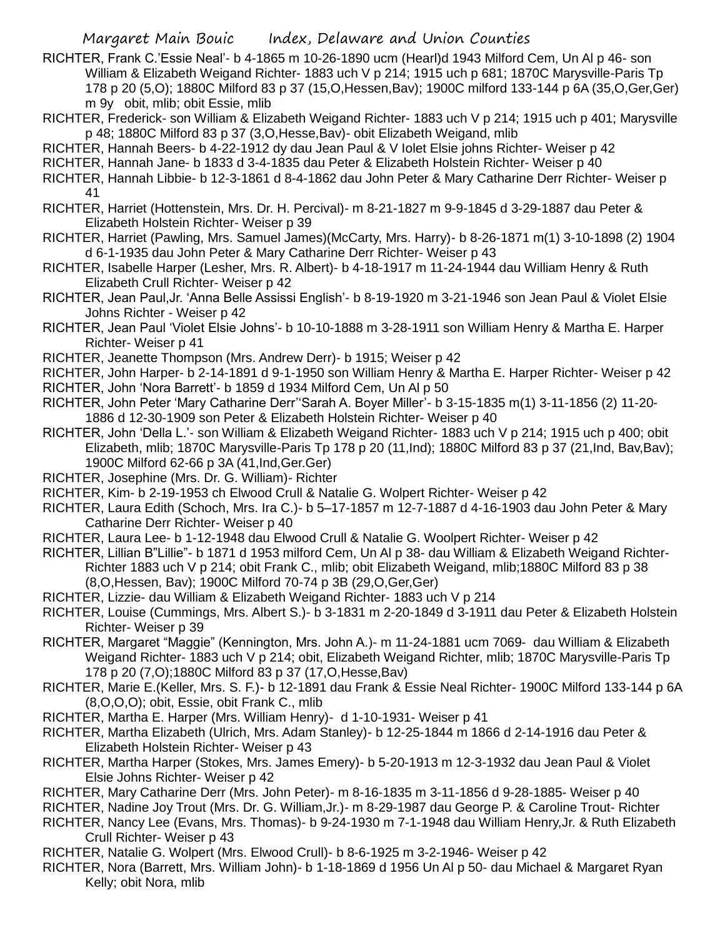- RICHTER, Frank C.'Essie Neal'- b 4-1865 m 10-26-1890 ucm (Hearl)d 1943 Milford Cem, Un Al p 46- son William & Elizabeth Weigand Richter- 1883 uch V p 214; 1915 uch p 681; 1870C Marysville-Paris Tp 178 p 20 (5,O); 1880C Milford 83 p 37 (15,O,Hessen,Bav); 1900C milford 133-144 p 6A (35,O,Ger,Ger) m 9y obit, mlib; obit Essie, mlib
- RICHTER, Frederick- son William & Elizabeth Weigand Richter- 1883 uch V p 214; 1915 uch p 401; Marysville p 48; 1880C Milford 83 p 37 (3,O,Hesse,Bav)- obit Elizabeth Weigand, mlib
- RICHTER, Hannah Beers- b 4-22-1912 dy dau Jean Paul & V Iolet Elsie johns Richter- Weiser p 42
- RICHTER, Hannah Jane- b 1833 d 3-4-1835 dau Peter & Elizabeth Holstein Richter- Weiser p 40
- RICHTER, Hannah Libbie- b 12-3-1861 d 8-4-1862 dau John Peter & Mary Catharine Derr Richter- Weiser p 41
- RICHTER, Harriet (Hottenstein, Mrs. Dr. H. Percival)- m 8-21-1827 m 9-9-1845 d 3-29-1887 dau Peter & Elizabeth Holstein Richter- Weiser p 39
- RICHTER, Harriet (Pawling, Mrs. Samuel James)(McCarty, Mrs. Harry)- b 8-26-1871 m(1) 3-10-1898 (2) 1904 d 6-1-1935 dau John Peter & Mary Catharine Derr Richter- Weiser p 43
- RICHTER, Isabelle Harper (Lesher, Mrs. R. Albert)- b 4-18-1917 m 11-24-1944 dau William Henry & Ruth Elizabeth Crull Richter- Weiser p 42
- RICHTER, Jean Paul,Jr. 'Anna Belle Assissi English'- b 8-19-1920 m 3-21-1946 son Jean Paul & Violet Elsie Johns Richter - Weiser p 42
- RICHTER, Jean Paul 'Violet Elsie Johns'- b 10-10-1888 m 3-28-1911 son William Henry & Martha E. Harper Richter- Weiser p 41
- RICHTER, Jeanette Thompson (Mrs. Andrew Derr)- b 1915; Weiser p 42
- RICHTER, John Harper- b 2-14-1891 d 9-1-1950 son William Henry & Martha E. Harper Richter- Weiser p 42
- RICHTER, John 'Nora Barrett'- b 1859 d 1934 Milford Cem, Un Al p 50
- RICHTER, John Peter 'Mary Catharine Derr''Sarah A. Boyer Miller'- b 3-15-1835 m(1) 3-11-1856 (2) 11-20- 1886 d 12-30-1909 son Peter & Elizabeth Holstein Richter- Weiser p 40
- RICHTER, John 'Della L.'- son William & Elizabeth Weigand Richter- 1883 uch V p 214; 1915 uch p 400; obit Elizabeth, mlib; 1870C Marysville-Paris Tp 178 p 20 (11, Ind); 1880C Milford 83 p 37 (21, Ind, Bav, Bav); 1900C Milford 62-66 p 3A (41,Ind,Ger.Ger)
- RICHTER, Josephine (Mrs. Dr. G. William)- Richter
- RICHTER, Kim- b 2-19-1953 ch Elwood Crull & Natalie G. Wolpert Richter- Weiser p 42
- RICHTER, Laura Edith (Schoch, Mrs. Ira C.)- b 5–17-1857 m 12-7-1887 d 4-16-1903 dau John Peter & Mary Catharine Derr Richter- Weiser p 40
- RICHTER, Laura Lee- b 1-12-1948 dau Elwood Crull & Natalie G. Woolpert Richter- Weiser p 42
- RICHTER, Lillian B"Lillie"- b 1871 d 1953 milford Cem, Un Al p 38- dau William & Elizabeth Weigand Richter-Richter 1883 uch V p 214; obit Frank C., mlib; obit Elizabeth Weigand, mlib;1880C Milford 83 p 38 (8,O,Hessen, Bav); 1900C Milford 70-74 p 3B (29,O,Ger,Ger)
- RICHTER, Lizzie- dau William & Elizabeth Weigand Richter- 1883 uch V p 214
- RICHTER, Louise (Cummings, Mrs. Albert S.)- b 3-1831 m 2-20-1849 d 3-1911 dau Peter & Elizabeth Holstein Richter- Weiser p 39
- RICHTER, Margaret "Maggie" (Kennington, Mrs. John A.)- m 11-24-1881 ucm 7069- dau William & Elizabeth Weigand Richter- 1883 uch V p 214; obit, Elizabeth Weigand Richter, mlib; 1870C Marysville-Paris Tp 178 p 20 (7,O);1880C Milford 83 p 37 (17,O,Hesse,Bav)
- RICHTER, Marie E.(Keller, Mrs. S. F.)- b 12-1891 dau Frank & Essie Neal Richter- 1900C Milford 133-144 p 6A (8,O,O,O); obit, Essie, obit Frank C., mlib
- RICHTER, Martha E. Harper (Mrs. William Henry)- d 1-10-1931- Weiser p 41
- RICHTER, Martha Elizabeth (Ulrich, Mrs. Adam Stanley)- b 12-25-1844 m 1866 d 2-14-1916 dau Peter & Elizabeth Holstein Richter- Weiser p 43
- RICHTER, Martha Harper (Stokes, Mrs. James Emery)- b 5-20-1913 m 12-3-1932 dau Jean Paul & Violet Elsie Johns Richter- Weiser p 42
- RICHTER, Mary Catharine Derr (Mrs. John Peter)- m 8-16-1835 m 3-11-1856 d 9-28-1885- Weiser p 40
- RICHTER, Nadine Joy Trout (Mrs. Dr. G. William,Jr.)- m 8-29-1987 dau George P. & Caroline Trout- Richter
- RICHTER, Nancy Lee (Evans, Mrs. Thomas)- b 9-24-1930 m 7-1-1948 dau William Henry,Jr. & Ruth Elizabeth Crull Richter- Weiser p 43
- RICHTER, Natalie G. Wolpert (Mrs. Elwood Crull)- b 8-6-1925 m 3-2-1946- Weiser p 42
- RICHTER, Nora (Barrett, Mrs. William John)- b 1-18-1869 d 1956 Un Al p 50- dau Michael & Margaret Ryan Kelly; obit Nora, mlib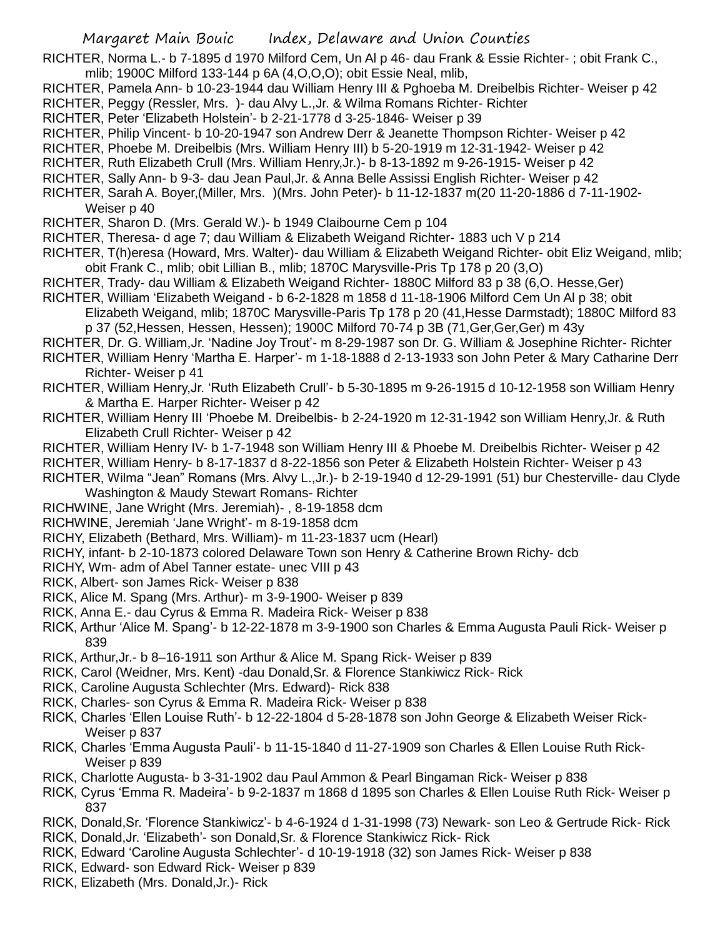RICHTER, Norma L.- b 7-1895 d 1970 Milford Cem, Un Al p 46- dau Frank & Essie Richter- ; obit Frank C., mlib; 1900C Milford 133-144 p 6A (4,O,O,O); obit Essie Neal, mlib,

- RICHTER, Pamela Ann- b 10-23-1944 dau William Henry III & Pghoeba M. Dreibelbis Richter- Weiser p 42 RICHTER, Peggy (Ressler, Mrs. )- dau Alvy L.,Jr. & Wilma Romans Richter- Richter
- RICHTER, Peter 'Elizabeth Holstein'- b 2-21-1778 d 3-25-1846- Weiser p 39
- RICHTER, Philip Vincent- b 10-20-1947 son Andrew Derr & Jeanette Thompson Richter- Weiser p 42
- RICHTER, Phoebe M. Dreibelbis (Mrs. William Henry III) b 5-20-1919 m 12-31-1942- Weiser p 42
- RICHTER, Ruth Elizabeth Crull (Mrs. William Henry,Jr.)- b 8-13-1892 m 9-26-1915- Weiser p 42
- RICHTER, Sally Ann- b 9-3- dau Jean Paul,Jr. & Anna Belle Assissi English Richter- Weiser p 42
- RICHTER, Sarah A. Boyer,(Miller, Mrs. )(Mrs. John Peter)- b 11-12-1837 m(20 11-20-1886 d 7-11-1902- Weiser p 40
- RICHTER, Sharon D. (Mrs. Gerald W.)- b 1949 Claibourne Cem p 104
- RICHTER, Theresa- d age 7; dau William & Elizabeth Weigand Richter- 1883 uch V p 214
- RICHTER, T(h)eresa (Howard, Mrs. Walter)- dau William & Elizabeth Weigand Richter- obit Eliz Weigand, mlib; obit Frank C., mlib; obit Lillian B., mlib; 1870C Marysville-Pris Tp 178 p 20 (3,O)
- RICHTER, Trady- dau William & Elizabeth Weigand Richter- 1880C Milford 83 p 38 (6,O. Hesse,Ger)
- RICHTER, William 'Elizabeth Weigand b 6-2-1828 m 1858 d 11-18-1906 Milford Cem Un Al p 38; obit
	- Elizabeth Weigand, mlib; 1870C Marysville-Paris Tp 178 p 20 (41,Hesse Darmstadt); 1880C Milford 83 p 37 (52,Hessen, Hessen, Hessen); 1900C Milford 70-74 p 3B (71,Ger,Ger,Ger) m 43y
- RICHTER, Dr. G. William,Jr. 'Nadine Joy Trout'- m 8-29-1987 son Dr. G. William & Josephine Richter- Richter RICHTER, William Henry 'Martha E. Harper'- m 1-18-1888 d 2-13-1933 son John Peter & Mary Catharine Derr Richter- Weiser p 41
- RICHTER, William Henry,Jr. 'Ruth Elizabeth Crull'- b 5-30-1895 m 9-26-1915 d 10-12-1958 son William Henry & Martha E. Harper Richter- Weiser p 42
- RICHTER, William Henry III 'Phoebe M. Dreibelbis- b 2-24-1920 m 12-31-1942 son William Henry,Jr. & Ruth Elizabeth Crull Richter- Weiser p 42
- RICHTER, William Henry IV- b 1-7-1948 son William Henry III & Phoebe M. Dreibelbis Richter- Weiser p 42
- RICHTER, William Henry- b 8-17-1837 d 8-22-1856 son Peter & Elizabeth Holstein Richter- Weiser p 43
- RICHTER, Wilma "Jean" Romans (Mrs. Alvy L.,Jr.)- b 2-19-1940 d 12-29-1991 (51) bur Chesterville- dau Clyde Washington & Maudy Stewart Romans- Richter
- RICHWINE, Jane Wright (Mrs. Jeremiah)- , 8-19-1858 dcm
- RICHWINE, Jeremiah 'Jane Wright'- m 8-19-1858 dcm
- RICHY, Elizabeth (Bethard, Mrs. William)- m 11-23-1837 ucm (Hearl)
- RICHY, infant- b 2-10-1873 colored Delaware Town son Henry & Catherine Brown Richy- dcb
- RICHY, Wm- adm of Abel Tanner estate- unec VIII p 43
- RICK, Albert- son James Rick- Weiser p 838
- RICK, Alice M. Spang (Mrs. Arthur)- m 3-9-1900- Weiser p 839
- RICK, Anna E.- dau Cyrus & Emma R. Madeira Rick- Weiser p 838
- RICK, Arthur 'Alice M. Spang'- b 12-22-1878 m 3-9-1900 son Charles & Emma Augusta Pauli Rick- Weiser p 839
- RICK, Arthur,Jr.- b 8–16-1911 son Arthur & Alice M. Spang Rick- Weiser p 839
- RICK, Carol (Weidner, Mrs. Kent) -dau Donald,Sr. & Florence Stankiwicz Rick- Rick
- RICK, Caroline Augusta Schlechter (Mrs. Edward)- Rick 838
- RICK, Charles- son Cyrus & Emma R. Madeira Rick- Weiser p 838
- RICK, Charles 'Ellen Louise Ruth'- b 12-22-1804 d 5-28-1878 son John George & Elizabeth Weiser Rick-Weiser p 837
- RICK, Charles 'Emma Augusta Pauli'- b 11-15-1840 d 11-27-1909 son Charles & Ellen Louise Ruth Rick-Weiser p 839
- RICK, Charlotte Augusta- b 3-31-1902 dau Paul Ammon & Pearl Bingaman Rick- Weiser p 838
- RICK, Cyrus 'Emma R. Madeira'- b 9-2-1837 m 1868 d 1895 son Charles & Ellen Louise Ruth Rick- Weiser p 837
- RICK, Donald,Sr. 'Florence Stankiwicz'- b 4-6-1924 d 1-31-1998 (73) Newark- son Leo & Gertrude Rick- Rick
- RICK, Donald,Jr. 'Elizabeth'- son Donald,Sr. & Florence Stankiwicz Rick- Rick
- RICK, Edward 'Caroline Augusta Schlechter'- d 10-19-1918 (32) son James Rick- Weiser p 838
- RICK, Edward- son Edward Rick- Weiser p 839
- RICK, Elizabeth (Mrs. Donald,Jr.)- Rick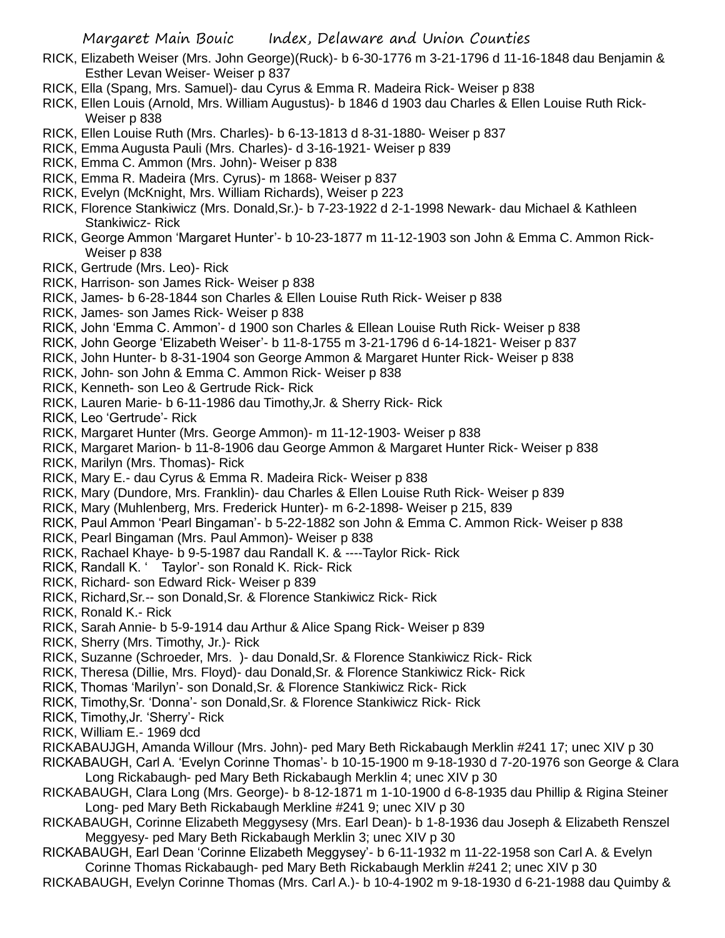- RICK, Elizabeth Weiser (Mrs. John George)(Ruck)- b 6-30-1776 m 3-21-1796 d 11-16-1848 dau Benjamin & Esther Levan Weiser- Weiser p 837
- RICK, Ella (Spang, Mrs. Samuel)- dau Cyrus & Emma R. Madeira Rick- Weiser p 838
- RICK, Ellen Louis (Arnold, Mrs. William Augustus)- b 1846 d 1903 dau Charles & Ellen Louise Ruth Rick-Weiser p 838
- RICK, Ellen Louise Ruth (Mrs. Charles)- b 6-13-1813 d 8-31-1880- Weiser p 837
- RICK, Emma Augusta Pauli (Mrs. Charles)- d 3-16-1921- Weiser p 839
- RICK, Emma C. Ammon (Mrs. John)- Weiser p 838
- RICK, Emma R. Madeira (Mrs. Cyrus)- m 1868- Weiser p 837
- RICK, Evelyn (McKnight, Mrs. William Richards), Weiser p 223
- RICK, Florence Stankiwicz (Mrs. Donald,Sr.)- b 7-23-1922 d 2-1-1998 Newark- dau Michael & Kathleen Stankiwicz- Rick
- RICK, George Ammon 'Margaret Hunter'- b 10-23-1877 m 11-12-1903 son John & Emma C. Ammon Rick-Weiser p 838
- RICK, Gertrude (Mrs. Leo)- Rick
- RICK, Harrison- son James Rick- Weiser p 838
- RICK, James- b 6-28-1844 son Charles & Ellen Louise Ruth Rick- Weiser p 838
- RICK, James- son James Rick- Weiser p 838
- RICK, John 'Emma C. Ammon'- d 1900 son Charles & Ellean Louise Ruth Rick- Weiser p 838
- RICK, John George 'Elizabeth Weiser'- b 11-8-1755 m 3-21-1796 d 6-14-1821- Weiser p 837
- RICK, John Hunter- b 8-31-1904 son George Ammon & Margaret Hunter Rick- Weiser p 838
- RICK, John- son John & Emma C. Ammon Rick- Weiser p 838
- RICK, Kenneth- son Leo & Gertrude Rick- Rick
- RICK, Lauren Marie- b 6-11-1986 dau Timothy,Jr. & Sherry Rick- Rick
- RICK, Leo 'Gertrude'- Rick
- RICK, Margaret Hunter (Mrs. George Ammon)- m 11-12-1903- Weiser p 838
- RICK, Margaret Marion- b 11-8-1906 dau George Ammon & Margaret Hunter Rick- Weiser p 838
- RICK, Marilyn (Mrs. Thomas)- Rick
- RICK, Mary E.- dau Cyrus & Emma R. Madeira Rick- Weiser p 838
- RICK, Mary (Dundore, Mrs. Franklin)- dau Charles & Ellen Louise Ruth Rick- Weiser p 839
- RICK, Mary (Muhlenberg, Mrs. Frederick Hunter)- m 6-2-1898- Weiser p 215, 839
- RICK, Paul Ammon 'Pearl Bingaman'- b 5-22-1882 son John & Emma C. Ammon Rick- Weiser p 838
- RICK, Pearl Bingaman (Mrs. Paul Ammon)- Weiser p 838
- RICK, Rachael Khaye- b 9-5-1987 dau Randall K. & ----Taylor Rick- Rick
- RICK, Randall K. ' Taylor'- son Ronald K. Rick- Rick
- RICK, Richard- son Edward Rick- Weiser p 839
- RICK, Richard,Sr.-- son Donald,Sr. & Florence Stankiwicz Rick- Rick
- RICK, Ronald K.- Rick
- RICK, Sarah Annie- b 5-9-1914 dau Arthur & Alice Spang Rick- Weiser p 839
- RICK, Sherry (Mrs. Timothy, Jr.)- Rick
- RICK, Suzanne (Schroeder, Mrs. )- dau Donald,Sr. & Florence Stankiwicz Rick- Rick
- RICK, Theresa (Dillie, Mrs. Floyd)- dau Donald,Sr. & Florence Stankiwicz Rick- Rick
- RICK, Thomas 'Marilyn'- son Donald,Sr. & Florence Stankiwicz Rick- Rick
- RICK, Timothy,Sr. 'Donna'- son Donald,Sr. & Florence Stankiwicz Rick- Rick
- RICK, Timothy,Jr. 'Sherry'- Rick
- RICK, William E.- 1969 dcd
- RICKABAUJGH, Amanda Willour (Mrs. John)- ped Mary Beth Rickabaugh Merklin #241 17; unec XIV p 30
- RICKABAUGH, Carl A. 'Evelyn Corinne Thomas'- b 10-15-1900 m 9-18-1930 d 7-20-1976 son George & Clara Long Rickabaugh- ped Mary Beth Rickabaugh Merklin 4; unec XIV p 30
- RICKABAUGH, Clara Long (Mrs. George)- b 8-12-1871 m 1-10-1900 d 6-8-1935 dau Phillip & Rigina Steiner Long- ped Mary Beth Rickabaugh Merkline #241 9; unec XIV p 30
- RICKABAUGH, Corinne Elizabeth Meggysesy (Mrs. Earl Dean)- b 1-8-1936 dau Joseph & Elizabeth Renszel Meggyesy- ped Mary Beth Rickabaugh Merklin 3; unec XIV p 30
- RICKABAUGH, Earl Dean 'Corinne Elizabeth Meggysey'- b 6-11-1932 m 11-22-1958 son Carl A. & Evelyn Corinne Thomas Rickabaugh- ped Mary Beth Rickabaugh Merklin #241 2; unec XIV p 30
- RICKABAUGH, Evelyn Corinne Thomas (Mrs. Carl A.)- b 10-4-1902 m 9-18-1930 d 6-21-1988 dau Quimby &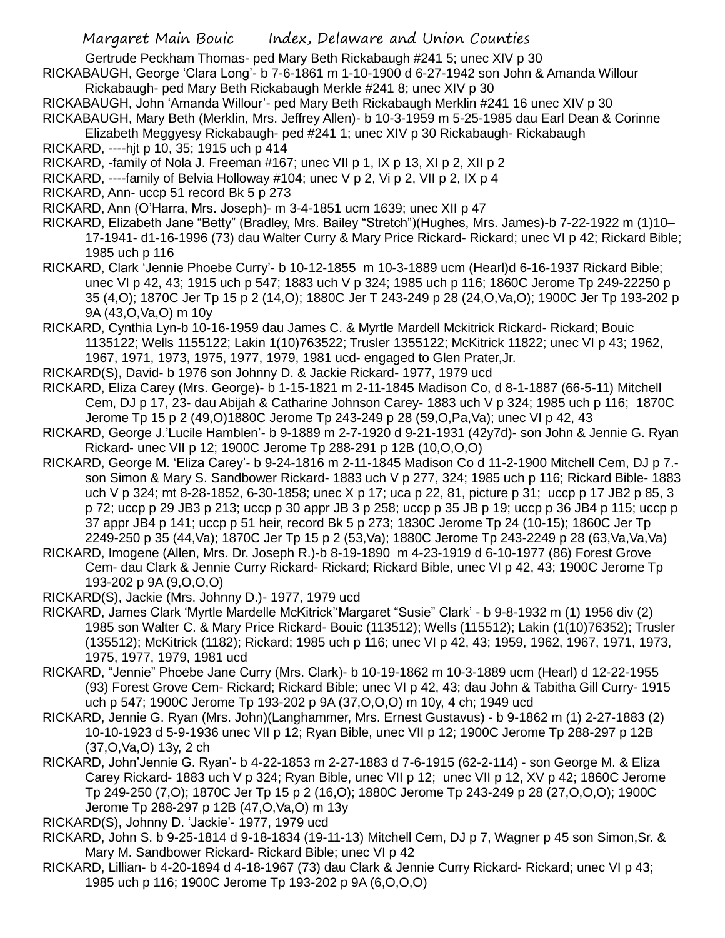Gertrude Peckham Thomas- ped Mary Beth Rickabaugh #241 5; unec XIV p 30

- RICKABAUGH, George 'Clara Long'- b 7-6-1861 m 1-10-1900 d 6-27-1942 son John & Amanda Willour Rickabaugh- ped Mary Beth Rickabaugh Merkle #241 8; unec XIV p 30
- RICKABAUGH, John 'Amanda Willour'- ped Mary Beth Rickabaugh Merklin #241 16 unec XIV p 30
- RICKABAUGH, Mary Beth (Merklin, Mrs. Jeffrey Allen)- b 10-3-1959 m 5-25-1985 dau Earl Dean & Corinne Elizabeth Meggyesy Rickabaugh- ped #241 1; unec XIV p 30 Rickabaugh- Rickabaugh
- RICKARD, ----hjt p 10, 35; 1915 uch p 414
- RICKARD, -family of Nola J. Freeman #167; unec VII p 1, IX p 13, XI p 2, XII p 2
- RICKARD, ----family of Belvia Holloway #104; unec V p 2, Vi p 2, VII p 2, IX p 4
- RICKARD, Ann- uccp 51 record Bk 5 p 273
- RICKARD, Ann (O'Harra, Mrs. Joseph)- m 3-4-1851 ucm 1639; unec XII p 47
- RICKARD, Elizabeth Jane "Betty" (Bradley, Mrs. Bailey "Stretch")(Hughes, Mrs. James)-b 7-22-1922 m (1)10– 17-1941- d1-16-1996 (73) dau Walter Curry & Mary Price Rickard- Rickard; unec VI p 42; Rickard Bible; 1985 uch p 116
- RICKARD, Clark 'Jennie Phoebe Curry'- b 10-12-1855 m 10-3-1889 ucm (Hearl)d 6-16-1937 Rickard Bible; unec VI p 42, 43; 1915 uch p 547; 1883 uch V p 324; 1985 uch p 116; 1860C Jerome Tp 249-22250 p 35 (4,O); 1870C Jer Tp 15 p 2 (14,O); 1880C Jer T 243-249 p 28 (24,O,Va,O); 1900C Jer Tp 193-202 p 9A (43,O,Va,O) m 10y
- RICKARD, Cynthia Lyn-b 10-16-1959 dau James C. & Myrtle Mardell Mckitrick Rickard- Rickard; Bouic 1135122; Wells 1155122; Lakin 1(10)763522; Trusler 1355122; McKitrick 11822; unec VI p 43; 1962, 1967, 1971, 1973, 1975, 1977, 1979, 1981 ucd- engaged to Glen Prater,Jr.
- RICKARD(S), David- b 1976 son Johnny D. & Jackie Rickard- 1977, 1979 ucd
- RICKARD, Eliza Carey (Mrs. George)- b 1-15-1821 m 2-11-1845 Madison Co, d 8-1-1887 (66-5-11) Mitchell Cem, DJ p 17, 23- dau Abijah & Catharine Johnson Carey- 1883 uch V p 324; 1985 uch p 116; 1870C Jerome Tp 15 p 2 (49,O)1880C Jerome Tp 243-249 p 28 (59,O,Pa,Va); unec VI p 42, 43
- RICKARD, George J.'Lucile Hamblen'- b 9-1889 m 2-7-1920 d 9-21-1931 (42y7d)- son John & Jennie G. Ryan Rickard- unec VII p 12; 1900C Jerome Tp 288-291 p 12B (10,O,O,O)
- RICKARD, George M. 'Eliza Carey'- b 9-24-1816 m 2-11-1845 Madison Co d 11-2-1900 Mitchell Cem, DJ p 7. son Simon & Mary S. Sandbower Rickard- 1883 uch V p 277, 324; 1985 uch p 116; Rickard Bible- 1883 uch V p 324; mt 8-28-1852, 6-30-1858; unec X p 17; uca p 22, 81, picture p 31; uccp p 17 JB2 p 85, 3 p 72; uccp p 29 JB3 p 213; uccp p 30 appr JB 3 p 258; uccp p 35 JB p 19; uccp p 36 JB4 p 115; uccp p 37 appr JB4 p 141; uccp p 51 heir, record Bk 5 p 273; 1830C Jerome Tp 24 (10-15); 1860C Jer Tp 2249-250 p 35 (44,Va); 1870C Jer Tp 15 p 2 (53,Va); 1880C Jerome Tp 243-2249 p 28 (63,Va,Va,Va)
- RICKARD, Imogene (Allen, Mrs. Dr. Joseph R.)-b 8-19-1890 m 4-23-1919 d 6-10-1977 (86) Forest Grove Cem- dau Clark & Jennie Curry Rickard- Rickard; Rickard Bible, unec VI p 42, 43; 1900C Jerome Tp 193-202 p 9A (9,O,O,O)
- RICKARD(S), Jackie (Mrs. Johnny D.)- 1977, 1979 ucd
- RICKARD, James Clark 'Myrtle Mardelle McKitrick''Margaret "Susie" Clark' b 9-8-1932 m (1) 1956 div (2) 1985 son Walter C. & Mary Price Rickard- Bouic (113512); Wells (115512); Lakin (1(10)76352); Trusler (135512); McKitrick (1182); Rickard; 1985 uch p 116; unec VI p 42, 43; 1959, 1962, 1967, 1971, 1973, 1975, 1977, 1979, 1981 ucd
- RICKARD, "Jennie" Phoebe Jane Curry (Mrs. Clark)- b 10-19-1862 m 10-3-1889 ucm (Hearl) d 12-22-1955 (93) Forest Grove Cem- Rickard; Rickard Bible; unec VI p 42, 43; dau John & Tabitha Gill Curry- 1915 uch p 547; 1900C Jerome Tp 193-202 p 9A (37,O,O,O) m 10y, 4 ch; 1949 ucd
- RICKARD, Jennie G. Ryan (Mrs. John)(Langhammer, Mrs. Ernest Gustavus) b 9-1862 m (1) 2-27-1883 (2) 10-10-1923 d 5-9-1936 unec VII p 12; Ryan Bible, unec VII p 12; 1900C Jerome Tp 288-297 p 12B (37,O,Va,O) 13y, 2 ch
- RICKARD, John'Jennie G. Ryan'- b 4-22-1853 m 2-27-1883 d 7-6-1915 (62-2-114) son George M. & Eliza Carey Rickard- 1883 uch V p 324; Ryan Bible, unec VII p 12; unec VII p 12, XV p 42; 1860C Jerome Tp 249-250 (7,O); 1870C Jer Tp 15 p 2 (16,O); 1880C Jerome Tp 243-249 p 28 (27,O,O,O); 1900C Jerome Tp 288-297 p 12B (47,O,Va,O) m 13y
- RICKARD(S), Johnny D. 'Jackie'- 1977, 1979 ucd
- RICKARD, John S. b 9-25-1814 d 9-18-1834 (19-11-13) Mitchell Cem, DJ p 7, Wagner p 45 son Simon,Sr. & Mary M. Sandbower Rickard- Rickard Bible; unec VI p 42
- RICKARD, Lillian- b 4-20-1894 d 4-18-1967 (73) dau Clark & Jennie Curry Rickard- Rickard; unec VI p 43; 1985 uch p 116; 1900C Jerome Tp 193-202 p 9A (6,O,O,O)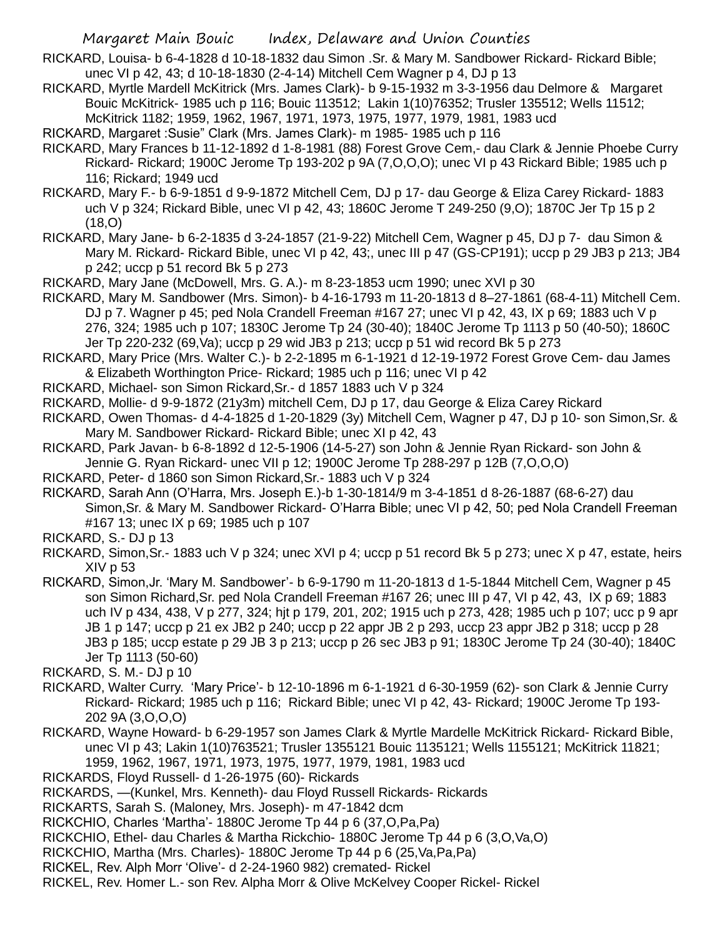RICKARD, Louisa- b 6-4-1828 d 10-18-1832 dau Simon .Sr. & Mary M. Sandbower Rickard- Rickard Bible; unec VI p 42, 43; d 10-18-1830 (2-4-14) Mitchell Cem Wagner p 4, DJ p 13

RICKARD, Myrtle Mardell McKitrick (Mrs. James Clark)- b 9-15-1932 m 3-3-1956 dau Delmore & Margaret Bouic McKitrick- 1985 uch p 116; Bouic 113512; Lakin 1(10)76352; Trusler 135512; Wells 11512; McKitrick 1182; 1959, 1962, 1967, 1971, 1973, 1975, 1977, 1979, 1981, 1983 ucd

RICKARD, Margaret :Susie" Clark (Mrs. James Clark)- m 1985- 1985 uch p 116

- RICKARD, Mary Frances b 11-12-1892 d 1-8-1981 (88) Forest Grove Cem,- dau Clark & Jennie Phoebe Curry Rickard- Rickard; 1900C Jerome Tp 193-202 p 9A (7,O,O,O); unec VI p 43 Rickard Bible; 1985 uch p 116; Rickard; 1949 ucd
- RICKARD, Mary F.- b 6-9-1851 d 9-9-1872 Mitchell Cem, DJ p 17- dau George & Eliza Carey Rickard- 1883 uch V p 324; Rickard Bible, unec VI p 42, 43; 1860C Jerome T 249-250 (9,O); 1870C Jer Tp 15 p 2  $(18,0)$
- RICKARD, Mary Jane- b 6-2-1835 d 3-24-1857 (21-9-22) Mitchell Cem, Wagner p 45, DJ p 7- dau Simon & Mary M. Rickard- Rickard Bible, unec VI p 42, 43;, unec III p 47 (GS-CP191); uccp p 29 JB3 p 213; JB4 p 242; uccp p 51 record Bk 5 p 273
- RICKARD, Mary Jane (McDowell, Mrs. G. A.)- m 8-23-1853 ucm 1990; unec XVI p 30
- RICKARD, Mary M. Sandbower (Mrs. Simon)- b 4-16-1793 m 11-20-1813 d 8–27-1861 (68-4-11) Mitchell Cem. DJ p 7. Wagner p 45; ped Nola Crandell Freeman #167 27; unec VI p 42, 43, IX p 69; 1883 uch V p 276, 324; 1985 uch p 107; 1830C Jerome Tp 24 (30-40); 1840C Jerome Tp 1113 p 50 (40-50); 1860C Jer Tp 220-232 (69,Va); uccp p 29 wid JB3 p 213; uccp p 51 wid record Bk 5 p 273
- RICKARD, Mary Price (Mrs. Walter C.)- b 2-2-1895 m 6-1-1921 d 12-19-1972 Forest Grove Cem- dau James & Elizabeth Worthington Price- Rickard; 1985 uch p 116; unec VI p 42
- RICKARD, Michael- son Simon Rickard,Sr.- d 1857 1883 uch V p 324
- RICKARD, Mollie- d 9-9-1872 (21y3m) mitchell Cem, DJ p 17, dau George & Eliza Carey Rickard
- RICKARD, Owen Thomas- d 4-4-1825 d 1-20-1829 (3y) Mitchell Cem, Wagner p 47, DJ p 10- son Simon,Sr. & Mary M. Sandbower Rickard- Rickard Bible; unec XI p 42, 43
- RICKARD, Park Javan- b 6-8-1892 d 12-5-1906 (14-5-27) son John & Jennie Ryan Rickard- son John & Jennie G. Ryan Rickard- unec VII p 12; 1900C Jerome Tp 288-297 p 12B (7,O,O,O)
- RICKARD, Peter- d 1860 son Simon Rickard,Sr.- 1883 uch V p 324
- RICKARD, Sarah Ann (O'Harra, Mrs. Joseph E.)-b 1-30-1814/9 m 3-4-1851 d 8-26-1887 (68-6-27) dau Simon,Sr. & Mary M. Sandbower Rickard- O'Harra Bible; unec VI p 42, 50; ped Nola Crandell Freeman #167 13; unec IX p 69; 1985 uch p 107
- RICKARD, S.- DJ p 13
- RICKARD, Simon,Sr.- 1883 uch V p 324; unec XVI p 4; uccp p 51 record Bk 5 p 273; unec X p 47, estate, heirs XIV p 53
- RICKARD, Simon,Jr. 'Mary M. Sandbower'- b 6-9-1790 m 11-20-1813 d 1-5-1844 Mitchell Cem, Wagner p 45 son Simon Richard,Sr. ped Nola Crandell Freeman #167 26; unec III p 47, VI p 42, 43, IX p 69; 1883 uch IV p 434, 438, V p 277, 324; hjt p 179, 201, 202; 1915 uch p 273, 428; 1985 uch p 107; ucc p 9 apr JB 1 p 147; uccp p 21 ex JB2 p 240; uccp p 22 appr JB 2 p 293, uccp 23 appr JB2 p 318; uccp p 28 JB3 p 185; uccp estate p 29 JB 3 p 213; uccp p 26 sec JB3 p 91; 1830C Jerome Tp 24 (30-40); 1840C Jer Tp 1113 (50-60)
- RICKARD, S. M.- DJ p 10
- RICKARD, Walter Curry. 'Mary Price'- b 12-10-1896 m 6-1-1921 d 6-30-1959 (62)- son Clark & Jennie Curry Rickard- Rickard; 1985 uch p 116; Rickard Bible; unec VI p 42, 43- Rickard; 1900C Jerome Tp 193- 202 9A (3,O,O,O)
- RICKARD, Wayne Howard- b 6-29-1957 son James Clark & Myrtle Mardelle McKitrick Rickard- Rickard Bible, unec VI p 43; Lakin 1(10)763521; Trusler 1355121 Bouic 1135121; Wells 1155121; McKitrick 11821; 1959, 1962, 1967, 1971, 1973, 1975, 1977, 1979, 1981, 1983 ucd
- RICKARDS, Floyd Russell- d 1-26-1975 (60)- Rickards
- RICKARDS, —(Kunkel, Mrs. Kenneth)- dau Floyd Russell Rickards- Rickards
- RICKARTS, Sarah S. (Maloney, Mrs. Joseph)- m 47-1842 dcm
- RICKCHIO, Charles 'Martha'- 1880C Jerome Tp 44 p 6 (37,O,Pa,Pa)
- RICKCHIO, Ethel- dau Charles & Martha Rickchio- 1880C Jerome Tp 44 p 6 (3,O,Va,O)
- RICKCHIO, Martha (Mrs. Charles)- 1880C Jerome Tp 44 p 6 (25,Va,Pa,Pa)
- RICKEL, Rev. Alph Morr 'Olive'- d 2-24-1960 982) cremated- Rickel
- RICKEL, Rev. Homer L.- son Rev. Alpha Morr & Olive McKelvey Cooper Rickel- Rickel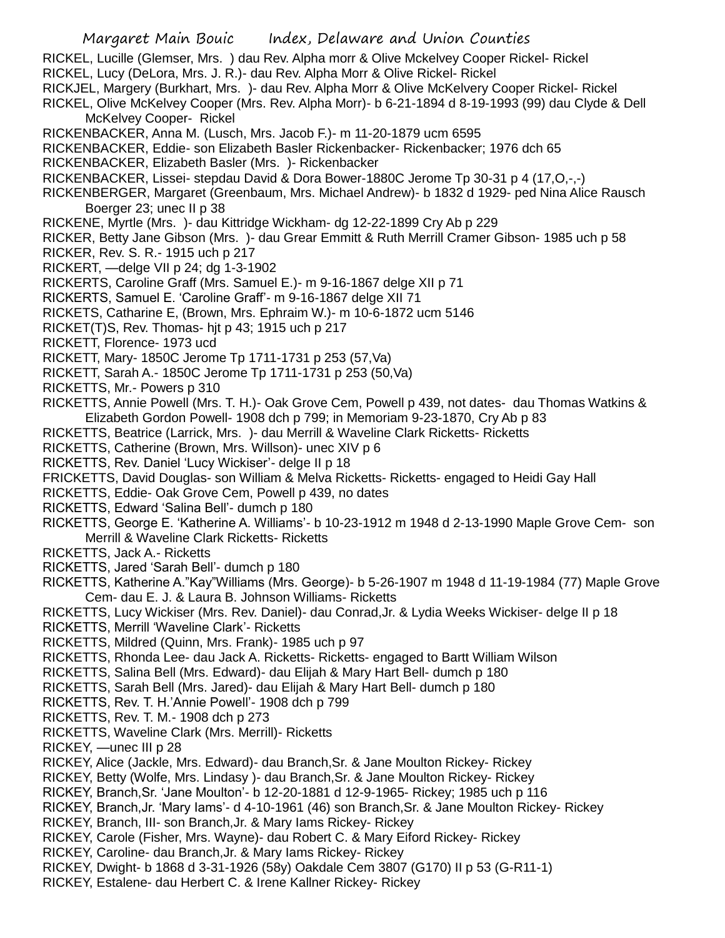RICKEL, Lucille (Glemser, Mrs. ) dau Rev. Alpha morr & Olive Mckelvey Cooper Rickel- Rickel RICKEL, Lucy (DeLora, Mrs. J. R.)- dau Rev. Alpha Morr & Olive Rickel- Rickel

RICKJEL, Margery (Burkhart, Mrs. )- dau Rev. Alpha Morr & Olive McKelvery Cooper Rickel- Rickel

RICKEL, Olive McKelvey Cooper (Mrs. Rev. Alpha Morr)- b 6-21-1894 d 8-19-1993 (99) dau Clyde & Dell McKelvey Cooper- Rickel

RICKENBACKER, Anna M. (Lusch, Mrs. Jacob F.)- m 11-20-1879 ucm 6595

RICKENBACKER, Eddie- son Elizabeth Basler Rickenbacker- Rickenbacker; 1976 dch 65

RICKENBACKER, Elizabeth Basler (Mrs. )- Rickenbacker

RICKENBACKER, Lissei- stepdau David & Dora Bower-1880C Jerome Tp 30-31 p 4 (17,O,-,-)

RICKENBERGER, Margaret (Greenbaum, Mrs. Michael Andrew)- b 1832 d 1929- ped Nina Alice Rausch Boerger 23; unec II p 38

RICKENE, Myrtle (Mrs. )- dau Kittridge Wickham- dg 12-22-1899 Cry Ab p 229

RICKER, Betty Jane Gibson (Mrs. )- dau Grear Emmitt & Ruth Merrill Cramer Gibson- 1985 uch p 58

RICKER, Rev. S. R.- 1915 uch p 217

RICKERT, —delge VII p 24; dg 1-3-1902

RICKERTS, Caroline Graff (Mrs. Samuel E.)- m 9-16-1867 delge XII p 71

RICKERTS, Samuel E. 'Caroline Graff'- m 9-16-1867 delge XII 71

RICKETS, Catharine E, (Brown, Mrs. Ephraim W.)- m 10-6-1872 ucm 5146

RICKET(T)S, Rev. Thomas- hjt p 43; 1915 uch p 217

RICKETT, Florence- 1973 ucd

RICKETT, Mary- 1850C Jerome Tp 1711-1731 p 253 (57,Va)

RICKETT, Sarah A.- 1850C Jerome Tp 1711-1731 p 253 (50,Va)

RICKETTS, Mr.- Powers p 310

RICKETTS, Annie Powell (Mrs. T. H.)- Oak Grove Cem, Powell p 439, not dates- dau Thomas Watkins & Elizabeth Gordon Powell- 1908 dch p 799; in Memoriam 9-23-1870, Cry Ab p 83

RICKETTS, Beatrice (Larrick, Mrs. )- dau Merrill & Waveline Clark Ricketts- Ricketts

RICKETTS, Catherine (Brown, Mrs. Willson)- unec XIV p 6

RICKETTS, Rev. Daniel 'Lucy Wickiser'- delge II p 18

FRICKETTS, David Douglas- son William & Melva Ricketts- Ricketts- engaged to Heidi Gay Hall

RICKETTS, Eddie- Oak Grove Cem, Powell p 439, no dates

RICKETTS, Edward 'Salina Bell'- dumch p 180

RICKETTS, George E. 'Katherine A. Williams'- b 10-23-1912 m 1948 d 2-13-1990 Maple Grove Cem- son Merrill & Waveline Clark Ricketts- Ricketts

RICKETTS, Jack A.- Ricketts

RICKETTS, Jared 'Sarah Bell'- dumch p 180

RICKETTS, Katherine A."Kay"Williams (Mrs. George)- b 5-26-1907 m 1948 d 11-19-1984 (77) Maple Grove Cem- dau E. J. & Laura B. Johnson Williams- Ricketts

RICKETTS, Lucy Wickiser (Mrs. Rev. Daniel)- dau Conrad,Jr. & Lydia Weeks Wickiser- delge II p 18

RICKETTS, Merrill 'Waveline Clark'- Ricketts

RICKETTS, Mildred (Quinn, Mrs. Frank)- 1985 uch p 97

RICKETTS, Rhonda Lee- dau Jack A. Ricketts- Ricketts- engaged to Bartt William Wilson

RICKETTS, Salina Bell (Mrs. Edward)- dau Elijah & Mary Hart Bell- dumch p 180

RICKETTS, Sarah Bell (Mrs. Jared)- dau Elijah & Mary Hart Bell- dumch p 180

RICKETTS, Rev. T. H.'Annie Powell'- 1908 dch p 799

RICKETTS, Rev. T. M.- 1908 dch p 273

RICKETTS, Waveline Clark (Mrs. Merrill)- Ricketts

RICKEY, —unec III p 28

RICKEY, Alice (Jackle, Mrs. Edward)- dau Branch,Sr. & Jane Moulton Rickey- Rickey

RICKEY, Betty (Wolfe, Mrs. Lindasy )- dau Branch,Sr. & Jane Moulton Rickey- Rickey

RICKEY, Branch,Sr. 'Jane Moulton'- b 12-20-1881 d 12-9-1965- Rickey; 1985 uch p 116

RICKEY, Branch,Jr. 'Mary Iams'- d 4-10-1961 (46) son Branch,Sr. & Jane Moulton Rickey- Rickey

RICKEY, Branch, III- son Branch,Jr. & Mary Iams Rickey- Rickey

RICKEY, Carole (Fisher, Mrs. Wayne)- dau Robert C. & Mary Eiford Rickey- Rickey

RICKEY, Caroline- dau Branch,Jr. & Mary Iams Rickey- Rickey

RICKEY, Dwight- b 1868 d 3-31-1926 (58y) Oakdale Cem 3807 (G170) II p 53 (G-R11-1)

RICKEY, Estalene- dau Herbert C. & Irene Kallner Rickey- Rickey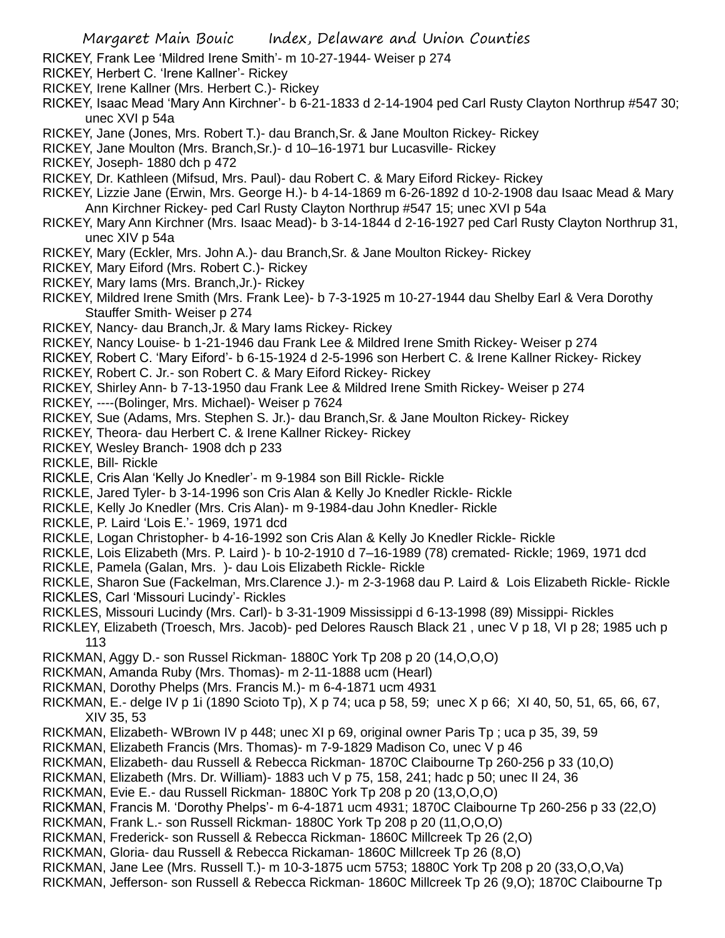- RICKEY, Frank Lee 'Mildred Irene Smith'- m 10-27-1944- Weiser p 274
- RICKEY, Herbert C. 'Irene Kallner'- Rickey
- RICKEY, Irene Kallner (Mrs. Herbert C.)- Rickey
- RICKEY, Isaac Mead 'Mary Ann Kirchner'- b 6-21-1833 d 2-14-1904 ped Carl Rusty Clayton Northrup #547 30; unec XVI p 54a
- RICKEY, Jane (Jones, Mrs. Robert T.)- dau Branch,Sr. & Jane Moulton Rickey- Rickey
- RICKEY, Jane Moulton (Mrs. Branch,Sr.)- d 10–16-1971 bur Lucasville- Rickey
- RICKEY, Joseph- 1880 dch p 472
- RICKEY, Dr. Kathleen (Mifsud, Mrs. Paul)- dau Robert C. & Mary Eiford Rickey- Rickey
- RICKEY, Lizzie Jane (Erwin, Mrs. George H.)- b 4-14-1869 m 6-26-1892 d 10-2-1908 dau Isaac Mead & Mary Ann Kirchner Rickey- ped Carl Rusty Clayton Northrup #547 15; unec XVI p 54a
- RICKEY, Mary Ann Kirchner (Mrs. Isaac Mead)- b 3-14-1844 d 2-16-1927 ped Carl Rusty Clayton Northrup 31, unec XIV p 54a
- RICKEY, Mary (Eckler, Mrs. John A.)- dau Branch,Sr. & Jane Moulton Rickey- Rickey
- RICKEY, Mary Eiford (Mrs. Robert C.)- Rickey
- RICKEY, Mary Iams (Mrs. Branch,Jr.)- Rickey
- RICKEY, Mildred Irene Smith (Mrs. Frank Lee)- b 7-3-1925 m 10-27-1944 dau Shelby Earl & Vera Dorothy Stauffer Smith- Weiser p 274
- RICKEY, Nancy- dau Branch,Jr. & Mary Iams Rickey- Rickey
- RICKEY, Nancy Louise- b 1-21-1946 dau Frank Lee & Mildred Irene Smith Rickey- Weiser p 274
- RICKEY, Robert C. 'Mary Eiford'- b 6-15-1924 d 2-5-1996 son Herbert C. & Irene Kallner Rickey- Rickey
- RICKEY, Robert C. Jr.- son Robert C. & Mary Eiford Rickey- Rickey
- RICKEY, Shirley Ann- b 7-13-1950 dau Frank Lee & Mildred Irene Smith Rickey- Weiser p 274
- RICKEY, ----(Bolinger, Mrs. Michael)- Weiser p 7624
- RICKEY, Sue (Adams, Mrs. Stephen S. Jr.)- dau Branch,Sr. & Jane Moulton Rickey- Rickey
- RICKEY, Theora- dau Herbert C. & Irene Kallner Rickey- Rickey
- RICKEY, Wesley Branch- 1908 dch p 233
- RICKLE, Bill- Rickle
- RICKLE, Cris Alan 'Kelly Jo Knedler'- m 9-1984 son Bill Rickle- Rickle
- RICKLE, Jared Tyler- b 3-14-1996 son Cris Alan & Kelly Jo Knedler Rickle- Rickle
- RICKLE, Kelly Jo Knedler (Mrs. Cris Alan)- m 9-1984-dau John Knedler- Rickle
- RICKLE, P. Laird 'Lois E.'- 1969, 1971 dcd
- RICKLE, Logan Christopher- b 4-16-1992 son Cris Alan & Kelly Jo Knedler Rickle- Rickle
- RICKLE, Lois Elizabeth (Mrs. P. Laird )- b 10-2-1910 d 7–16-1989 (78) cremated- Rickle; 1969, 1971 dcd
- RICKLE, Pamela (Galan, Mrs. )- dau Lois Elizabeth Rickle- Rickle
- RICKLE, Sharon Sue (Fackelman, Mrs.Clarence J.)- m 2-3-1968 dau P. Laird & Lois Elizabeth Rickle- Rickle RICKLES, Carl 'Missouri Lucindy'- Rickles
- RICKLES, Missouri Lucindy (Mrs. Carl)- b 3-31-1909 Mississippi d 6-13-1998 (89) Missippi- Rickles
- RICKLEY, Elizabeth (Troesch, Mrs. Jacob)- ped Delores Rausch Black 21 , unec V p 18, VI p 28; 1985 uch p 113
- RICKMAN, Aggy D.- son Russel Rickman- 1880C York Tp 208 p 20 (14,O,O,O)
- RICKMAN, Amanda Ruby (Mrs. Thomas)- m 2-11-1888 ucm (Hearl)
- RICKMAN, Dorothy Phelps (Mrs. Francis M.)- m 6-4-1871 ucm 4931
- RICKMAN, E.- delge IV p 1i (1890 Scioto Tp), X p 74; uca p 58, 59; unec X p 66; XI 40, 50, 51, 65, 66, 67, XIV 35, 53
- RICKMAN, Elizabeth- WBrown IV p 448; unec XI p 69, original owner Paris Tp ; uca p 35, 39, 59
- RICKMAN, Elizabeth Francis (Mrs. Thomas)- m 7-9-1829 Madison Co, unec V p 46
- RICKMAN, Elizabeth- dau Russell & Rebecca Rickman- 1870C Claibourne Tp 260-256 p 33 (10,O)
- RICKMAN, Elizabeth (Mrs. Dr. William)- 1883 uch V p 75, 158, 241; hadc p 50; unec II 24, 36
- RICKMAN, Evie E.- dau Russell Rickman- 1880C York Tp 208 p 20 (13,O,O,O)
- RICKMAN, Francis M. 'Dorothy Phelps'- m 6-4-1871 ucm 4931; 1870C Claibourne Tp 260-256 p 33 (22,O)
- RICKMAN, Frank L.- son Russell Rickman- 1880C York Tp 208 p 20 (11,O,O,O)
- RICKMAN, Frederick- son Russell & Rebecca Rickman- 1860C Millcreek Tp 26 (2,O)
- RICKMAN, Gloria- dau Russell & Rebecca Rickaman- 1860C Millcreek Tp 26 (8,O)
- RICKMAN, Jane Lee (Mrs. Russell T.)- m 10-3-1875 ucm 5753; 1880C York Tp 208 p 20 (33,O,O,Va)
- RICKMAN, Jefferson- son Russell & Rebecca Rickman- 1860C Millcreek Tp 26 (9,O); 1870C Claibourne Tp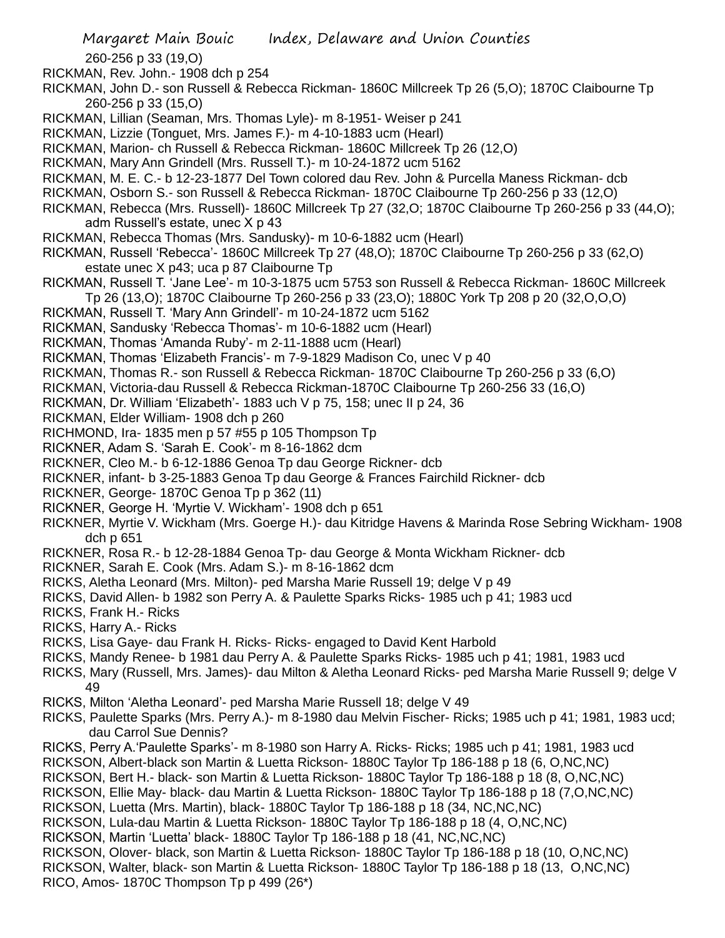- 260-256 p 33 (19,O)
- RICKMAN, Rev. John.- 1908 dch p 254
- RICKMAN, John D.- son Russell & Rebecca Rickman- 1860C Millcreek Tp 26 (5,O); 1870C Claibourne Tp 260-256 p 33 (15,O)
- RICKMAN, Lillian (Seaman, Mrs. Thomas Lyle)- m 8-1951- Weiser p 241
- RICKMAN, Lizzie (Tonguet, Mrs. James F.)- m 4-10-1883 ucm (Hearl)
- RICKMAN, Marion- ch Russell & Rebecca Rickman- 1860C Millcreek Tp 26 (12,O)
- RICKMAN, Mary Ann Grindell (Mrs. Russell T.)- m 10-24-1872 ucm 5162
- RICKMAN, M. E. C.- b 12-23-1877 Del Town colored dau Rev. John & Purcella Maness Rickman- dcb
- RICKMAN, Osborn S.- son Russell & Rebecca Rickman- 1870C Claibourne Tp 260-256 p 33 (12,O)
- RICKMAN, Rebecca (Mrs. Russell)- 1860C Millcreek Tp 27 (32,O; 1870C Claibourne Tp 260-256 p 33 (44,O); adm Russell's estate, unec X p 43
- RICKMAN, Rebecca Thomas (Mrs. Sandusky)- m 10-6-1882 ucm (Hearl)
- RICKMAN, Russell 'Rebecca'- 1860C Millcreek Tp 27 (48,O); 1870C Claibourne Tp 260-256 p 33 (62,O) estate unec X p43; uca p 87 Claibourne Tp
- RICKMAN, Russell T. 'Jane Lee'- m 10-3-1875 ucm 5753 son Russell & Rebecca Rickman- 1860C Millcreek Tp 26 (13,O); 1870C Claibourne Tp 260-256 p 33 (23,O); 1880C York Tp 208 p 20 (32,O,O,O)
- RICKMAN, Russell T. 'Mary Ann Grindell'- m 10-24-1872 ucm 5162
- RICKMAN, Sandusky 'Rebecca Thomas'- m 10-6-1882 ucm (Hearl)
- RICKMAN, Thomas 'Amanda Ruby'- m 2-11-1888 ucm (Hearl)
- RICKMAN, Thomas 'Elizabeth Francis'- m 7-9-1829 Madison Co, unec V p 40
- RICKMAN, Thomas R.- son Russell & Rebecca Rickman- 1870C Claibourne Tp 260-256 p 33 (6,O)
- RICKMAN, Victoria-dau Russell & Rebecca Rickman-1870C Claibourne Tp 260-256 33 (16,O)
- RICKMAN, Dr. William 'Elizabeth'- 1883 uch V p 75, 158; unec II p 24, 36
- RICKMAN, Elder William- 1908 dch p 260
- RICHMOND, Ira- 1835 men p 57 #55 p 105 Thompson Tp
- RICKNER, Adam S. 'Sarah E. Cook'- m 8-16-1862 dcm
- RICKNER, Cleo M.- b 6-12-1886 Genoa Tp dau George Rickner- dcb
- RICKNER, infant- b 3-25-1883 Genoa Tp dau George & Frances Fairchild Rickner- dcb
- RICKNER, George- 1870C Genoa Tp p 362 (11)
- RICKNER, George H. 'Myrtie V. Wickham'- 1908 dch p 651
- RICKNER, Myrtie V. Wickham (Mrs. Goerge H.)- dau Kitridge Havens & Marinda Rose Sebring Wickham- 1908 dch p 651
- RICKNER, Rosa R.- b 12-28-1884 Genoa Tp- dau George & Monta Wickham Rickner- dcb
- RICKNER, Sarah E. Cook (Mrs. Adam S.)- m 8-16-1862 dcm
- RICKS, Aletha Leonard (Mrs. Milton)- ped Marsha Marie Russell 19; delge V p 49
- RICKS, David Allen- b 1982 son Perry A. & Paulette Sparks Ricks- 1985 uch p 41; 1983 ucd
- RICKS, Frank H.- Ricks
- RICKS, Harry A.- Ricks
- RICKS, Lisa Gaye- dau Frank H. Ricks- Ricks- engaged to David Kent Harbold
- RICKS, Mandy Renee- b 1981 dau Perry A. & Paulette Sparks Ricks- 1985 uch p 41; 1981, 1983 ucd
- RICKS, Mary (Russell, Mrs. James)- dau Milton & Aletha Leonard Ricks- ped Marsha Marie Russell 9; delge V 49
- RICKS, Milton 'Aletha Leonard'- ped Marsha Marie Russell 18; delge V 49
- RICKS, Paulette Sparks (Mrs. Perry A.)- m 8-1980 dau Melvin Fischer- Ricks; 1985 uch p 41; 1981, 1983 ucd; dau Carrol Sue Dennis?
- RICKS, Perry A.'Paulette Sparks'- m 8-1980 son Harry A. Ricks- Ricks; 1985 uch p 41; 1981, 1983 ucd
- RICKSON, Albert-black son Martin & Luetta Rickson- 1880C Taylor Tp 186-188 p 18 (6, O,NC,NC)
- RICKSON, Bert H.- black- son Martin & Luetta Rickson- 1880C Taylor Tp 186-188 p 18 (8, O,NC,NC)
- RICKSON, Ellie May- black- dau Martin & Luetta Rickson- 1880C Taylor Tp 186-188 p 18 (7,O,NC,NC)
- RICKSON, Luetta (Mrs. Martin), black- 1880C Taylor Tp 186-188 p 18 (34, NC,NC,NC)
- RICKSON, Lula-dau Martin & Luetta Rickson- 1880C Taylor Tp 186-188 p 18 (4, O,NC,NC)
- RICKSON, Martin 'Luetta' black- 1880C Taylor Tp 186-188 p 18 (41, NC,NC,NC)
- RICKSON, Olover- black, son Martin & Luetta Rickson- 1880C Taylor Tp 186-188 p 18 (10, O,NC,NC) RICKSON, Walter, black- son Martin & Luetta Rickson- 1880C Taylor Tp 186-188 p 18 (13, O,NC,NC) RICO, Amos- 1870C Thompson Tp p 499 (26\*)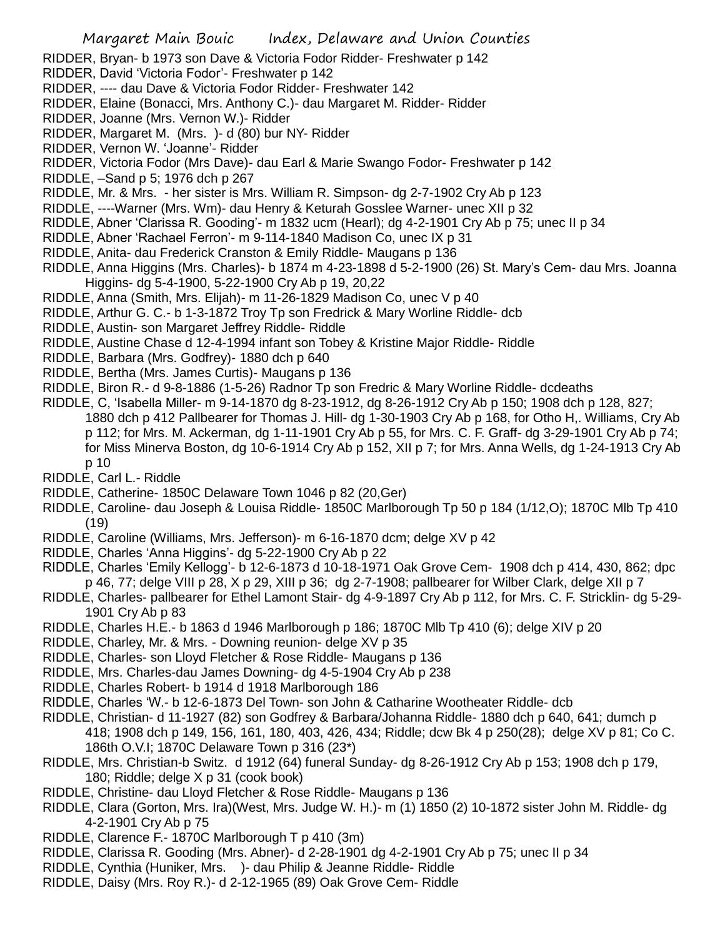- RIDDER, Bryan- b 1973 son Dave & Victoria Fodor Ridder- Freshwater p 142
- RIDDER, David 'Victoria Fodor'- Freshwater p 142
- RIDDER, ---- dau Dave & Victoria Fodor Ridder- Freshwater 142
- RIDDER, Elaine (Bonacci, Mrs. Anthony C.)- dau Margaret M. Ridder- Ridder
- RIDDER, Joanne (Mrs. Vernon W.)- Ridder
- RIDDER, Margaret M. (Mrs. )- d (80) bur NY- Ridder
- RIDDER, Vernon W. 'Joanne'- Ridder
- RIDDER, Victoria Fodor (Mrs Dave)- dau Earl & Marie Swango Fodor- Freshwater p 142
- RIDDLE, –Sand p 5; 1976 dch p 267
- RIDDLE, Mr. & Mrs. her sister is Mrs. William R. Simpson- dg 2-7-1902 Cry Ab p 123
- RIDDLE, ----Warner (Mrs. Wm)- dau Henry & Keturah Gosslee Warner- unec XII p 32
- RIDDLE, Abner 'Clarissa R. Gooding'- m 1832 ucm (Hearl); dg 4-2-1901 Cry Ab p 75; unec II p 34
- RIDDLE, Abner 'Rachael Ferron'- m 9-114-1840 Madison Co, unec IX p 31
- RIDDLE, Anita- dau Frederick Cranston & Emily Riddle- Maugans p 136
- RIDDLE, Anna Higgins (Mrs. Charles)- b 1874 m 4-23-1898 d 5-2-1900 (26) St. Mary's Cem- dau Mrs. Joanna Higgins- dg 5-4-1900, 5-22-1900 Cry Ab p 19, 20,22
- RIDDLE, Anna (Smith, Mrs. Elijah)- m 11-26-1829 Madison Co, unec V p 40
- RIDDLE, Arthur G. C.- b 1-3-1872 Troy Tp son Fredrick & Mary Worline Riddle- dcb
- RIDDLE, Austin- son Margaret Jeffrey Riddle- Riddle
- RIDDLE, Austine Chase d 12-4-1994 infant son Tobey & Kristine Major Riddle- Riddle
- RIDDLE, Barbara (Mrs. Godfrey)- 1880 dch p 640
- RIDDLE, Bertha (Mrs. James Curtis)- Maugans p 136
- RIDDLE, Biron R.- d 9-8-1886 (1-5-26) Radnor Tp son Fredric & Mary Worline Riddle- dcdeaths
- RIDDLE, C, 'Isabella Miller- m 9-14-1870 dg 8-23-1912, dg 8-26-1912 Cry Ab p 150; 1908 dch p 128, 827; 1880 dch p 412 Pallbearer for Thomas J. Hill- dg 1-30-1903 Cry Ab p 168, for Otho H,. Williams, Cry Ab p 112; for Mrs. M. Ackerman, dg 1-11-1901 Cry Ab p 55, for Mrs. C. F. Graff- dg 3-29-1901 Cry Ab p 74; for Miss Minerva Boston, dg 10-6-1914 Cry Ab p 152, XII p 7; for Mrs. Anna Wells, dg 1-24-1913 Cry Ab p 10
- RIDDLE, Carl L.- Riddle
- RIDDLE, Catherine- 1850C Delaware Town 1046 p 82 (20,Ger)
- RIDDLE, Caroline- dau Joseph & Louisa Riddle- 1850C Marlborough Tp 50 p 184 (1/12,O); 1870C Mlb Tp 410 (19)
- RIDDLE, Caroline (Williams, Mrs. Jefferson)- m 6-16-1870 dcm; delge XV p 42
- RIDDLE, Charles 'Anna Higgins'- dg 5-22-1900 Cry Ab p 22
- RIDDLE, Charles 'Emily Kellogg'- b 12-6-1873 d 10-18-1971 Oak Grove Cem- 1908 dch p 414, 430, 862; dpc p 46, 77; delge VIII p 28, X p 29, XIII p 36; dg 2-7-1908; pallbearer for Wilber Clark, delge XII p 7
- RIDDLE, Charles- pallbearer for Ethel Lamont Stair- dg 4-9-1897 Cry Ab p 112, for Mrs. C. F. Stricklin- dg 5-29- 1901 Cry Ab p 83
- RIDDLE, Charles H.E.- b 1863 d 1946 Marlborough p 186; 1870C Mlb Tp 410 (6); delge XIV p 20
- RIDDLE, Charley, Mr. & Mrs. Downing reunion- delge XV p 35
- RIDDLE, Charles- son Lloyd Fletcher & Rose Riddle- Maugans p 136
- RIDDLE, Mrs. Charles-dau James Downing- dg 4-5-1904 Cry Ab p 238
- RIDDLE, Charles Robert- b 1914 d 1918 Marlborough 186
- RIDDLE, Charles 'W.- b 12-6-1873 Del Town- son John & Catharine Wootheater Riddle- dcb
- RIDDLE, Christian- d 11-1927 (82) son Godfrey & Barbara/Johanna Riddle- 1880 dch p 640, 641; dumch p 418; 1908 dch p 149, 156, 161, 180, 403, 426, 434; Riddle; dcw Bk 4 p 250(28); delge XV p 81; Co C. 186th O.V.I; 1870C Delaware Town p 316 (23\*)
- RIDDLE, Mrs. Christian-b Switz. d 1912 (64) funeral Sunday- dg 8-26-1912 Cry Ab p 153; 1908 dch p 179, 180; Riddle; delge X p 31 (cook book)
- RIDDLE, Christine- dau Lloyd Fletcher & Rose Riddle- Maugans p 136
- RIDDLE, Clara (Gorton, Mrs. Ira)(West, Mrs. Judge W. H.)- m (1) 1850 (2) 10-1872 sister John M. Riddle- dg 4-2-1901 Cry Ab p 75
- RIDDLE, Clarence F.- 1870C Marlborough T p 410 (3m)
- RIDDLE, Clarissa R. Gooding (Mrs. Abner)- d 2-28-1901 dg 4-2-1901 Cry Ab p 75; unec II p 34
- RIDDLE, Cynthia (Huniker, Mrs. )- dau Philip & Jeanne Riddle- Riddle
- RIDDLE, Daisy (Mrs. Roy R.)- d 2-12-1965 (89) Oak Grove Cem- Riddle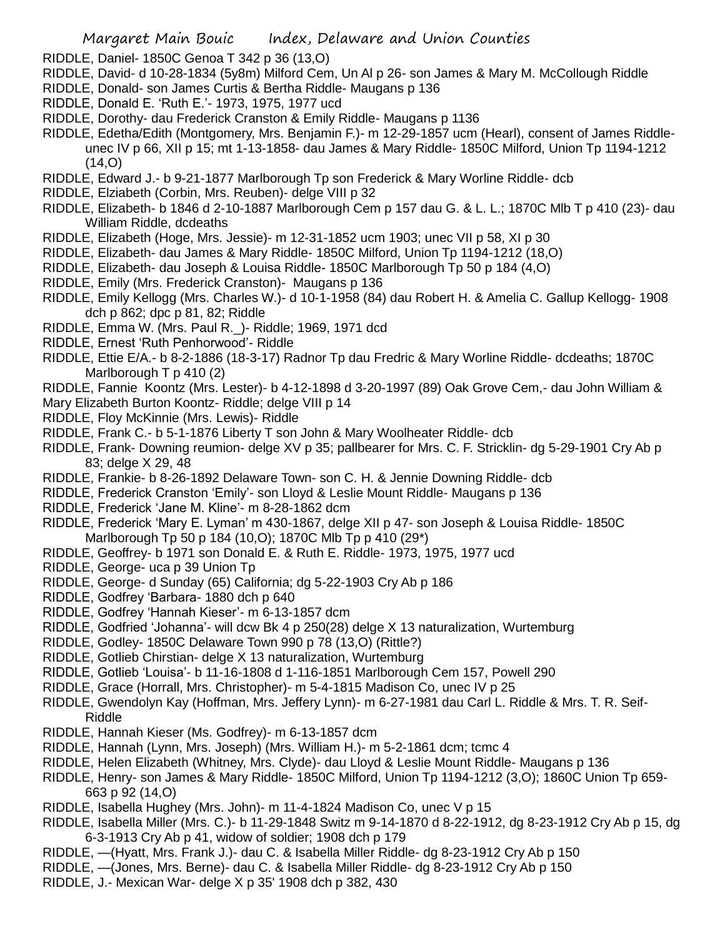- RIDDLE, Daniel- 1850C Genoa T 342 p 36 (13,O)
- RIDDLE, David- d 10-28-1834 (5y8m) Milford Cem, Un Al p 26- son James & Mary M. McCollough Riddle
- RIDDLE, Donald- son James Curtis & Bertha Riddle- Maugans p 136
- RIDDLE, Donald E. 'Ruth E.'- 1973, 1975, 1977 ucd
- RIDDLE, Dorothy- dau Frederick Cranston & Emily Riddle- Maugans p 1136
- RIDDLE, Edetha/Edith (Montgomery, Mrs. Benjamin F.)- m 12-29-1857 ucm (Hearl), consent of James Riddleunec IV p 66, XII p 15; mt 1-13-1858- dau James & Mary Riddle- 1850C Milford, Union Tp 1194-1212  $(14, 0)$
- RIDDLE, Edward J.- b 9-21-1877 Marlborough Tp son Frederick & Mary Worline Riddle- dcb
- RIDDLE, Elziabeth (Corbin, Mrs. Reuben)- delge VIII p 32
- RIDDLE, Elizabeth- b 1846 d 2-10-1887 Marlborough Cem p 157 dau G. & L. L.; 1870C Mlb T p 410 (23)- dau William Riddle, dcdeaths
- RIDDLE, Elizabeth (Hoge, Mrs. Jessie)- m 12-31-1852 ucm 1903; unec VII p 58, XI p 30
- RIDDLE, Elizabeth- dau James & Mary Riddle- 1850C Milford, Union Tp 1194-1212 (18,O)
- RIDDLE, Elizabeth- dau Joseph & Louisa Riddle- 1850C Marlborough Tp 50 p 184 (4,O)
- RIDDLE, Emily (Mrs. Frederick Cranston)- Maugans p 136
- RIDDLE, Emily Kellogg (Mrs. Charles W.)- d 10-1-1958 (84) dau Robert H. & Amelia C. Gallup Kellogg- 1908 dch p 862; dpc p 81, 82; Riddle
- RIDDLE, Emma W. (Mrs. Paul R.\_)- Riddle; 1969, 1971 dcd
- RIDDLE, Ernest 'Ruth Penhorwood'- Riddle
- RIDDLE, Ettie E/A.- b 8-2-1886 (18-3-17) Radnor Tp dau Fredric & Mary Worline Riddle- dcdeaths; 1870C Marlborough T p 410 (2)
- RIDDLE, Fannie Koontz (Mrs. Lester)- b 4-12-1898 d 3-20-1997 (89) Oak Grove Cem,- dau John William &
- Mary Elizabeth Burton Koontz- Riddle; delge VIII p 14
- RIDDLE, Floy McKinnie (Mrs. Lewis)- Riddle
- RIDDLE, Frank C.- b 5-1-1876 Liberty T son John & Mary Woolheater Riddle- dcb
- RIDDLE, Frank- Downing reumion- delge XV p 35; pallbearer for Mrs. C. F. Stricklin- dg 5-29-1901 Cry Ab p 83; delge X 29, 48
- RIDDLE, Frankie- b 8-26-1892 Delaware Town- son C. H. & Jennie Downing Riddle- dcb
- RIDDLE, Frederick Cranston 'Emily'- son Lloyd & Leslie Mount Riddle- Maugans p 136
- RIDDLE, Frederick 'Jane M. Kline'- m 8-28-1862 dcm
- RIDDLE, Frederick 'Mary E. Lyman' m 430-1867, delge XII p 47- son Joseph & Louisa Riddle- 1850C Marlborough Tp 50 p 184 (10,O); 1870C Mlb Tp p 410 (29\*)
- RIDDLE, Geoffrey- b 1971 son Donald E. & Ruth E. Riddle- 1973, 1975, 1977 ucd
- RIDDLE, George- uca p 39 Union Tp
- RIDDLE, George- d Sunday (65) California; dg 5-22-1903 Cry Ab p 186
- RIDDLE, Godfrey 'Barbara- 1880 dch p 640
- RIDDLE, Godfrey 'Hannah Kieser'- m 6-13-1857 dcm
- RIDDLE, Godfried 'Johanna'- will dcw Bk 4 p 250(28) delge X 13 naturalization, Wurtemburg
- RIDDLE, Godley- 1850C Delaware Town 990 p 78 (13,O) (Rittle?)
- RIDDLE, Gotlieb Chirstian- delge X 13 naturalization, Wurtemburg
- RIDDLE, Gotlieb 'Louisa'- b 11-16-1808 d 1-116-1851 Marlborough Cem 157, Powell 290
- RIDDLE, Grace (Horrall, Mrs. Christopher)- m 5-4-1815 Madison Co, unec IV p 25
- RIDDLE, Gwendolyn Kay (Hoffman, Mrs. Jeffery Lynn)- m 6-27-1981 dau Carl L. Riddle & Mrs. T. R. Seif-Riddle
- RIDDLE, Hannah Kieser (Ms. Godfrey)- m 6-13-1857 dcm
- RIDDLE, Hannah (Lynn, Mrs. Joseph) (Mrs. William H.)- m 5-2-1861 dcm; tcmc 4
- RIDDLE, Helen Elizabeth (Whitney, Mrs. Clyde)- dau Lloyd & Leslie Mount Riddle- Maugans p 136
- RIDDLE, Henry- son James & Mary Riddle- 1850C Milford, Union Tp 1194-1212 (3,O); 1860C Union Tp 659- 663 p 92 (14,O)
- RIDDLE, Isabella Hughey (Mrs. John)- m 11-4-1824 Madison Co, unec V p 15
- RIDDLE, Isabella Miller (Mrs. C.)- b 11-29-1848 Switz m 9-14-1870 d 8-22-1912, dg 8-23-1912 Cry Ab p 15, dg 6-3-1913 Cry Ab p 41, widow of soldier; 1908 dch p 179
- RIDDLE, —(Hyatt, Mrs. Frank J.)- dau C. & Isabella Miller Riddle- dg 8-23-1912 Cry Ab p 150
- RIDDLE, —(Jones, Mrs. Berne)- dau C. & Isabella Miller Riddle- dg 8-23-1912 Cry Ab p 150
- RIDDLE, J.- Mexican War- delge X p 35' 1908 dch p 382, 430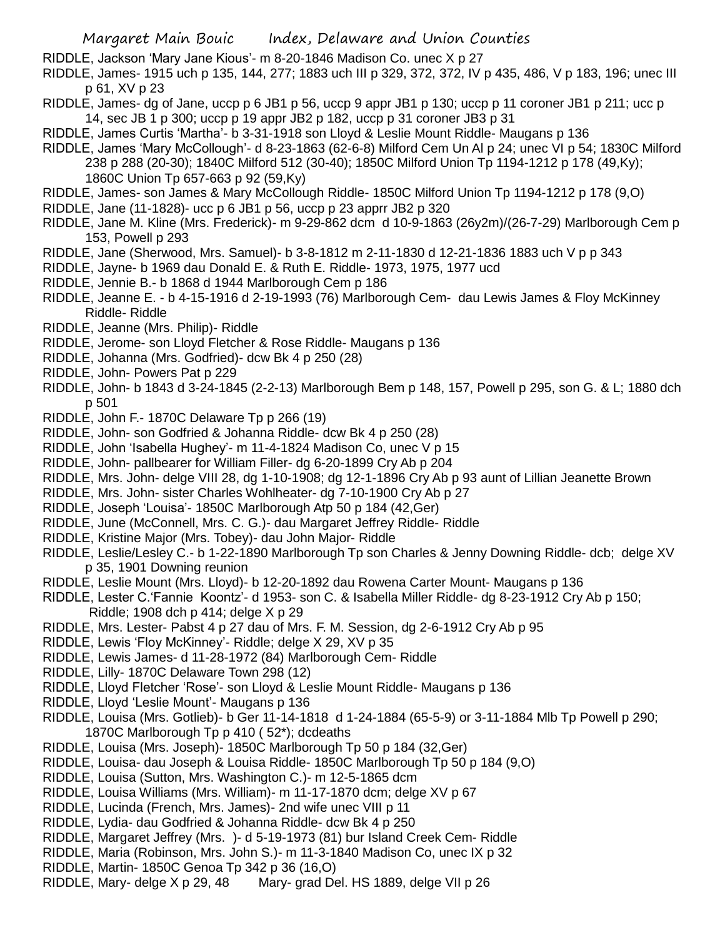- RIDDLE, Jackson 'Mary Jane Kious'- m 8-20-1846 Madison Co. unec X p 27
- RIDDLE, James- 1915 uch p 135, 144, 277; 1883 uch III p 329, 372, 372, IV p 435, 486, V p 183, 196; unec III p 61, XV p 23
- RIDDLE, James- dg of Jane, uccp p 6 JB1 p 56, uccp 9 appr JB1 p 130; uccp p 11 coroner JB1 p 211; ucc p 14, sec JB 1 p 300; uccp p 19 appr JB2 p 182, uccp p 31 coroner JB3 p 31
- RIDDLE, James Curtis 'Martha'- b 3-31-1918 son Lloyd & Leslie Mount Riddle- Maugans p 136
- RIDDLE, James 'Mary McCollough'- d 8-23-1863 (62-6-8) Milford Cem Un Al p 24; unec VI p 54; 1830C Milford 238 p 288 (20-30); 1840C Milford 512 (30-40); 1850C Milford Union Tp 1194-1212 p 178 (49,Ky); 1860C Union Tp 657-663 p 92 (59,Ky)
- RIDDLE, James- son James & Mary McCollough Riddle- 1850C Milford Union Tp 1194-1212 p 178 (9,O)
- RIDDLE, Jane (11-1828)- ucc p 6 JB1 p 56, uccp p 23 apprr JB2 p 320
- RIDDLE, Jane M. Kline (Mrs. Frederick)- m 9-29-862 dcm d 10-9-1863 (26y2m)/(26-7-29) Marlborough Cem p 153, Powell p 293
- RIDDLE, Jane (Sherwood, Mrs. Samuel)- b 3-8-1812 m 2-11-1830 d 12-21-1836 1883 uch V p p 343
- RIDDLE, Jayne- b 1969 dau Donald E. & Ruth E. Riddle- 1973, 1975, 1977 ucd
- RIDDLE, Jennie B.- b 1868 d 1944 Marlborough Cem p 186
- RIDDLE, Jeanne E. b 4-15-1916 d 2-19-1993 (76) Marlborough Cem- dau Lewis James & Floy McKinney Riddle- Riddle
- RIDDLE, Jeanne (Mrs. Philip)- Riddle
- RIDDLE, Jerome- son Lloyd Fletcher & Rose Riddle- Maugans p 136
- RIDDLE, Johanna (Mrs. Godfried)- dcw Bk 4 p 250 (28)
- RIDDLE, John- Powers Pat p 229
- RIDDLE, John- b 1843 d 3-24-1845 (2-2-13) Marlborough Bem p 148, 157, Powell p 295, son G. & L; 1880 dch p 501
- RIDDLE, John F.- 1870C Delaware Tp p 266 (19)
- RIDDLE, John- son Godfried & Johanna Riddle- dcw Bk 4 p 250 (28)
- RIDDLE, John 'Isabella Hughey'- m 11-4-1824 Madison Co, unec V p 15
- RIDDLE, John- pallbearer for William Filler- dg 6-20-1899 Cry Ab p 204
- RIDDLE, Mrs. John- delge VIII 28, dg 1-10-1908; dg 12-1-1896 Cry Ab p 93 aunt of Lillian Jeanette Brown
- RIDDLE, Mrs. John- sister Charles Wohlheater- dg 7-10-1900 Cry Ab p 27
- RIDDLE, Joseph 'Louisa'- 1850C Marlborough Atp 50 p 184 (42,Ger)
- RIDDLE, June (McConnell, Mrs. C. G.)- dau Margaret Jeffrey Riddle- Riddle
- RIDDLE, Kristine Major (Mrs. Tobey)- dau John Major- Riddle
- RIDDLE, Leslie/Lesley C.- b 1-22-1890 Marlborough Tp son Charles & Jenny Downing Riddle- dcb; delge XV p 35, 1901 Downing reunion
- RIDDLE, Leslie Mount (Mrs. Lloyd)- b 12-20-1892 dau Rowena Carter Mount- Maugans p 136
- RIDDLE, Lester C.'Fannie Koontz'- d 1953- son C. & Isabella Miller Riddle- dg 8-23-1912 Cry Ab p 150; Riddle; 1908 dch p 414; delge X p 29
- RIDDLE, Mrs. Lester- Pabst 4 p 27 dau of Mrs. F. M. Session, dg 2-6-1912 Cry Ab p 95
- RIDDLE, Lewis 'Floy McKinney'- Riddle; delge X 29, XV p 35
- RIDDLE, Lewis James- d 11-28-1972 (84) Marlborough Cem- Riddle
- RIDDLE, Lilly- 1870C Delaware Town 298 (12)
- RIDDLE, Lloyd Fletcher 'Rose'- son Lloyd & Leslie Mount Riddle- Maugans p 136
- RIDDLE, Lloyd 'Leslie Mount'- Maugans p 136
- RIDDLE, Louisa (Mrs. Gotlieb)- b Ger 11-14-1818 d 1-24-1884 (65-5-9) or 3-11-1884 Mlb Tp Powell p 290; 1870C Marlborough Tp p 410 ( 52\*); dcdeaths
- RIDDLE, Louisa (Mrs. Joseph)- 1850C Marlborough Tp 50 p 184 (32,Ger)
- RIDDLE, Louisa- dau Joseph & Louisa Riddle- 1850C Marlborough Tp 50 p 184 (9,O)
- RIDDLE, Louisa (Sutton, Mrs. Washington C.)- m 12-5-1865 dcm
- RIDDLE, Louisa Williams (Mrs. William)- m 11-17-1870 dcm; delge XV p 67
- RIDDLE, Lucinda (French, Mrs. James)- 2nd wife unec VIII p 11
- RIDDLE, Lydia- dau Godfried & Johanna Riddle- dcw Bk 4 p 250
- RIDDLE, Margaret Jeffrey (Mrs. )- d 5-19-1973 (81) bur Island Creek Cem- Riddle
- RIDDLE, Maria (Robinson, Mrs. John S.)- m 11-3-1840 Madison Co, unec IX p 32
- RIDDLE, Martin- 1850C Genoa Tp 342 p 36 (16,O)
- RIDDLE, Mary- delge X p 29, 48 Mary- grad Del. HS 1889, delge VII p 26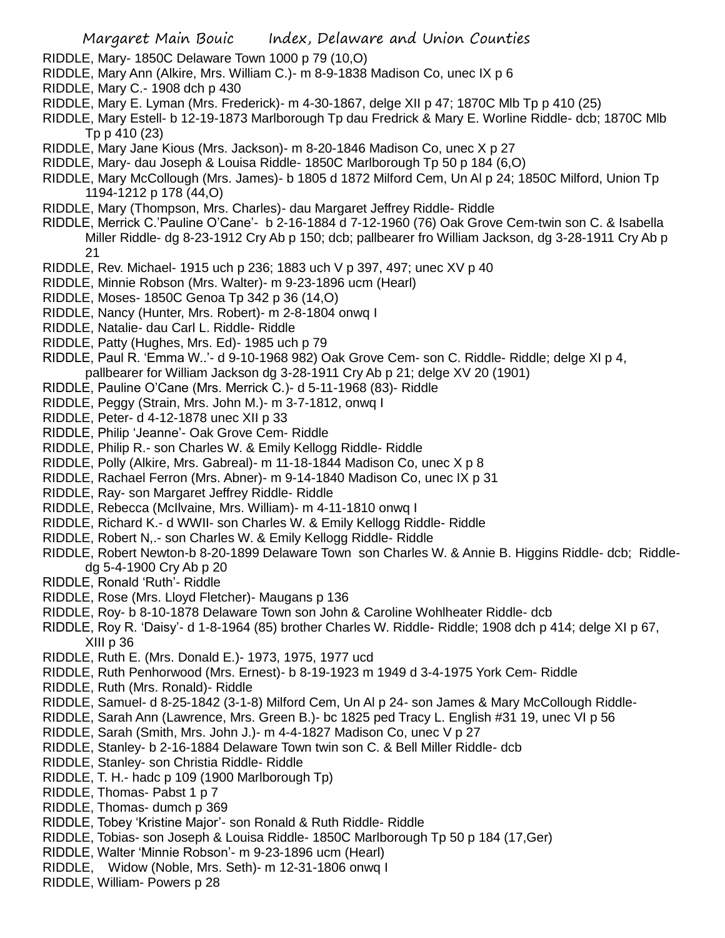RIDDLE, Mary- 1850C Delaware Town 1000 p 79 (10,O)

- RIDDLE, Mary Ann (Alkire, Mrs. William C.)- m 8-9-1838 Madison Co, unec IX p 6
- RIDDLE, Mary C.- 1908 dch p 430
- RIDDLE, Mary E. Lyman (Mrs. Frederick)- m 4-30-1867, delge XII p 47; 1870C Mlb Tp p 410 (25)
- RIDDLE, Mary Estell- b 12-19-1873 Marlborough Tp dau Fredrick & Mary E. Worline Riddle- dcb; 1870C Mlb Tp p 410 (23)
- RIDDLE, Mary Jane Kious (Mrs. Jackson)- m 8-20-1846 Madison Co, unec X p 27
- RIDDLE, Mary- dau Joseph & Louisa Riddle- 1850C Marlborough Tp 50 p 184 (6,O)
- RIDDLE, Mary McCollough (Mrs. James)- b 1805 d 1872 Milford Cem, Un Al p 24; 1850C Milford, Union Tp 1194-1212 p 178 (44,O)
- RIDDLE, Mary (Thompson, Mrs. Charles)- dau Margaret Jeffrey Riddle- Riddle
- RIDDLE, Merrick C.'Pauline O'Cane'- b 2-16-1884 d 7-12-1960 (76) Oak Grove Cem-twin son C. & Isabella Miller Riddle- dg 8-23-1912 Cry Ab p 150; dcb; pallbearer fro William Jackson, dg 3-28-1911 Cry Ab p 21
- RIDDLE, Rev. Michael- 1915 uch p 236; 1883 uch V p 397, 497; unec XV p 40
- RIDDLE, Minnie Robson (Mrs. Walter)- m 9-23-1896 ucm (Hearl)
- RIDDLE, Moses- 1850C Genoa Tp 342 p 36 (14,O)
- RIDDLE, Nancy (Hunter, Mrs. Robert)- m 2-8-1804 onwq I
- RIDDLE, Natalie- dau Carl L. Riddle- Riddle
- RIDDLE, Patty (Hughes, Mrs. Ed)- 1985 uch p 79
- RIDDLE, Paul R. 'Emma W..'- d 9-10-1968 982) Oak Grove Cem- son C. Riddle- Riddle; delge XI p 4, pallbearer for William Jackson dg 3-28-1911 Cry Ab p 21; delge XV 20 (1901)
- RIDDLE, Pauline O'Cane (Mrs. Merrick C.)- d 5-11-1968 (83)- Riddle
- RIDDLE, Peggy (Strain, Mrs. John M.)- m 3-7-1812, onwq I
- RIDDLE, Peter- d 4-12-1878 unec XII p 33
- RIDDLE, Philip 'Jeanne'- Oak Grove Cem- Riddle
- RIDDLE, Philip R.- son Charles W. & Emily Kellogg Riddle- Riddle
- RIDDLE, Polly (Alkire, Mrs. Gabreal)- m 11-18-1844 Madison Co, unec X p 8
- RIDDLE, Rachael Ferron (Mrs. Abner)- m 9-14-1840 Madison Co, unec IX p 31
- RIDDLE, Ray- son Margaret Jeffrey Riddle- Riddle
- RIDDLE, Rebecca (McIlvaine, Mrs. William)- m 4-11-1810 onwq I
- RIDDLE, Richard K.- d WWII- son Charles W. & Emily Kellogg Riddle- Riddle
- RIDDLE, Robert N,.- son Charles W. & Emily Kellogg Riddle- Riddle
- RIDDLE, Robert Newton-b 8-20-1899 Delaware Town son Charles W. & Annie B. Higgins Riddle- dcb; Riddledg 5-4-1900 Cry Ab p 20
- RIDDLE, Ronald 'Ruth'- Riddle
- RIDDLE, Rose (Mrs. Lloyd Fletcher)- Maugans p 136
- RIDDLE, Roy- b 8-10-1878 Delaware Town son John & Caroline Wohlheater Riddle- dcb
- RIDDLE, Roy R. 'Daisy'- d 1-8-1964 (85) brother Charles W. Riddle- Riddle; 1908 dch p 414; delge XI p 67, XIII p 36
- RIDDLE, Ruth E. (Mrs. Donald E.)- 1973, 1975, 1977 ucd
- RIDDLE, Ruth Penhorwood (Mrs. Ernest)- b 8-19-1923 m 1949 d 3-4-1975 York Cem- Riddle
- RIDDLE, Ruth (Mrs. Ronald)- Riddle
- RIDDLE, Samuel- d 8-25-1842 (3-1-8) Milford Cem, Un Al p 24- son James & Mary McCollough Riddle-
- RIDDLE, Sarah Ann (Lawrence, Mrs. Green B.)- bc 1825 ped Tracy L. English #31 19, unec VI p 56
- RIDDLE, Sarah (Smith, Mrs. John J.)- m 4-4-1827 Madison Co, unec V p 27
- RIDDLE, Stanley- b 2-16-1884 Delaware Town twin son C. & Bell Miller Riddle- dcb
- RIDDLE, Stanley- son Christia Riddle- Riddle
- RIDDLE, T. H.- hadc p 109 (1900 Marlborough Tp)
- RIDDLE, Thomas- Pabst 1 p 7
- RIDDLE, Thomas- dumch p 369
- RIDDLE, Tobey 'Kristine Major'- son Ronald & Ruth Riddle- Riddle
- RIDDLE, Tobias- son Joseph & Louisa Riddle- 1850C Marlborough Tp 50 p 184 (17,Ger)
- RIDDLE, Walter 'Minnie Robson'- m 9-23-1896 ucm (Hearl)
- RIDDLE, Widow (Noble, Mrs. Seth)- m 12-31-1806 onwq I
- RIDDLE, William- Powers p 28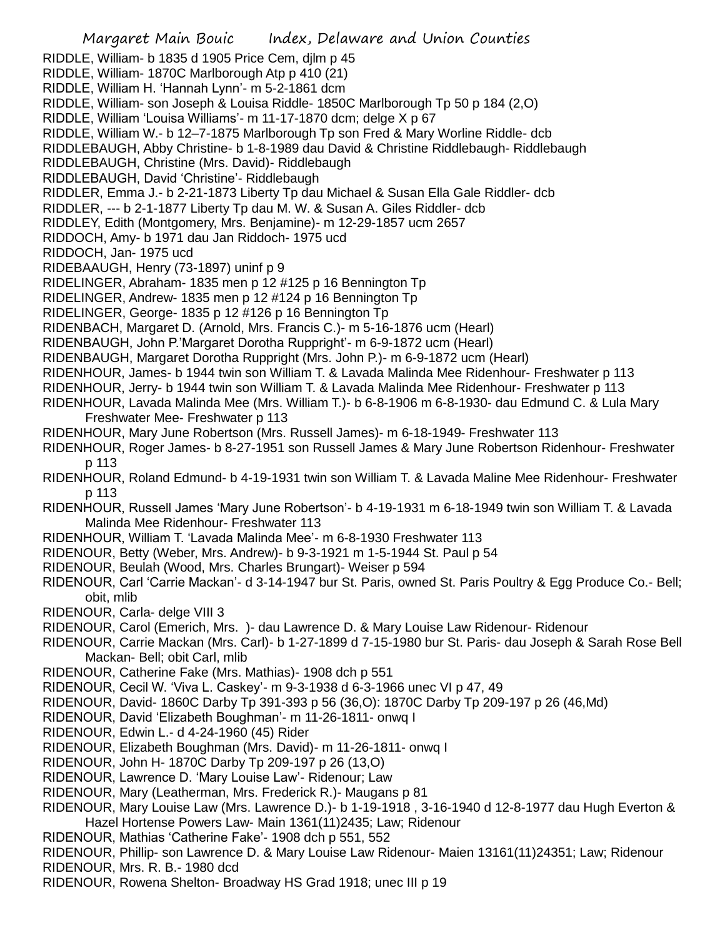Margaret Main Bouic Index, Delaware and Union Counties RIDDLE, William- b 1835 d 1905 Price Cem, djlm p 45 RIDDLE, William- 1870C Marlborough Atp p 410 (21) RIDDLE, William H. 'Hannah Lynn'- m 5-2-1861 dcm RIDDLE, William- son Joseph & Louisa Riddle- 1850C Marlborough Tp 50 p 184 (2,O) RIDDLE, William 'Louisa Williams'- m 11-17-1870 dcm; delge X p 67 RIDDLE, William W.- b 12–7-1875 Marlborough Tp son Fred & Mary Worline Riddle- dcb RIDDLEBAUGH, Abby Christine- b 1-8-1989 dau David & Christine Riddlebaugh- Riddlebaugh RIDDLEBAUGH, Christine (Mrs. David)- Riddlebaugh RIDDLEBAUGH, David 'Christine'- Riddlebaugh RIDDLER, Emma J.- b 2-21-1873 Liberty Tp dau Michael & Susan Ella Gale Riddler- dcb RIDDLER, --- b 2-1-1877 Liberty Tp dau M. W. & Susan A. Giles Riddler- dcb RIDDLEY, Edith (Montgomery, Mrs. Benjamine)- m 12-29-1857 ucm 2657 RIDDOCH, Amy- b 1971 dau Jan Riddoch- 1975 ucd RIDDOCH, Jan- 1975 ucd RIDEBAAUGH, Henry (73-1897) uninf p 9 RIDELINGER, Abraham- 1835 men p 12 #125 p 16 Bennington Tp RIDELINGER, Andrew- 1835 men p 12 #124 p 16 Bennington Tp RIDELINGER, George- 1835 p 12 #126 p 16 Bennington Tp RIDENBACH, Margaret D. (Arnold, Mrs. Francis C.)- m 5-16-1876 ucm (Hearl) RIDENBAUGH, John P.'Margaret Dorotha Ruppright'- m 6-9-1872 ucm (Hearl) RIDENBAUGH, Margaret Dorotha Ruppright (Mrs. John P.)- m 6-9-1872 ucm (Hearl) RIDENHOUR, James- b 1944 twin son William T. & Lavada Malinda Mee Ridenhour- Freshwater p 113 RIDENHOUR, Jerry- b 1944 twin son William T. & Lavada Malinda Mee Ridenhour- Freshwater p 113 RIDENHOUR, Lavada Malinda Mee (Mrs. William T.)- b 6-8-1906 m 6-8-1930- dau Edmund C. & Lula Mary Freshwater Mee- Freshwater p 113 RIDENHOUR, Mary June Robertson (Mrs. Russell James)- m 6-18-1949- Freshwater 113 RIDENHOUR, Roger James- b 8-27-1951 son Russell James & Mary June Robertson Ridenhour- Freshwater p 113 RIDENHOUR, Roland Edmund- b 4-19-1931 twin son William T. & Lavada Maline Mee Ridenhour- Freshwater p 113 RIDENHOUR, Russell James 'Mary June Robertson'- b 4-19-1931 m 6-18-1949 twin son William T. & Lavada Malinda Mee Ridenhour- Freshwater 113 RIDENHOUR, William T. 'Lavada Malinda Mee'- m 6-8-1930 Freshwater 113 RIDENOUR, Betty (Weber, Mrs. Andrew)- b 9-3-1921 m 1-5-1944 St. Paul p 54 RIDENOUR, Beulah (Wood, Mrs. Charles Brungart)- Weiser p 594 RIDENOUR, Carl 'Carrie Mackan'- d 3-14-1947 bur St. Paris, owned St. Paris Poultry & Egg Produce Co.- Bell; obit, mlib RIDENOUR, Carla- delge VIII 3 RIDENOUR, Carol (Emerich, Mrs. )- dau Lawrence D. & Mary Louise Law Ridenour- Ridenour RIDENOUR, Carrie Mackan (Mrs. Carl)- b 1-27-1899 d 7-15-1980 bur St. Paris- dau Joseph & Sarah Rose Bell Mackan- Bell; obit Carl, mlib RIDENOUR, Catherine Fake (Mrs. Mathias)- 1908 dch p 551 RIDENOUR, Cecil W. 'Viva L. Caskey'- m 9-3-1938 d 6-3-1966 unec VI p 47, 49 RIDENOUR, David- 1860C Darby Tp 391-393 p 56 (36,O): 1870C Darby Tp 209-197 p 26 (46,Md) RIDENOUR, David 'Elizabeth Boughman'- m 11-26-1811- onwq I RIDENOUR, Edwin L.- d 4-24-1960 (45) Rider RIDENOUR, Elizabeth Boughman (Mrs. David)- m 11-26-1811- onwq I RIDENOUR, John H- 1870C Darby Tp 209-197 p 26 (13,O) RIDENOUR, Lawrence D. 'Mary Louise Law'- Ridenour; Law RIDENOUR, Mary (Leatherman, Mrs. Frederick R.)- Maugans p 81 RIDENOUR, Mary Louise Law (Mrs. Lawrence D.)- b 1-19-1918 , 3-16-1940 d 12-8-1977 dau Hugh Everton & Hazel Hortense Powers Law- Main 1361(11)2435; Law; Ridenour RIDENOUR, Mathias 'Catherine Fake'- 1908 dch p 551, 552 RIDENOUR, Phillip- son Lawrence D. & Mary Louise Law Ridenour- Maien 13161(11)24351; Law; Ridenour RIDENOUR, Mrs. R. B.- 1980 dcd RIDENOUR, Rowena Shelton- Broadway HS Grad 1918; unec III p 19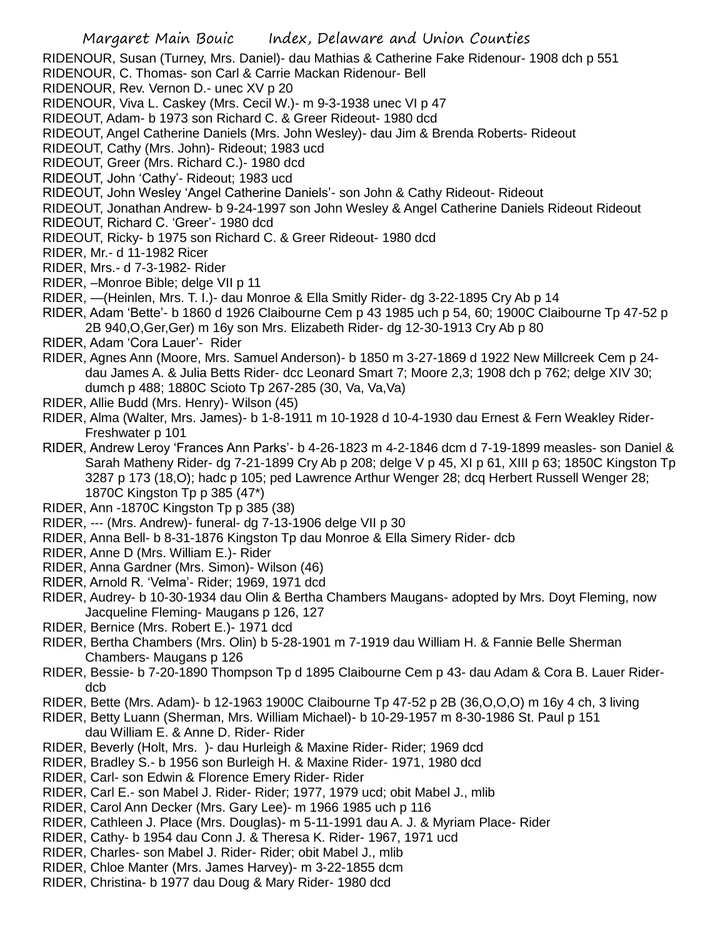RIDENOUR, Susan (Turney, Mrs. Daniel)- dau Mathias & Catherine Fake Ridenour- 1908 dch p 551

- RIDENOUR, C. Thomas- son Carl & Carrie Mackan Ridenour- Bell
- RIDENOUR, Rev. Vernon D.- unec XV p 20
- RIDENOUR, Viva L. Caskey (Mrs. Cecil W.)- m 9-3-1938 unec VI p 47
- RIDEOUT, Adam- b 1973 son Richard C. & Greer Rideout- 1980 dcd
- RIDEOUT, Angel Catherine Daniels (Mrs. John Wesley)- dau Jim & Brenda Roberts- Rideout
- RIDEOUT, Cathy (Mrs. John)- Rideout; 1983 ucd
- RIDEOUT, Greer (Mrs. Richard C.)- 1980 dcd
- RIDEOUT, John 'Cathy'- Rideout; 1983 ucd
- RIDEOUT, John Wesley 'Angel Catherine Daniels'- son John & Cathy Rideout- Rideout
- RIDEOUT, Jonathan Andrew- b 9-24-1997 son John Wesley & Angel Catherine Daniels Rideout Rideout
- RIDEOUT, Richard C. 'Greer'- 1980 dcd
- RIDEOUT, Ricky- b 1975 son Richard C. & Greer Rideout- 1980 dcd
- RIDER, Mr.- d 11-1982 Ricer
- RIDER, Mrs.- d 7-3-1982- Rider
- RIDER, –Monroe Bible; delge VII p 11
- RIDER, —(Heinlen, Mrs. T. I.)- dau Monroe & Ella Smitly Rider- dg 3-22-1895 Cry Ab p 14
- RIDER, Adam 'Bette'- b 1860 d 1926 Claibourne Cem p 43 1985 uch p 54, 60; 1900C Claibourne Tp 47-52 p 2B 940,O,Ger,Ger) m 16y son Mrs. Elizabeth Rider- dg 12-30-1913 Cry Ab p 80
- RIDER, Adam 'Cora Lauer'- Rider
- RIDER, Agnes Ann (Moore, Mrs. Samuel Anderson)- b 1850 m 3-27-1869 d 1922 New Millcreek Cem p 24 dau James A. & Julia Betts Rider- dcc Leonard Smart 7; Moore 2,3; 1908 dch p 762; delge XIV 30; dumch p 488; 1880C Scioto Tp 267-285 (30, Va, Va,Va)
- RIDER, Allie Budd (Mrs. Henry)- Wilson (45)
- RIDER, Alma (Walter, Mrs. James)- b 1-8-1911 m 10-1928 d 10-4-1930 dau Ernest & Fern Weakley Rider-Freshwater p 101
- RIDER, Andrew Leroy 'Frances Ann Parks'- b 4-26-1823 m 4-2-1846 dcm d 7-19-1899 measles- son Daniel & Sarah Matheny Rider- dg 7-21-1899 Cry Ab p 208; delge V p 45, XI p 61, XIII p 63; 1850C Kingston Tp 3287 p 173 (18,O); hadc p 105; ped Lawrence Arthur Wenger 28; dcq Herbert Russell Wenger 28; 1870C Kingston Tp p 385 (47\*)
- RIDER, Ann -1870C Kingston Tp p 385 (38)
- RIDER, --- (Mrs. Andrew)- funeral- dg 7-13-1906 delge VII p 30
- RIDER, Anna Bell- b 8-31-1876 Kingston Tp dau Monroe & Ella Simery Rider- dcb
- RIDER, Anne D (Mrs. William E.)- Rider
- RIDER, Anna Gardner (Mrs. Simon)- Wilson (46)
- RIDER, Arnold R. 'Velma'- Rider; 1969, 1971 dcd
- RIDER, Audrey- b 10-30-1934 dau Olin & Bertha Chambers Maugans- adopted by Mrs. Doyt Fleming, now Jacqueline Fleming- Maugans p 126, 127
- RIDER, Bernice (Mrs. Robert E.)- 1971 dcd
- RIDER, Bertha Chambers (Mrs. Olin) b 5-28-1901 m 7-1919 dau William H. & Fannie Belle Sherman Chambers- Maugans p 126
- RIDER, Bessie- b 7-20-1890 Thompson Tp d 1895 Claibourne Cem p 43- dau Adam & Cora B. Lauer Riderdcb
- RIDER, Bette (Mrs. Adam)- b 12-1963 1900C Claibourne Tp 47-52 p 2B (36,O,O,O) m 16y 4 ch, 3 living
- RIDER, Betty Luann (Sherman, Mrs. William Michael)- b 10-29-1957 m 8-30-1986 St. Paul p 151 dau William E. & Anne D. Rider- Rider
- RIDER, Beverly (Holt, Mrs. )- dau Hurleigh & Maxine Rider- Rider; 1969 dcd
- RIDER, Bradley S.- b 1956 son Burleigh H. & Maxine Rider- 1971, 1980 dcd
- RIDER, Carl- son Edwin & Florence Emery Rider- Rider
- RIDER, Carl E.- son Mabel J. Rider- Rider; 1977, 1979 ucd; obit Mabel J., mlib
- RIDER, Carol Ann Decker (Mrs. Gary Lee)- m 1966 1985 uch p 116
- RIDER, Cathleen J. Place (Mrs. Douglas)- m 5-11-1991 dau A. J. & Myriam Place- Rider
- RIDER, Cathy- b 1954 dau Conn J. & Theresa K. Rider- 1967, 1971 ucd
- RIDER, Charles- son Mabel J. Rider- Rider; obit Mabel J., mlib
- RIDER, Chloe Manter (Mrs. James Harvey)- m 3-22-1855 dcm
- RIDER, Christina- b 1977 dau Doug & Mary Rider- 1980 dcd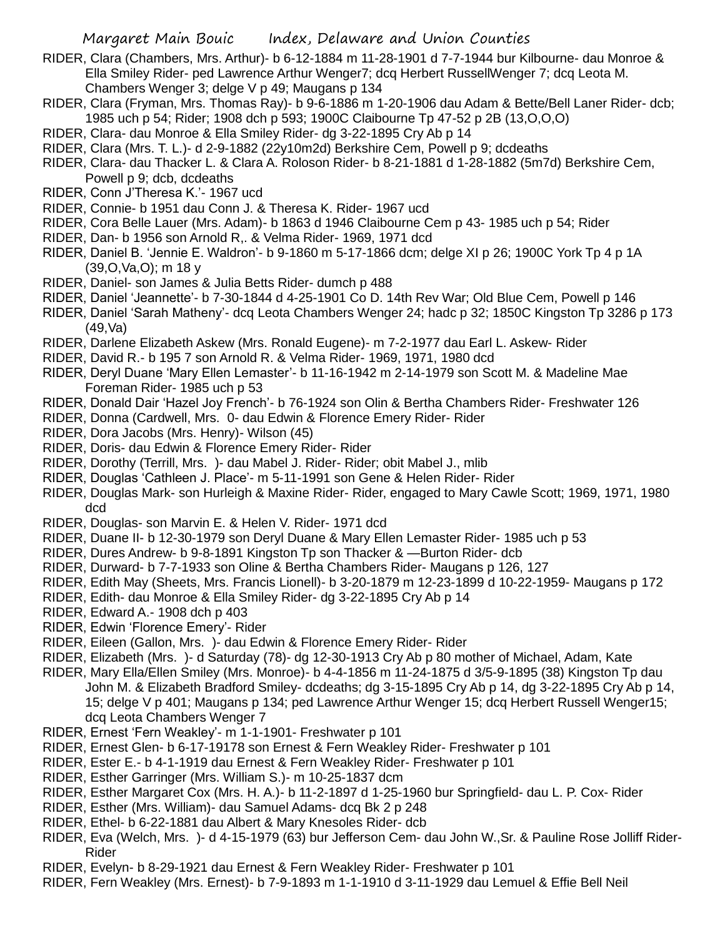- RIDER, Clara (Chambers, Mrs. Arthur)- b 6-12-1884 m 11-28-1901 d 7-7-1944 bur Kilbourne- dau Monroe & Ella Smiley Rider- ped Lawrence Arthur Wenger7; dcq Herbert RussellWenger 7; dcq Leota M. Chambers Wenger 3; delge V p 49; Maugans p 134
- RIDER, Clara (Fryman, Mrs. Thomas Ray)- b 9-6-1886 m 1-20-1906 dau Adam & Bette/Bell Laner Rider- dcb; 1985 uch p 54; Rider; 1908 dch p 593; 1900C Claibourne Tp 47-52 p 2B (13,O,O,O)
- RIDER, Clara- dau Monroe & Ella Smiley Rider- dg 3-22-1895 Cry Ab p 14
- RIDER, Clara (Mrs. T. L.)- d 2-9-1882 (22y10m2d) Berkshire Cem, Powell p 9; dcdeaths
- RIDER, Clara- dau Thacker L. & Clara A. Roloson Rider- b 8-21-1881 d 1-28-1882 (5m7d) Berkshire Cem, Powell p 9; dcb, dcdeaths
- RIDER, Conn J'Theresa K.'- 1967 ucd
- RIDER, Connie- b 1951 dau Conn J. & Theresa K. Rider- 1967 ucd
- RIDER, Cora Belle Lauer (Mrs. Adam)- b 1863 d 1946 Claibourne Cem p 43- 1985 uch p 54; Rider
- RIDER, Dan- b 1956 son Arnold R,. & Velma Rider- 1969, 1971 dcd
- RIDER, Daniel B. 'Jennie E. Waldron'- b 9-1860 m 5-17-1866 dcm; delge XI p 26; 1900C York Tp 4 p 1A (39,O,Va,O); m 18 y
- RIDER, Daniel- son James & Julia Betts Rider- dumch p 488
- RIDER, Daniel 'Jeannette'- b 7-30-1844 d 4-25-1901 Co D. 14th Rev War; Old Blue Cem, Powell p 146
- RIDER, Daniel 'Sarah Matheny'- dcq Leota Chambers Wenger 24; hadc p 32; 1850C Kingston Tp 3286 p 173 (49,Va)
- RIDER, Darlene Elizabeth Askew (Mrs. Ronald Eugene)- m 7-2-1977 dau Earl L. Askew- Rider
- RIDER, David R.- b 195 7 son Arnold R. & Velma Rider- 1969, 1971, 1980 dcd
- RIDER, Deryl Duane 'Mary Ellen Lemaster'- b 11-16-1942 m 2-14-1979 son Scott M. & Madeline Mae Foreman Rider- 1985 uch p 53
- RIDER, Donald Dair 'Hazel Joy French'- b 76-1924 son Olin & Bertha Chambers Rider- Freshwater 126
- RIDER, Donna (Cardwell, Mrs. 0- dau Edwin & Florence Emery Rider- Rider
- RIDER, Dora Jacobs (Mrs. Henry)- Wilson (45)
- RIDER, Doris- dau Edwin & Florence Emery Rider- Rider
- RIDER, Dorothy (Terrill, Mrs. )- dau Mabel J. Rider- Rider; obit Mabel J., mlib
- RIDER, Douglas 'Cathleen J. Place'- m 5-11-1991 son Gene & Helen Rider- Rider
- RIDER, Douglas Mark- son Hurleigh & Maxine Rider- Rider, engaged to Mary Cawle Scott; 1969, 1971, 1980 dcd
- RIDER, Douglas- son Marvin E. & Helen V. Rider- 1971 dcd
- RIDER, Duane II- b 12-30-1979 son Deryl Duane & Mary Ellen Lemaster Rider- 1985 uch p 53
- RIDER, Dures Andrew- b 9-8-1891 Kingston Tp son Thacker & —Burton Rider- dcb
- RIDER, Durward- b 7-7-1933 son Oline & Bertha Chambers Rider- Maugans p 126, 127
- RIDER, Edith May (Sheets, Mrs. Francis Lionell)- b 3-20-1879 m 12-23-1899 d 10-22-1959- Maugans p 172
- RIDER, Edith- dau Monroe & Ella Smiley Rider- dg 3-22-1895 Cry Ab p 14
- RIDER, Edward A.- 1908 dch p 403
- RIDER, Edwin 'Florence Emery'- Rider
- RIDER, Eileen (Gallon, Mrs. )- dau Edwin & Florence Emery Rider- Rider
- RIDER, Elizabeth (Mrs. )- d Saturday (78)- dg 12-30-1913 Cry Ab p 80 mother of Michael, Adam, Kate
- RIDER, Mary Ella/Ellen Smiley (Mrs. Monroe)- b 4-4-1856 m 11-24-1875 d 3/5-9-1895 (38) Kingston Tp dau John M. & Elizabeth Bradford Smiley- dcdeaths; dg 3-15-1895 Cry Ab p 14, dg 3-22-1895 Cry Ab p 14, 15; delge V p 401; Maugans p 134; ped Lawrence Arthur Wenger 15; dcq Herbert Russell Wenger15; dcq Leota Chambers Wenger 7
- RIDER, Ernest 'Fern Weakley'- m 1-1-1901- Freshwater p 101
- RIDER, Ernest Glen- b 6-17-19178 son Ernest & Fern Weakley Rider- Freshwater p 101
- RIDER, Ester E.- b 4-1-1919 dau Ernest & Fern Weakley Rider- Freshwater p 101
- RIDER, Esther Garringer (Mrs. William S.)- m 10-25-1837 dcm
- RIDER, Esther Margaret Cox (Mrs. H. A.)- b 11-2-1897 d 1-25-1960 bur Springfield- dau L. P. Cox- Rider
- RIDER, Esther (Mrs. William)- dau Samuel Adams- dcq Bk 2 p 248
- RIDER, Ethel- b 6-22-1881 dau Albert & Mary Knesoles Rider- dcb
- RIDER, Eva (Welch, Mrs. )- d 4-15-1979 (63) bur Jefferson Cem- dau John W.,Sr. & Pauline Rose Jolliff Rider-Rider
- RIDER, Evelyn- b 8-29-1921 dau Ernest & Fern Weakley Rider- Freshwater p 101
- RIDER, Fern Weakley (Mrs. Ernest)- b 7-9-1893 m 1-1-1910 d 3-11-1929 dau Lemuel & Effie Bell Neil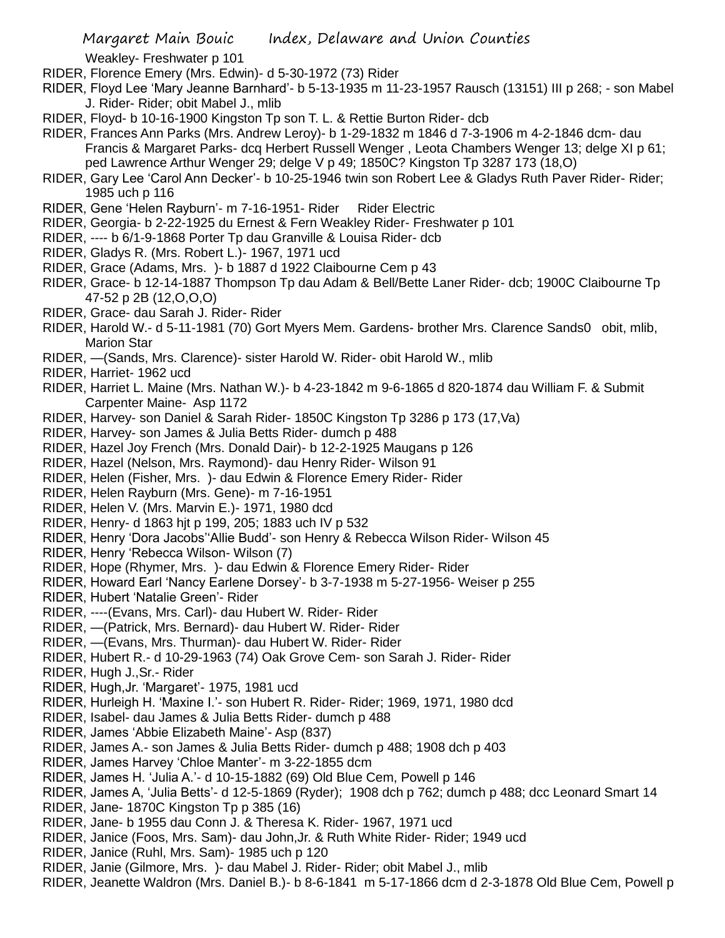Weakley- Freshwater p 101

- RIDER, Florence Emery (Mrs. Edwin)- d 5-30-1972 (73) Rider
- RIDER, Floyd Lee 'Mary Jeanne Barnhard'- b 5-13-1935 m 11-23-1957 Rausch (13151) III p 268; son Mabel J. Rider- Rider; obit Mabel J., mlib
- RIDER, Floyd- b 10-16-1900 Kingston Tp son T. L. & Rettie Burton Rider- dcb
- RIDER, Frances Ann Parks (Mrs. Andrew Leroy)- b 1-29-1832 m 1846 d 7-3-1906 m 4-2-1846 dcm- dau Francis & Margaret Parks- dcq Herbert Russell Wenger , Leota Chambers Wenger 13; delge XI p 61; ped Lawrence Arthur Wenger 29; delge V p 49; 1850C? Kingston Tp 3287 173 (18,O)
- RIDER, Gary Lee 'Carol Ann Decker'- b 10-25-1946 twin son Robert Lee & Gladys Ruth Paver Rider- Rider; 1985 uch p 116
- RIDER, Gene 'Helen Rayburn'- m 7-16-1951- Rider Rider Electric
- RIDER, Georgia- b 2-22-1925 du Ernest & Fern Weakley Rider- Freshwater p 101
- RIDER, ---- b 6/1-9-1868 Porter Tp dau Granville & Louisa Rider- dcb
- RIDER, Gladys R. (Mrs. Robert L.)- 1967, 1971 ucd
- RIDER, Grace (Adams, Mrs. )- b 1887 d 1922 Claibourne Cem p 43
- RIDER, Grace- b 12-14-1887 Thompson Tp dau Adam & Bell/Bette Laner Rider- dcb; 1900C Claibourne Tp 47-52 p 2B (12,O,O,O)
- RIDER, Grace- dau Sarah J. Rider- Rider
- RIDER, Harold W.- d 5-11-1981 (70) Gort Myers Mem. Gardens- brother Mrs. Clarence Sands0 obit, mlib, Marion Star
- RIDER, —(Sands, Mrs. Clarence)- sister Harold W. Rider- obit Harold W., mlib
- RIDER, Harriet- 1962 ucd
- RIDER, Harriet L. Maine (Mrs. Nathan W.)- b 4-23-1842 m 9-6-1865 d 820-1874 dau William F. & Submit Carpenter Maine- Asp 1172
- RIDER, Harvey- son Daniel & Sarah Rider- 1850C Kingston Tp 3286 p 173 (17,Va)
- RIDER, Harvey- son James & Julia Betts Rider- dumch p 488
- RIDER, Hazel Joy French (Mrs. Donald Dair)- b 12-2-1925 Maugans p 126
- RIDER, Hazel (Nelson, Mrs. Raymond)- dau Henry Rider- Wilson 91
- RIDER, Helen (Fisher, Mrs. )- dau Edwin & Florence Emery Rider- Rider
- RIDER, Helen Rayburn (Mrs. Gene)- m 7-16-1951
- RIDER, Helen V. (Mrs. Marvin E.)- 1971, 1980 dcd
- RIDER, Henry- d 1863 hjt p 199, 205; 1883 uch IV p 532
- RIDER, Henry 'Dora Jacobs''Allie Budd'- son Henry & Rebecca Wilson Rider- Wilson 45
- RIDER, Henry 'Rebecca Wilson- Wilson (7)
- RIDER, Hope (Rhymer, Mrs. )- dau Edwin & Florence Emery Rider- Rider
- RIDER, Howard Earl 'Nancy Earlene Dorsey'- b 3-7-1938 m 5-27-1956- Weiser p 255
- RIDER, Hubert 'Natalie Green'- Rider
- RIDER, ----(Evans, Mrs. Carl)- dau Hubert W. Rider- Rider
- RIDER, —(Patrick, Mrs. Bernard)- dau Hubert W. Rider- Rider
- RIDER, —(Evans, Mrs. Thurman)- dau Hubert W. Rider- Rider
- RIDER, Hubert R.- d 10-29-1963 (74) Oak Grove Cem- son Sarah J. Rider- Rider
- RIDER, Hugh J.,Sr.- Rider
- RIDER, Hugh,Jr. 'Margaret'- 1975, 1981 ucd
- RIDER, Hurleigh H. 'Maxine I.'- son Hubert R. Rider- Rider; 1969, 1971, 1980 dcd
- RIDER, Isabel- dau James & Julia Betts Rider- dumch p 488
- RIDER, James 'Abbie Elizabeth Maine'- Asp (837)
- RIDER, James A.- son James & Julia Betts Rider- dumch p 488; 1908 dch p 403
- RIDER, James Harvey 'Chloe Manter'- m 3-22-1855 dcm
- RIDER, James H. 'Julia A.'- d 10-15-1882 (69) Old Blue Cem, Powell p 146
- RIDER, James A, 'Julia Betts'- d 12-5-1869 (Ryder); 1908 dch p 762; dumch p 488; dcc Leonard Smart 14
- RIDER, Jane- 1870C Kingston Tp p 385 (16)
- RIDER, Jane- b 1955 dau Conn J. & Theresa K. Rider- 1967, 1971 ucd
- RIDER, Janice (Foos, Mrs. Sam)- dau John,Jr. & Ruth White Rider- Rider; 1949 ucd
- RIDER, Janice (Ruhl, Mrs. Sam)- 1985 uch p 120
- RIDER, Janie (Gilmore, Mrs. )- dau Mabel J. Rider- Rider; obit Mabel J., mlib
- RIDER, Jeanette Waldron (Mrs. Daniel B.)- b 8-6-1841 m 5-17-1866 dcm d 2-3-1878 Old Blue Cem, Powell p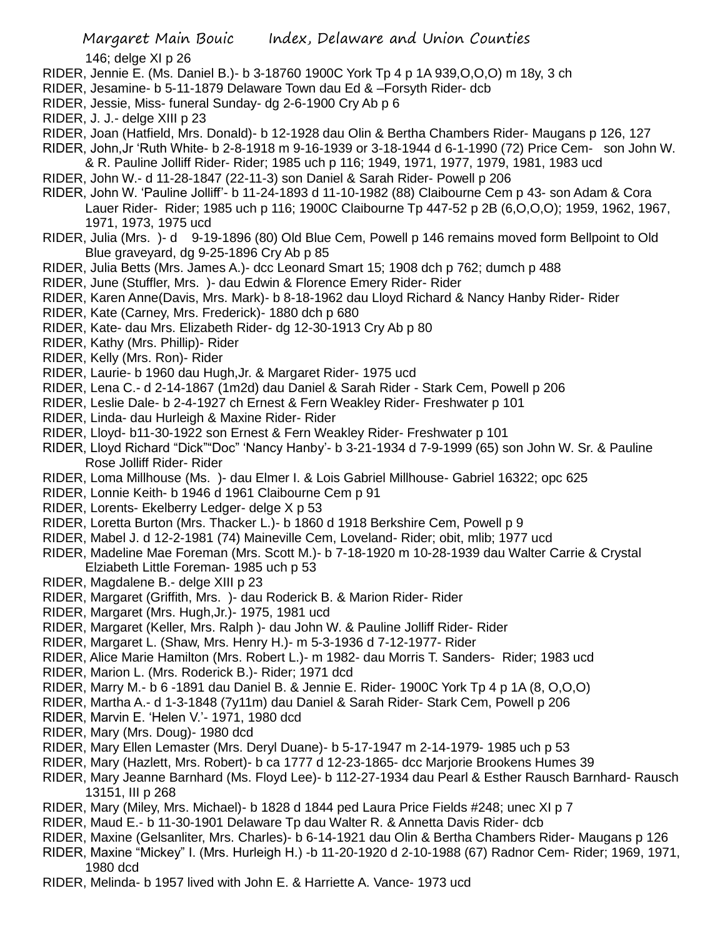146; delge XI p 26

- RIDER, Jennie E. (Ms. Daniel B.)- b 3-18760 1900C York Tp 4 p 1A 939,O,O,O) m 18y, 3 ch
- RIDER, Jesamine- b 5-11-1879 Delaware Town dau Ed & –Forsyth Rider- dcb
- RIDER, Jessie, Miss- funeral Sunday- dg 2-6-1900 Cry Ab p 6
- RIDER, J. J.- delge XIII p 23
- RIDER, Joan (Hatfield, Mrs. Donald)- b 12-1928 dau Olin & Bertha Chambers Rider- Maugans p 126, 127
- RIDER, John,Jr 'Ruth White- b 2-8-1918 m 9-16-1939 or 3-18-1944 d 6-1-1990 (72) Price Cem- son John W.
	- & R. Pauline Jolliff Rider- Rider; 1985 uch p 116; 1949, 1971, 1977, 1979, 1981, 1983 ucd
- RIDER, John W.- d 11-28-1847 (22-11-3) son Daniel & Sarah Rider- Powell p 206
- RIDER, John W. 'Pauline Jolliff'- b 11-24-1893 d 11-10-1982 (88) Claibourne Cem p 43- son Adam & Cora Lauer Rider- Rider; 1985 uch p 116; 1900C Claibourne Tp 447-52 p 2B (6,O,O,O); 1959, 1962, 1967, 1971, 1973, 1975 ucd
- RIDER, Julia (Mrs. )- d 9-19-1896 (80) Old Blue Cem, Powell p 146 remains moved form Bellpoint to Old Blue graveyard, dg 9-25-1896 Cry Ab p 85
- RIDER, Julia Betts (Mrs. James A.)- dcc Leonard Smart 15; 1908 dch p 762; dumch p 488
- RIDER, June (Stuffler, Mrs. )- dau Edwin & Florence Emery Rider- Rider
- RIDER, Karen Anne(Davis, Mrs. Mark)- b 8-18-1962 dau Lloyd Richard & Nancy Hanby Rider- Rider
- RIDER, Kate (Carney, Mrs. Frederick)- 1880 dch p 680
- RIDER, Kate- dau Mrs. Elizabeth Rider- dg 12-30-1913 Cry Ab p 80
- RIDER, Kathy (Mrs. Phillip)- Rider
- RIDER, Kelly (Mrs. Ron)- Rider
- RIDER, Laurie- b 1960 dau Hugh,Jr. & Margaret Rider- 1975 ucd
- RIDER, Lena C.- d 2-14-1867 (1m2d) dau Daniel & Sarah Rider Stark Cem, Powell p 206
- RIDER, Leslie Dale- b 2-4-1927 ch Ernest & Fern Weakley Rider- Freshwater p 101
- RIDER, Linda- dau Hurleigh & Maxine Rider- Rider
- RIDER, Lloyd- b11-30-1922 son Ernest & Fern Weakley Rider- Freshwater p 101
- RIDER, Lloyd Richard "Dick""Doc" 'Nancy Hanby'- b 3-21-1934 d 7-9-1999 (65) son John W. Sr. & Pauline Rose Jolliff Rider- Rider
- RIDER, Loma Millhouse (Ms. )- dau Elmer I. & Lois Gabriel Millhouse- Gabriel 16322; opc 625
- RIDER, Lonnie Keith- b 1946 d 1961 Claibourne Cem p 91
- RIDER, Lorents- Ekelberry Ledger- delge X p 53
- RIDER, Loretta Burton (Mrs. Thacker L.)- b 1860 d 1918 Berkshire Cem, Powell p 9
- RIDER, Mabel J. d 12-2-1981 (74) Maineville Cem, Loveland- Rider; obit, mlib; 1977 ucd
- RIDER, Madeline Mae Foreman (Mrs. Scott M.)- b 7-18-1920 m 10-28-1939 dau Walter Carrie & Crystal Elziabeth Little Foreman- 1985 uch p 53
- RIDER, Magdalene B.- delge XIII p 23
- RIDER, Margaret (Griffith, Mrs. )- dau Roderick B. & Marion Rider- Rider
- RIDER, Margaret (Mrs. Hugh,Jr.)- 1975, 1981 ucd
- RIDER, Margaret (Keller, Mrs. Ralph )- dau John W. & Pauline Jolliff Rider- Rider
- RIDER, Margaret L. (Shaw, Mrs. Henry H.)- m 5-3-1936 d 7-12-1977- Rider
- RIDER, Alice Marie Hamilton (Mrs. Robert L.)- m 1982- dau Morris T. Sanders- Rider; 1983 ucd
- RIDER, Marion L. (Mrs. Roderick B.)- Rider; 1971 dcd
- RIDER, Marry M.- b 6 -1891 dau Daniel B. & Jennie E. Rider- 1900C York Tp 4 p 1A (8, O,O,O)
- RIDER, Martha A.- d 1-3-1848 (7y11m) dau Daniel & Sarah Rider- Stark Cem, Powell p 206
- RIDER, Marvin E. 'Helen V.'- 1971, 1980 dcd
- RIDER, Mary (Mrs. Doug)- 1980 dcd
- RIDER, Mary Ellen Lemaster (Mrs. Deryl Duane)- b 5-17-1947 m 2-14-1979- 1985 uch p 53
- RIDER, Mary (Hazlett, Mrs. Robert)- b ca 1777 d 12-23-1865- dcc Marjorie Brookens Humes 39
- RIDER, Mary Jeanne Barnhard (Ms. Floyd Lee)- b 112-27-1934 dau Pearl & Esther Rausch Barnhard- Rausch 13151, III p 268
- RIDER, Mary (Miley, Mrs. Michael)- b 1828 d 1844 ped Laura Price Fields #248; unec XI p 7
- RIDER, Maud E.- b 11-30-1901 Delaware Tp dau Walter R. & Annetta Davis Rider- dcb
- RIDER, Maxine (Gelsanliter, Mrs. Charles)- b 6-14-1921 dau Olin & Bertha Chambers Rider- Maugans p 126
- RIDER, Maxine "Mickey" I. (Mrs. Hurleigh H.) -b 11-20-1920 d 2-10-1988 (67) Radnor Cem- Rider; 1969, 1971, 1980 dcd
- RIDER, Melinda- b 1957 lived with John E. & Harriette A. Vance- 1973 ucd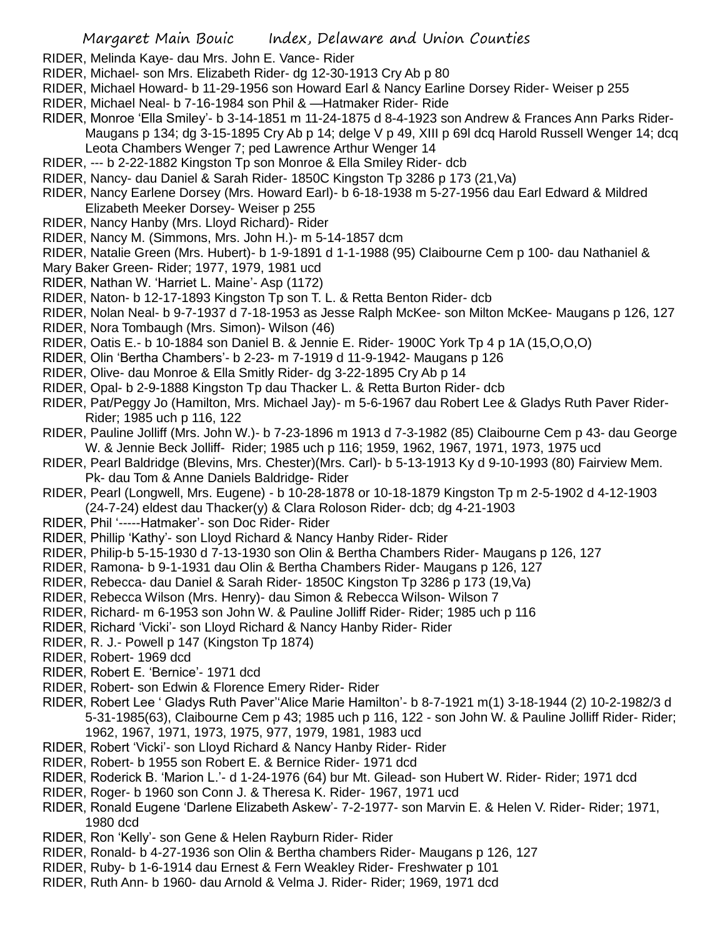RIDER, Melinda Kaye- dau Mrs. John E. Vance- Rider

- RIDER, Michael- son Mrs. Elizabeth Rider- dg 12-30-1913 Cry Ab p 80
- RIDER, Michael Howard- b 11-29-1956 son Howard Earl & Nancy Earline Dorsey Rider- Weiser p 255
- RIDER, Michael Neal- b 7-16-1984 son Phil & —Hatmaker Rider- Ride
- RIDER, Monroe 'Ella Smiley'- b 3-14-1851 m 11-24-1875 d 8-4-1923 son Andrew & Frances Ann Parks Rider-Maugans p 134; dg 3-15-1895 Cry Ab p 14; delge V p 49, XIII p 69l dcq Harold Russell Wenger 14; dcq Leota Chambers Wenger 7; ped Lawrence Arthur Wenger 14
- RIDER, --- b 2-22-1882 Kingston Tp son Monroe & Ella Smiley Rider- dcb
- RIDER, Nancy- dau Daniel & Sarah Rider- 1850C Kingston Tp 3286 p 173 (21,Va)
- RIDER, Nancy Earlene Dorsey (Mrs. Howard Earl)- b 6-18-1938 m 5-27-1956 dau Earl Edward & Mildred Elizabeth Meeker Dorsey- Weiser p 255
- RIDER, Nancy Hanby (Mrs. Lloyd Richard)- Rider
- RIDER, Nancy M. (Simmons, Mrs. John H.)- m 5-14-1857 dcm
- RIDER, Natalie Green (Mrs. Hubert)- b 1-9-1891 d 1-1-1988 (95) Claibourne Cem p 100- dau Nathaniel &
- Mary Baker Green- Rider; 1977, 1979, 1981 ucd
- RIDER, Nathan W. 'Harriet L. Maine'- Asp (1172)
- RIDER, Naton- b 12-17-1893 Kingston Tp son T. L. & Retta Benton Rider- dcb
- RIDER, Nolan Neal- b 9-7-1937 d 7-18-1953 as Jesse Ralph McKee- son Milton McKee- Maugans p 126, 127
- RIDER, Nora Tombaugh (Mrs. Simon)- Wilson (46)
- RIDER, Oatis E.- b 10-1884 son Daniel B. & Jennie E. Rider- 1900C York Tp 4 p 1A (15,O,O,O)
- RIDER, Olin 'Bertha Chambers'- b 2-23- m 7-1919 d 11-9-1942- Maugans p 126
- RIDER, Olive- dau Monroe & Ella Smitly Rider- dg 3-22-1895 Cry Ab p 14
- RIDER, Opal- b 2-9-1888 Kingston Tp dau Thacker L. & Retta Burton Rider- dcb
- RIDER, Pat/Peggy Jo (Hamilton, Mrs. Michael Jay)- m 5-6-1967 dau Robert Lee & Gladys Ruth Paver Rider-Rider; 1985 uch p 116, 122
- RIDER, Pauline Jolliff (Mrs. John W.)- b 7-23-1896 m 1913 d 7-3-1982 (85) Claibourne Cem p 43- dau George W. & Jennie Beck Jolliff- Rider; 1985 uch p 116; 1959, 1962, 1967, 1971, 1973, 1975 ucd
- RIDER, Pearl Baldridge (Blevins, Mrs. Chester)(Mrs. Carl)- b 5-13-1913 Ky d 9-10-1993 (80) Fairview Mem. Pk- dau Tom & Anne Daniels Baldridge- Rider
- RIDER, Pearl (Longwell, Mrs. Eugene) b 10-28-1878 or 10-18-1879 Kingston Tp m 2-5-1902 d 4-12-1903 (24-7-24) eldest dau Thacker(y) & Clara Roloson Rider- dcb; dg 4-21-1903
- RIDER, Phil '-----Hatmaker'- son Doc Rider- Rider
- RIDER, Phillip 'Kathy'- son Lloyd Richard & Nancy Hanby Rider- Rider
- RIDER, Philip-b 5-15-1930 d 7-13-1930 son Olin & Bertha Chambers Rider- Maugans p 126, 127
- RIDER, Ramona- b 9-1-1931 dau Olin & Bertha Chambers Rider- Maugans p 126, 127
- RIDER, Rebecca- dau Daniel & Sarah Rider- 1850C Kingston Tp 3286 p 173 (19,Va)
- RIDER, Rebecca Wilson (Mrs. Henry)- dau Simon & Rebecca Wilson- Wilson 7
- RIDER, Richard- m 6-1953 son John W. & Pauline Jolliff Rider- Rider; 1985 uch p 116
- RIDER, Richard 'Vicki'- son Lloyd Richard & Nancy Hanby Rider- Rider
- RIDER, R. J.- Powell p 147 (Kingston Tp 1874)
- RIDER, Robert- 1969 dcd
- RIDER, Robert E. 'Bernice'- 1971 dcd
- RIDER, Robert- son Edwin & Florence Emery Rider- Rider
- RIDER, Robert Lee ' Gladys Ruth Paver''Alice Marie Hamilton'- b 8-7-1921 m(1) 3-18-1944 (2) 10-2-1982/3 d 5-31-1985(63), Claibourne Cem p 43; 1985 uch p 116, 122 - son John W. & Pauline Jolliff Rider- Rider; 1962, 1967, 1971, 1973, 1975, 977, 1979, 1981, 1983 ucd
- RIDER, Robert 'Vicki'- son Lloyd Richard & Nancy Hanby Rider- Rider
- RIDER, Robert- b 1955 son Robert E. & Bernice Rider- 1971 dcd
- RIDER, Roderick B. 'Marion L.'- d 1-24-1976 (64) bur Mt. Gilead- son Hubert W. Rider- Rider; 1971 dcd
- RIDER, Roger- b 1960 son Conn J. & Theresa K. Rider- 1967, 1971 ucd
- RIDER, Ronald Eugene 'Darlene Elizabeth Askew'- 7-2-1977- son Marvin E. & Helen V. Rider- Rider; 1971, 1980 dcd
- RIDER, Ron 'Kelly'- son Gene & Helen Rayburn Rider- Rider
- RIDER, Ronald- b 4-27-1936 son Olin & Bertha chambers Rider- Maugans p 126, 127
- RIDER, Ruby- b 1-6-1914 dau Ernest & Fern Weakley Rider- Freshwater p 101
- RIDER, Ruth Ann- b 1960- dau Arnold & Velma J. Rider- Rider; 1969, 1971 dcd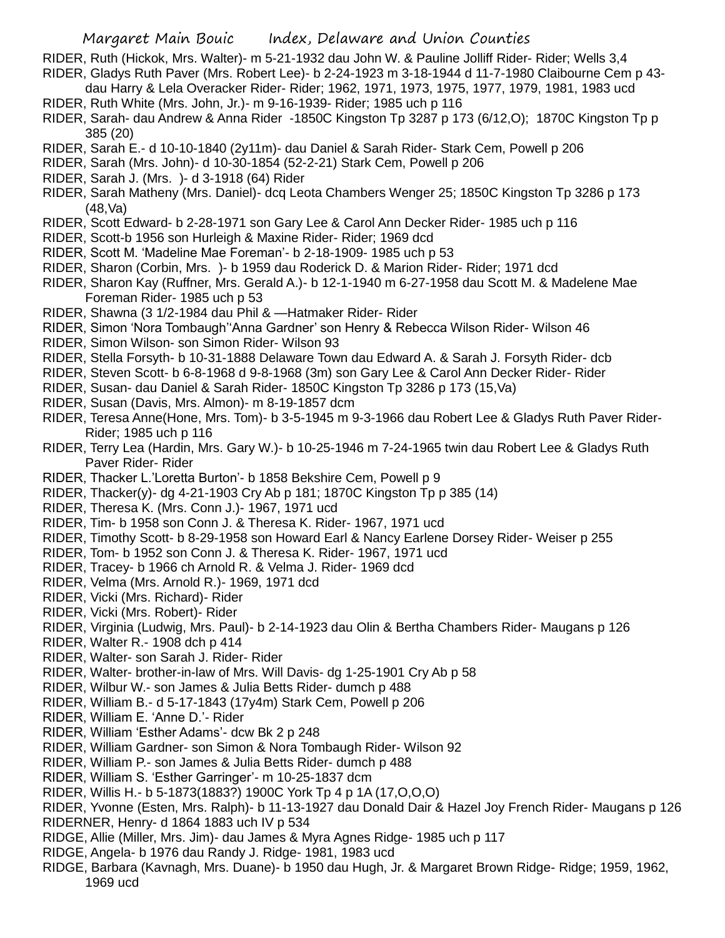RIDER, Ruth (Hickok, Mrs. Walter)- m 5-21-1932 dau John W. & Pauline Jolliff Rider- Rider; Wells 3,4

- RIDER, Gladys Ruth Paver (Mrs. Robert Lee)- b 2-24-1923 m 3-18-1944 d 11-7-1980 Claibourne Cem p 43 dau Harry & Lela Overacker Rider- Rider; 1962, 1971, 1973, 1975, 1977, 1979, 1981, 1983 ucd
- RIDER, Ruth White (Mrs. John, Jr.)- m 9-16-1939- Rider; 1985 uch p 116
- RIDER, Sarah- dau Andrew & Anna Rider -1850C Kingston Tp 3287 p 173 (6/12,O); 1870C Kingston Tp p 385 (20)
- RIDER, Sarah E.- d 10-10-1840 (2y11m)- dau Daniel & Sarah Rider- Stark Cem, Powell p 206
- RIDER, Sarah (Mrs. John)- d 10-30-1854 (52-2-21) Stark Cem, Powell p 206
- RIDER, Sarah J. (Mrs. )- d 3-1918 (64) Rider
- RIDER, Sarah Matheny (Mrs. Daniel)- dcq Leota Chambers Wenger 25; 1850C Kingston Tp 3286 p 173 (48,Va)
- RIDER, Scott Edward- b 2-28-1971 son Gary Lee & Carol Ann Decker Rider- 1985 uch p 116
- RIDER, Scott-b 1956 son Hurleigh & Maxine Rider- Rider; 1969 dcd
- RIDER, Scott M. 'Madeline Mae Foreman'- b 2-18-1909- 1985 uch p 53
- RIDER, Sharon (Corbin, Mrs. )- b 1959 dau Roderick D. & Marion Rider- Rider; 1971 dcd
- RIDER, Sharon Kay (Ruffner, Mrs. Gerald A.)- b 12-1-1940 m 6-27-1958 dau Scott M. & Madelene Mae Foreman Rider- 1985 uch p 53
- RIDER, Shawna (3 1/2-1984 dau Phil & —Hatmaker Rider- Rider
- RIDER, Simon 'Nora Tombaugh''Anna Gardner' son Henry & Rebecca Wilson Rider- Wilson 46
- RIDER, Simon Wilson- son Simon Rider- Wilson 93
- RIDER, Stella Forsyth- b 10-31-1888 Delaware Town dau Edward A. & Sarah J. Forsyth Rider- dcb
- RIDER, Steven Scott- b 6-8-1968 d 9-8-1968 (3m) son Gary Lee & Carol Ann Decker Rider- Rider
- RIDER, Susan- dau Daniel & Sarah Rider- 1850C Kingston Tp 3286 p 173 (15,Va)
- RIDER, Susan (Davis, Mrs. Almon)- m 8-19-1857 dcm
- RIDER, Teresa Anne(Hone, Mrs. Tom)- b 3-5-1945 m 9-3-1966 dau Robert Lee & Gladys Ruth Paver Rider-Rider; 1985 uch p 116
- RIDER, Terry Lea (Hardin, Mrs. Gary W.)- b 10-25-1946 m 7-24-1965 twin dau Robert Lee & Gladys Ruth Paver Rider- Rider
- RIDER, Thacker L.'Loretta Burton'- b 1858 Bekshire Cem, Powell p 9
- RIDER, Thacker(y)- dg 4-21-1903 Cry Ab p 181; 1870C Kingston Tp p 385 (14)
- RIDER, Theresa K. (Mrs. Conn J.)- 1967, 1971 ucd
- RIDER, Tim- b 1958 son Conn J. & Theresa K. Rider- 1967, 1971 ucd
- RIDER, Timothy Scott- b 8-29-1958 son Howard Earl & Nancy Earlene Dorsey Rider- Weiser p 255
- RIDER, Tom- b 1952 son Conn J. & Theresa K. Rider- 1967, 1971 ucd
- RIDER, Tracey- b 1966 ch Arnold R. & Velma J. Rider- 1969 dcd
- RIDER, Velma (Mrs. Arnold R.)- 1969, 1971 dcd
- RIDER, Vicki (Mrs. Richard)- Rider
- RIDER, Vicki (Mrs. Robert)- Rider
- RIDER, Virginia (Ludwig, Mrs. Paul)- b 2-14-1923 dau Olin & Bertha Chambers Rider- Maugans p 126
- RIDER, Walter R.- 1908 dch p 414
- RIDER, Walter- son Sarah J. Rider- Rider
- RIDER, Walter- brother-in-law of Mrs. Will Davis- dg 1-25-1901 Cry Ab p 58
- RIDER, Wilbur W.- son James & Julia Betts Rider- dumch p 488
- RIDER, William B.- d 5-17-1843 (17y4m) Stark Cem, Powell p 206
- RIDER, William E. 'Anne D.'- Rider
- RIDER, William 'Esther Adams'- dcw Bk 2 p 248
- RIDER, William Gardner- son Simon & Nora Tombaugh Rider- Wilson 92
- RIDER, William P.- son James & Julia Betts Rider- dumch p 488
- RIDER, William S. 'Esther Garringer'- m 10-25-1837 dcm
- RIDER, Willis H.- b 5-1873(1883?) 1900C York Tp 4 p 1A (17,O,O,O)
- RIDER, Yvonne (Esten, Mrs. Ralph)- b 11-13-1927 dau Donald Dair & Hazel Joy French Rider- Maugans p 126
- RIDERNER, Henry- d 1864 1883 uch IV p 534
- RIDGE, Allie (Miller, Mrs. Jim)- dau James & Myra Agnes Ridge- 1985 uch p 117
- RIDGE, Angela- b 1976 dau Randy J. Ridge- 1981, 1983 ucd
- RIDGE, Barbara (Kavnagh, Mrs. Duane)- b 1950 dau Hugh, Jr. & Margaret Brown Ridge- Ridge; 1959, 1962, 1969 ucd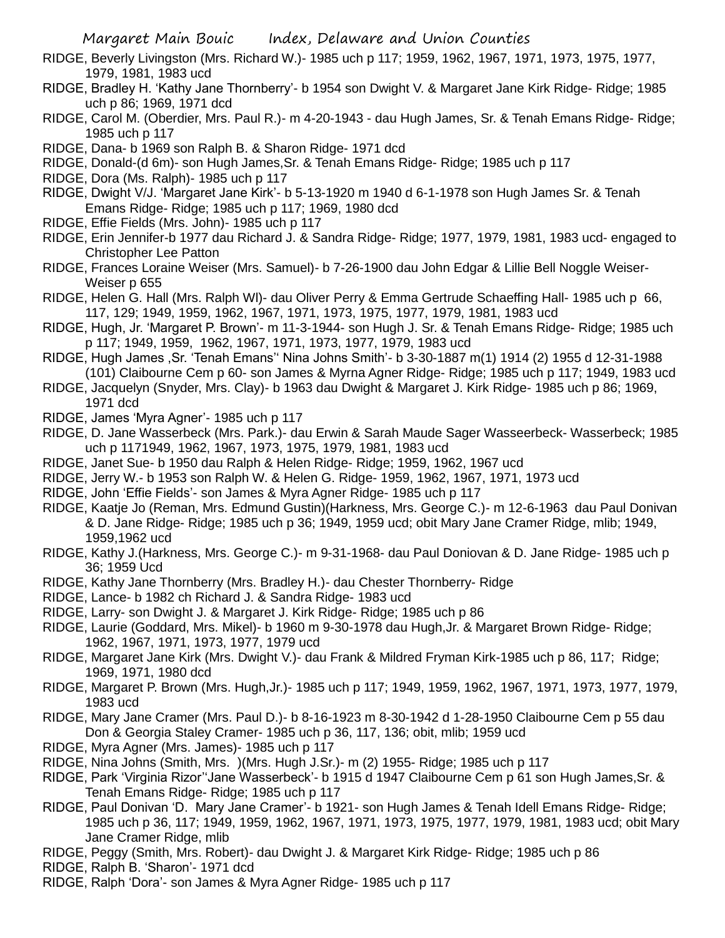- RIDGE, Beverly Livingston (Mrs. Richard W.)- 1985 uch p 117; 1959, 1962, 1967, 1971, 1973, 1975, 1977, 1979, 1981, 1983 ucd
- RIDGE, Bradley H. 'Kathy Jane Thornberry'- b 1954 son Dwight V. & Margaret Jane Kirk Ridge- Ridge; 1985 uch p 86; 1969, 1971 dcd
- RIDGE, Carol M. (Oberdier, Mrs. Paul R.)- m 4-20-1943 dau Hugh James, Sr. & Tenah Emans Ridge- Ridge; 1985 uch p 117
- RIDGE, Dana- b 1969 son Ralph B. & Sharon Ridge- 1971 dcd
- RIDGE, Donald-(d 6m)- son Hugh James,Sr. & Tenah Emans Ridge- Ridge; 1985 uch p 117
- RIDGE, Dora (Ms. Ralph)- 1985 uch p 117

RIDGE, Dwight V/J. 'Margaret Jane Kirk'- b 5-13-1920 m 1940 d 6-1-1978 son Hugh James Sr. & Tenah Emans Ridge- Ridge; 1985 uch p 117; 1969, 1980 dcd

- RIDGE, Effie Fields (Mrs. John)- 1985 uch p 117
- RIDGE, Erin Jennifer-b 1977 dau Richard J. & Sandra Ridge- Ridge; 1977, 1979, 1981, 1983 ucd- engaged to Christopher Lee Patton
- RIDGE, Frances Loraine Weiser (Mrs. Samuel)- b 7-26-1900 dau John Edgar & Lillie Bell Noggle Weiser-Weiser p 655
- RIDGE, Helen G. Hall (Mrs. Ralph Wl)- dau Oliver Perry & Emma Gertrude Schaeffing Hall- 1985 uch p 66, 117, 129; 1949, 1959, 1962, 1967, 1971, 1973, 1975, 1977, 1979, 1981, 1983 ucd
- RIDGE, Hugh, Jr. 'Margaret P. Brown'- m 11-3-1944- son Hugh J. Sr. & Tenah Emans Ridge- Ridge; 1985 uch p 117; 1949, 1959, 1962, 1967, 1971, 1973, 1977, 1979, 1983 ucd
- RIDGE, Hugh James ,Sr. 'Tenah Emans'' Nina Johns Smith'- b 3-30-1887 m(1) 1914 (2) 1955 d 12-31-1988 (101) Claibourne Cem p 60- son James & Myrna Agner Ridge- Ridge; 1985 uch p 117; 1949, 1983 ucd
- RIDGE, Jacquelyn (Snyder, Mrs. Clay)- b 1963 dau Dwight & Margaret J. Kirk Ridge- 1985 uch p 86; 1969, 1971 dcd
- RIDGE, James 'Myra Agner'- 1985 uch p 117
- RIDGE, D. Jane Wasserbeck (Mrs. Park.)- dau Erwin & Sarah Maude Sager Wasseerbeck- Wasserbeck; 1985 uch p 1171949, 1962, 1967, 1973, 1975, 1979, 1981, 1983 ucd
- RIDGE, Janet Sue- b 1950 dau Ralph & Helen Ridge- Ridge; 1959, 1962, 1967 ucd
- RIDGE, Jerry W.- b 1953 son Ralph W. & Helen G. Ridge- 1959, 1962, 1967, 1971, 1973 ucd
- RIDGE, John 'Effie Fields'- son James & Myra Agner Ridge- 1985 uch p 117
- RIDGE, Kaatje Jo (Reman, Mrs. Edmund Gustin)(Harkness, Mrs. George C.)- m 12-6-1963 dau Paul Donivan & D. Jane Ridge- Ridge; 1985 uch p 36; 1949, 1959 ucd; obit Mary Jane Cramer Ridge, mlib; 1949, 1959,1962 ucd
- RIDGE, Kathy J.(Harkness, Mrs. George C.)- m 9-31-1968- dau Paul Doniovan & D. Jane Ridge- 1985 uch p 36; 1959 Ucd
- RIDGE, Kathy Jane Thornberry (Mrs. Bradley H.)- dau Chester Thornberry- Ridge
- RIDGE, Lance- b 1982 ch Richard J. & Sandra Ridge- 1983 ucd
- RIDGE, Larry- son Dwight J. & Margaret J. Kirk Ridge- Ridge; 1985 uch p 86
- RIDGE, Laurie (Goddard, Mrs. Mikel)- b 1960 m 9-30-1978 dau Hugh,Jr. & Margaret Brown Ridge- Ridge; 1962, 1967, 1971, 1973, 1977, 1979 ucd
- RIDGE, Margaret Jane Kirk (Mrs. Dwight V.)- dau Frank & Mildred Fryman Kirk-1985 uch p 86, 117; Ridge; 1969, 1971, 1980 dcd
- RIDGE, Margaret P. Brown (Mrs. Hugh,Jr.)- 1985 uch p 117; 1949, 1959, 1962, 1967, 1971, 1973, 1977, 1979, 1983 ucd
- RIDGE, Mary Jane Cramer (Mrs. Paul D.)- b 8-16-1923 m 8-30-1942 d 1-28-1950 Claibourne Cem p 55 dau Don & Georgia Staley Cramer- 1985 uch p 36, 117, 136; obit, mlib; 1959 ucd
- RIDGE, Myra Agner (Mrs. James)- 1985 uch p 117
- RIDGE, Nina Johns (Smith, Mrs. )(Mrs. Hugh J.Sr.)- m (2) 1955- Ridge; 1985 uch p 117
- RIDGE, Park 'Virginia Rizor''Jane Wasserbeck'- b 1915 d 1947 Claibourne Cem p 61 son Hugh James,Sr. & Tenah Emans Ridge- Ridge; 1985 uch p 117
- RIDGE, Paul Donivan 'D. Mary Jane Cramer'- b 1921- son Hugh James & Tenah Idell Emans Ridge- Ridge; 1985 uch p 36, 117; 1949, 1959, 1962, 1967, 1971, 1973, 1975, 1977, 1979, 1981, 1983 ucd; obit Mary Jane Cramer Ridge, mlib
- RIDGE, Peggy (Smith, Mrs. Robert)- dau Dwight J. & Margaret Kirk Ridge- Ridge; 1985 uch p 86
- RIDGE, Ralph B. 'Sharon'- 1971 dcd
- RIDGE, Ralph 'Dora'- son James & Myra Agner Ridge- 1985 uch p 117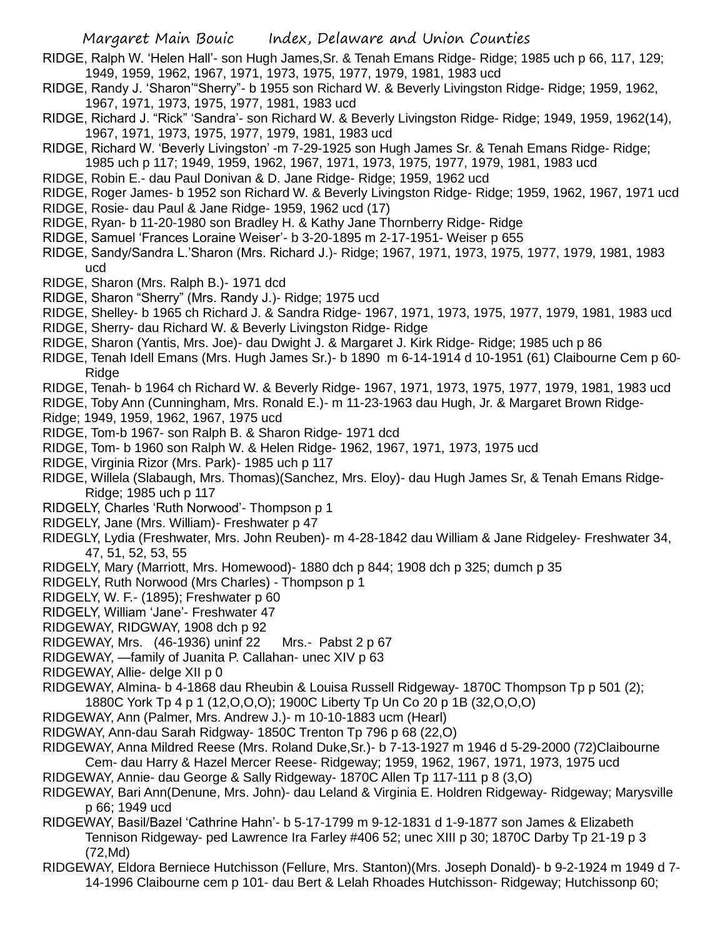RIDGE, Ralph W. 'Helen Hall'- son Hugh James,Sr. & Tenah Emans Ridge- Ridge; 1985 uch p 66, 117, 129; 1949, 1959, 1962, 1967, 1971, 1973, 1975, 1977, 1979, 1981, 1983 ucd

- RIDGE, Randy J. 'Sharon'"Sherry"- b 1955 son Richard W. & Beverly Livingston Ridge- Ridge; 1959, 1962, 1967, 1971, 1973, 1975, 1977, 1981, 1983 ucd
- RIDGE, Richard J. "Rick" 'Sandra'- son Richard W. & Beverly Livingston Ridge- Ridge; 1949, 1959, 1962(14), 1967, 1971, 1973, 1975, 1977, 1979, 1981, 1983 ucd
- RIDGE, Richard W. 'Beverly Livingston' -m 7-29-1925 son Hugh James Sr. & Tenah Emans Ridge- Ridge; 1985 uch p 117; 1949, 1959, 1962, 1967, 1971, 1973, 1975, 1977, 1979, 1981, 1983 ucd
- RIDGE, Robin E.- dau Paul Donivan & D. Jane Ridge- Ridge; 1959, 1962 ucd
- RIDGE, Roger James- b 1952 son Richard W. & Beverly Livingston Ridge- Ridge; 1959, 1962, 1967, 1971 ucd RIDGE, Rosie- dau Paul & Jane Ridge- 1959, 1962 ucd (17)
- RIDGE, Ryan- b 11-20-1980 son Bradley H. & Kathy Jane Thornberry Ridge- Ridge
- RIDGE, Samuel 'Frances Loraine Weiser'- b 3-20-1895 m 2-17-1951- Weiser p 655
- RIDGE, Sandy/Sandra L.'Sharon (Mrs. Richard J.)- Ridge; 1967, 1971, 1973, 1975, 1977, 1979, 1981, 1983 ucd
- RIDGE, Sharon (Mrs. Ralph B.)- 1971 dcd
- RIDGE, Sharon "Sherry" (Mrs. Randy J.)- Ridge; 1975 ucd
- RIDGE, Shelley- b 1965 ch Richard J. & Sandra Ridge- 1967, 1971, 1973, 1975, 1977, 1979, 1981, 1983 ucd
- RIDGE, Sherry- dau Richard W. & Beverly Livingston Ridge- Ridge
- RIDGE, Sharon (Yantis, Mrs. Joe)- dau Dwight J. & Margaret J. Kirk Ridge- Ridge; 1985 uch p 86
- RIDGE, Tenah Idell Emans (Mrs. Hugh James Sr.)- b 1890 m 6-14-1914 d 10-1951 (61) Claibourne Cem p 60- **Ridge**
- RIDGE, Tenah- b 1964 ch Richard W. & Beverly Ridge- 1967, 1971, 1973, 1975, 1977, 1979, 1981, 1983 ucd
- RIDGE, Toby Ann (Cunningham, Mrs. Ronald E.)- m 11-23-1963 dau Hugh, Jr. & Margaret Brown Ridge-
- Ridge; 1949, 1959, 1962, 1967, 1975 ucd
- RIDGE, Tom-b 1967- son Ralph B. & Sharon Ridge- 1971 dcd
- RIDGE, Tom- b 1960 son Ralph W. & Helen Ridge- 1962, 1967, 1971, 1973, 1975 ucd
- RIDGE, Virginia Rizor (Mrs. Park)- 1985 uch p 117
- RIDGE, Willela (Slabaugh, Mrs. Thomas)(Sanchez, Mrs. Eloy)- dau Hugh James Sr, & Tenah Emans Ridge-Ridge; 1985 uch p 117
- RIDGELY, Charles 'Ruth Norwood'- Thompson p 1
- RIDGELY, Jane (Mrs. William)- Freshwater p 47
- RIDEGLY, Lydia (Freshwater, Mrs. John Reuben)- m 4-28-1842 dau William & Jane Ridgeley- Freshwater 34, 47, 51, 52, 53, 55
- RIDGELY, Mary (Marriott, Mrs. Homewood)- 1880 dch p 844; 1908 dch p 325; dumch p 35
- RIDGELY, Ruth Norwood (Mrs Charles) Thompson p 1
- RIDGELY, W. F.- (1895); Freshwater p 60
- RIDGELY, William 'Jane'- Freshwater 47
- RIDGEWAY, RIDGWAY, 1908 dch p 92
- RIDGEWAY, Mrs. (46-1936) uninf 22 Mrs.- Pabst 2 p 67
- RIDGEWAY, —family of Juanita P. Callahan- unec XIV p 63
- RIDGEWAY, Allie- delge XII p 0
- RIDGEWAY, Almina- b 4-1868 dau Rheubin & Louisa Russell Ridgeway- 1870C Thompson Tp p 501 (2); 1880C York Tp 4 p 1 (12,O,O,O); 1900C Liberty Tp Un Co 20 p 1B (32,O,O,O)
- RIDGEWAY, Ann (Palmer, Mrs. Andrew J.)- m 10-10-1883 ucm (Hearl)
- RIDGWAY, Ann-dau Sarah Ridgway- 1850C Trenton Tp 796 p 68 (22,O)
- RIDGEWAY, Anna Mildred Reese (Mrs. Roland Duke,Sr.)- b 7-13-1927 m 1946 d 5-29-2000 (72)Claibourne Cem- dau Harry & Hazel Mercer Reese- Ridgeway; 1959, 1962, 1967, 1971, 1973, 1975 ucd
- RIDGEWAY, Annie- dau George & Sally Ridgeway- 1870C Allen Tp 117-111 p 8 (3,O)
- RIDGEWAY, Bari Ann(Denune, Mrs. John)- dau Leland & Virginia E. Holdren Ridgeway- Ridgeway; Marysville p 66; 1949 ucd
- RIDGEWAY, Basil/Bazel 'Cathrine Hahn'- b 5-17-1799 m 9-12-1831 d 1-9-1877 son James & Elizabeth Tennison Ridgeway- ped Lawrence Ira Farley #406 52; unec XIII p 30; 1870C Darby Tp 21-19 p 3 (72,Md)
- RIDGEWAY, Eldora Berniece Hutchisson (Fellure, Mrs. Stanton)(Mrs. Joseph Donald)- b 9-2-1924 m 1949 d 7- 14-1996 Claibourne cem p 101- dau Bert & Lelah Rhoades Hutchisson- Ridgeway; Hutchissonp 60;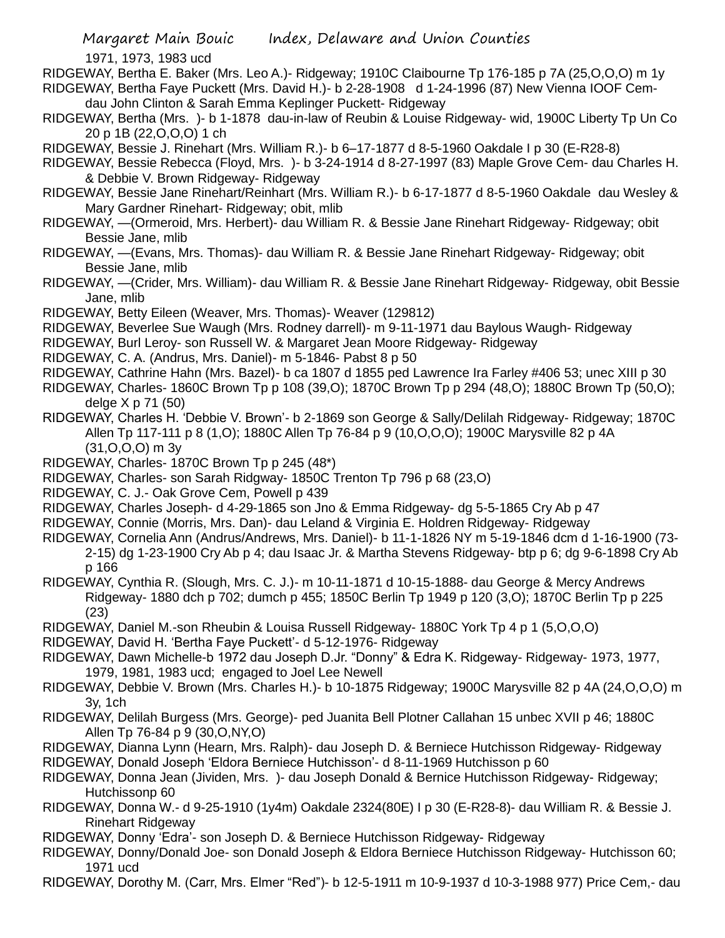1971, 1973, 1983 ucd

- RIDGEWAY, Bertha E. Baker (Mrs. Leo A.)- Ridgeway; 1910C Claibourne Tp 176-185 p 7A (25,O,O,O) m 1y
- RIDGEWAY, Bertha Faye Puckett (Mrs. David H.)- b 2-28-1908 d 1-24-1996 (87) New Vienna IOOF Cemdau John Clinton & Sarah Emma Keplinger Puckett- Ridgeway
- RIDGEWAY, Bertha (Mrs. )- b 1-1878 dau-in-law of Reubin & Louise Ridgeway- wid, 1900C Liberty Tp Un Co 20 p 1B (22,O,O,O) 1 ch
- RIDGEWAY, Bessie J. Rinehart (Mrs. William R.)- b 6–17-1877 d 8-5-1960 Oakdale I p 30 (E-R28-8)
- RIDGEWAY, Bessie Rebecca (Floyd, Mrs. )- b 3-24-1914 d 8-27-1997 (83) Maple Grove Cem- dau Charles H. & Debbie V. Brown Ridgeway- Ridgeway
- RIDGEWAY, Bessie Jane Rinehart/Reinhart (Mrs. William R.)- b 6-17-1877 d 8-5-1960 Oakdale dau Wesley & Mary Gardner Rinehart- Ridgeway; obit, mlib
- RIDGEWAY, —(Ormeroid, Mrs. Herbert)- dau William R. & Bessie Jane Rinehart Ridgeway- Ridgeway; obit Bessie Jane, mlib
- RIDGEWAY, —(Evans, Mrs. Thomas)- dau William R. & Bessie Jane Rinehart Ridgeway- Ridgeway; obit Bessie Jane, mlib
- RIDGEWAY, —(Crider, Mrs. William)- dau William R. & Bessie Jane Rinehart Ridgeway- Ridgeway, obit Bessie Jane, mlib
- RIDGEWAY, Betty Eileen (Weaver, Mrs. Thomas)- Weaver (129812)
- RIDGEWAY, Beverlee Sue Waugh (Mrs. Rodney darrell)- m 9-11-1971 dau Baylous Waugh- Ridgeway
- RIDGEWAY, Burl Leroy- son Russell W. & Margaret Jean Moore Ridgeway- Ridgeway
- RIDGEWAY, C. A. (Andrus, Mrs. Daniel)- m 5-1846- Pabst 8 p 50
- RIDGEWAY, Cathrine Hahn (Mrs. Bazel)- b ca 1807 d 1855 ped Lawrence Ira Farley #406 53; unec XIII p 30
- RIDGEWAY, Charles- 1860C Brown Tp p 108 (39,O); 1870C Brown Tp p 294 (48,O); 1880C Brown Tp (50,O); delge X p 71 (50)
- RIDGEWAY, Charles H. 'Debbie V. Brown'- b 2-1869 son George & Sally/Delilah Ridgeway- Ridgeway; 1870C Allen Tp 117-111 p 8 (1,O); 1880C Allen Tp 76-84 p 9 (10,O,O,O); 1900C Marysville 82 p 4A (31,O,O,O) m 3y
- RIDGEWAY, Charles- 1870C Brown Tp p 245 (48\*)
- RIDGEWAY, Charles- son Sarah Ridgway- 1850C Trenton Tp 796 p 68 (23,O)
- RIDGEWAY, C. J.- Oak Grove Cem, Powell p 439
- RIDGEWAY, Charles Joseph- d 4-29-1865 son Jno & Emma Ridgeway- dg 5-5-1865 Cry Ab p 47
- RIDGEWAY, Connie (Morris, Mrs. Dan)- dau Leland & Virginia E. Holdren Ridgeway- Ridgeway
- RIDGEWAY, Cornelia Ann (Andrus/Andrews, Mrs. Daniel)- b 11-1-1826 NY m 5-19-1846 dcm d 1-16-1900 (73- 2-15) dg 1-23-1900 Cry Ab p 4; dau Isaac Jr. & Martha Stevens Ridgeway- btp p 6; dg 9-6-1898 Cry Ab p 166
- RIDGEWAY, Cynthia R. (Slough, Mrs. C. J.)- m 10-11-1871 d 10-15-1888- dau George & Mercy Andrews Ridgeway- 1880 dch p 702; dumch p 455; 1850C Berlin Tp 1949 p 120 (3,O); 1870C Berlin Tp p 225 (23)
- RIDGEWAY, Daniel M.-son Rheubin & Louisa Russell Ridgeway- 1880C York Tp 4 p 1 (5,O,O,O)
- RIDGEWAY, David H. 'Bertha Faye Puckett'- d 5-12-1976- Ridgeway
- RIDGEWAY, Dawn Michelle-b 1972 dau Joseph D.Jr. "Donny" & Edra K. Ridgeway- Ridgeway- 1973, 1977, 1979, 1981, 1983 ucd; engaged to Joel Lee Newell
- RIDGEWAY, Debbie V. Brown (Mrs. Charles H.)- b 10-1875 Ridgeway; 1900C Marysville 82 p 4A (24,O,O,O) m 3y, 1ch
- RIDGEWAY, Delilah Burgess (Mrs. George)- ped Juanita Bell Plotner Callahan 15 unbec XVII p 46; 1880C Allen Tp 76-84 p 9 (30,O,NY,O)
- RIDGEWAY, Dianna Lynn (Hearn, Mrs. Ralph)- dau Joseph D. & Berniece Hutchisson Ridgeway- Ridgeway RIDGEWAY, Donald Joseph 'Eldora Berniece Hutchisson'- d 8-11-1969 Hutchisson p 60
- RIDGEWAY, Donna Jean (Jividen, Mrs. )- dau Joseph Donald & Bernice Hutchisson Ridgeway- Ridgeway; Hutchissonp 60
- RIDGEWAY, Donna W.- d 9-25-1910 (1y4m) Oakdale 2324(80E) I p 30 (E-R28-8)- dau William R. & Bessie J. Rinehart Ridgeway
- RIDGEWAY, Donny 'Edra'- son Joseph D. & Berniece Hutchisson Ridgeway- Ridgeway
- RIDGEWAY, Donny/Donald Joe- son Donald Joseph & Eldora Berniece Hutchisson Ridgeway- Hutchisson 60; 1971 ucd
- RIDGEWAY, Dorothy M. (Carr, Mrs. Elmer "Red")- b 12-5-1911 m 10-9-1937 d 10-3-1988 977) Price Cem,- dau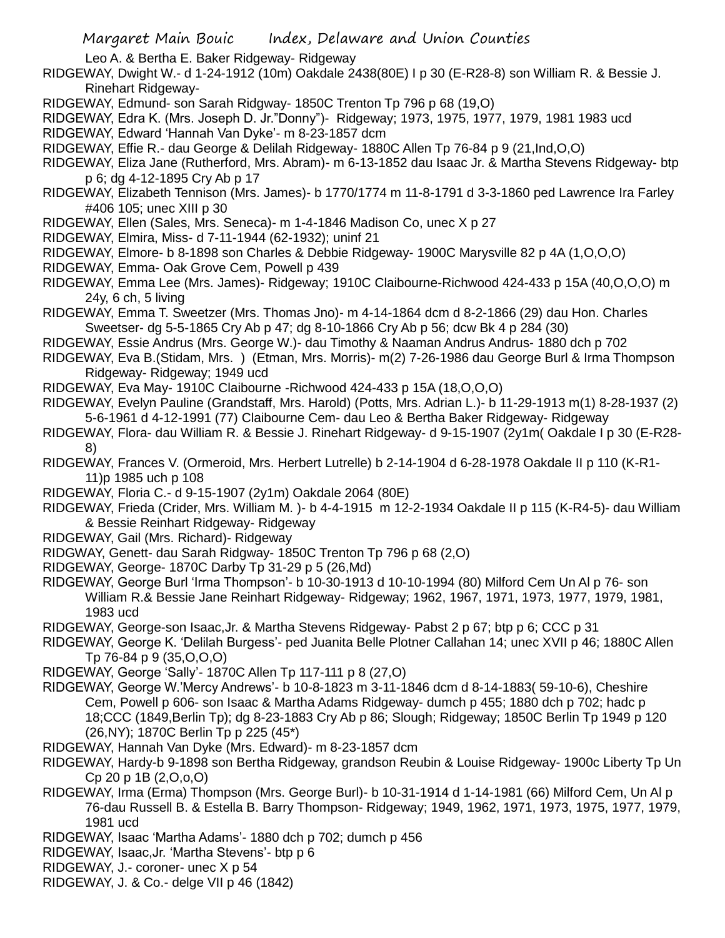Leo A. & Bertha E. Baker Ridgeway- Ridgeway

- RIDGEWAY, Dwight W.- d 1-24-1912 (10m) Oakdale 2438(80E) I p 30 (E-R28-8) son William R. & Bessie J. Rinehart Ridgeway-
- RIDGEWAY, Edmund- son Sarah Ridgway- 1850C Trenton Tp 796 p 68 (19,O)
- RIDGEWAY, Edra K. (Mrs. Joseph D. Jr."Donny")- Ridgeway; 1973, 1975, 1977, 1979, 1981 1983 ucd
- RIDGEWAY, Edward 'Hannah Van Dyke'- m 8-23-1857 dcm
- RIDGEWAY, Effie R.- dau George & Delilah Ridgeway- 1880C Allen Tp 76-84 p 9 (21,Ind,O,O)
- RIDGEWAY, Eliza Jane (Rutherford, Mrs. Abram)- m 6-13-1852 dau Isaac Jr. & Martha Stevens Ridgeway- btp p 6; dg 4-12-1895 Cry Ab p 17
- RIDGEWAY, Elizabeth Tennison (Mrs. James)- b 1770/1774 m 11-8-1791 d 3-3-1860 ped Lawrence Ira Farley #406 105; unec XIII p 30
- RIDGEWAY, Ellen (Sales, Mrs. Seneca)- m 1-4-1846 Madison Co, unec X p 27
- RIDGEWAY, Elmira, Miss- d 7-11-1944 (62-1932); uninf 21
- RIDGEWAY, Elmore- b 8-1898 son Charles & Debbie Ridgeway- 1900C Marysville 82 p 4A (1,O,O,O)
- RIDGEWAY, Emma- Oak Grove Cem, Powell p 439
- RIDGEWAY, Emma Lee (Mrs. James)- Ridgeway; 1910C Claibourne-Richwood 424-433 p 15A (40,O,O,O) m 24y, 6 ch, 5 living
- RIDGEWAY, Emma T. Sweetzer (Mrs. Thomas Jno)- m 4-14-1864 dcm d 8-2-1866 (29) dau Hon. Charles Sweetser- dg 5-5-1865 Cry Ab p 47; dg 8-10-1866 Cry Ab p 56; dcw Bk 4 p 284 (30)
- RIDGEWAY, Essie Andrus (Mrs. George W.)- dau Timothy & Naaman Andrus Andrus- 1880 dch p 702
- RIDGEWAY, Eva B.(Stidam, Mrs. ) (Etman, Mrs. Morris)- m(2) 7-26-1986 dau George Burl & Irma Thompson Ridgeway- Ridgeway; 1949 ucd
- RIDGEWAY, Eva May- 1910C Claibourne -Richwood 424-433 p 15A (18,O,O,O)
- RIDGEWAY, Evelyn Pauline (Grandstaff, Mrs. Harold) (Potts, Mrs. Adrian L.)- b 11-29-1913 m(1) 8-28-1937 (2) 5-6-1961 d 4-12-1991 (77) Claibourne Cem- dau Leo & Bertha Baker Ridgeway- Ridgeway
- RIDGEWAY, Flora- dau William R. & Bessie J. Rinehart Ridgeway- d 9-15-1907 (2y1m( Oakdale I p 30 (E-R28- 8)
- RIDGEWAY, Frances V. (Ormeroid, Mrs. Herbert Lutrelle) b 2-14-1904 d 6-28-1978 Oakdale II p 110 (K-R1- 11)p 1985 uch p 108
- RIDGEWAY, Floria C.- d 9-15-1907 (2y1m) Oakdale 2064 (80E)
- RIDGEWAY, Frieda (Crider, Mrs. William M. )- b 4-4-1915 m 12-2-1934 Oakdale II p 115 (K-R4-5)- dau William & Bessie Reinhart Ridgeway- Ridgeway
- RIDGEWAY, Gail (Mrs. Richard)- Ridgeway
- RIDGWAY, Genett- dau Sarah Ridgway- 1850C Trenton Tp 796 p 68 (2,O)
- RIDGEWAY, George- 1870C Darby Tp 31-29 p 5 (26,Md)
- RIDGEWAY, George Burl 'Irma Thompson'- b 10-30-1913 d 10-10-1994 (80) Milford Cem Un Al p 76- son William R.& Bessie Jane Reinhart Ridgeway- Ridgeway; 1962, 1967, 1971, 1973, 1977, 1979, 1981, 1983 ucd
- RIDGEWAY, George-son Isaac,Jr. & Martha Stevens Ridgeway- Pabst 2 p 67; btp p 6; CCC p 31
- RIDGEWAY, George K. 'Delilah Burgess'- ped Juanita Belle Plotner Callahan 14; unec XVII p 46; 1880C Allen Tp 76-84 p 9 (35,O,O,O)
- RIDGEWAY, George 'Sally'- 1870C Allen Tp 117-111 p 8 (27,O)
- RIDGEWAY, George W.'Mercy Andrews'- b 10-8-1823 m 3-11-1846 dcm d 8-14-1883( 59-10-6), Cheshire Cem, Powell p 606- son Isaac & Martha Adams Ridgeway- dumch p 455; 1880 dch p 702; hadc p 18;CCC (1849,Berlin Tp); dg 8-23-1883 Cry Ab p 86; Slough; Ridgeway; 1850C Berlin Tp 1949 p 120 (26,NY); 1870C Berlin Tp p 225 (45\*)
- RIDGEWAY, Hannah Van Dyke (Mrs. Edward)- m 8-23-1857 dcm
- RIDGEWAY, Hardy-b 9-1898 son Bertha Ridgeway, grandson Reubin & Louise Ridgeway- 1900c Liberty Tp Un Cp 20 p 1B (2,O,o,O)
- RIDGEWAY, Irma (Erma) Thompson (Mrs. George Burl)- b 10-31-1914 d 1-14-1981 (66) Milford Cem, Un Al p 76-dau Russell B. & Estella B. Barry Thompson- Ridgeway; 1949, 1962, 1971, 1973, 1975, 1977, 1979, 1981 ucd
- RIDGEWAY, Isaac 'Martha Adams'- 1880 dch p 702; dumch p 456
- RIDGEWAY, Isaac,Jr. 'Martha Stevens'- btp p 6
- RIDGEWAY, J.- coroner- unec X p 54
- RIDGEWAY, J. & Co.- delge VII p 46 (1842)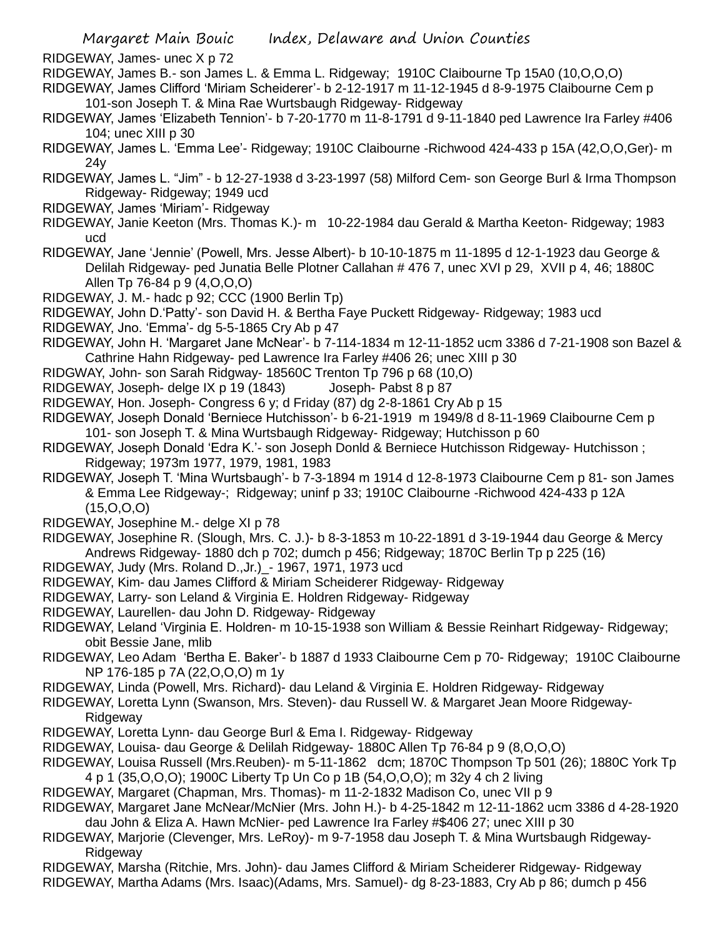RIDGEWAY, James- unec X p 72

RIDGEWAY, James B.- son James L. & Emma L. Ridgeway; 1910C Claibourne Tp 15A0 (10,O,O,O)

RIDGEWAY, James Clifford 'Miriam Scheiderer'- b 2-12-1917 m 11-12-1945 d 8-9-1975 Claibourne Cem p 101-son Joseph T. & Mina Rae Wurtsbaugh Ridgeway- Ridgeway

- RIDGEWAY, James 'Elizabeth Tennion'- b 7-20-1770 m 11-8-1791 d 9-11-1840 ped Lawrence Ira Farley #406 104; unec XIII p 30
- RIDGEWAY, James L. 'Emma Lee'- Ridgeway; 1910C Claibourne -Richwood 424-433 p 15A (42,O,O,Ger)- m 24y
- RIDGEWAY, James L. "Jim" b 12-27-1938 d 3-23-1997 (58) Milford Cem- son George Burl & Irma Thompson Ridgeway- Ridgeway; 1949 ucd
- RIDGEWAY, James 'Miriam'- Ridgeway
- RIDGEWAY, Janie Keeton (Mrs. Thomas K.)- m 10-22-1984 dau Gerald & Martha Keeton- Ridgeway; 1983 ucd
- RIDGEWAY, Jane 'Jennie' (Powell, Mrs. Jesse Albert)- b 10-10-1875 m 11-1895 d 12-1-1923 dau George & Delilah Ridgeway- ped Junatia Belle Plotner Callahan # 476 7, unec XVI p 29, XVII p 4, 46; 1880C Allen Tp 76-84 p 9 (4,O,O,O)
- RIDGEWAY, J. M.- hadc p 92; CCC (1900 Berlin Tp)
- RIDGEWAY, John D.'Patty'- son David H. & Bertha Faye Puckett Ridgeway- Ridgeway; 1983 ucd
- RIDGEWAY, Jno. 'Emma'- dg 5-5-1865 Cry Ab p 47
- RIDGEWAY, John H. 'Margaret Jane McNear'- b 7-114-1834 m 12-11-1852 ucm 3386 d 7-21-1908 son Bazel & Cathrine Hahn Ridgeway- ped Lawrence Ira Farley #406 26; unec XIII p 30
- RIDGWAY, John- son Sarah Ridgway- 18560C Trenton Tp 796 p 68 (10,O)
- RIDGEWAY, Joseph- delge IX p 19 (1843) Joseph- Pabst 8 p 87
- RIDGEWAY, Hon. Joseph- Congress 6 y; d Friday (87) dg 2-8-1861 Cry Ab p 15
- RIDGEWAY, Joseph Donald 'Berniece Hutchisson'- b 6-21-1919 m 1949/8 d 8-11-1969 Claibourne Cem p 101- son Joseph T. & Mina Wurtsbaugh Ridgeway- Ridgeway; Hutchisson p 60
- RIDGEWAY, Joseph Donald 'Edra K.'- son Joseph Donld & Berniece Hutchisson Ridgeway- Hutchisson ; Ridgeway; 1973m 1977, 1979, 1981, 1983
- RIDGEWAY, Joseph T. 'Mina Wurtsbaugh'- b 7-3-1894 m 1914 d 12-8-1973 Claibourne Cem p 81- son James & Emma Lee Ridgeway-; Ridgeway; uninf p 33; 1910C Claibourne -Richwood 424-433 p 12A (15,O,O,O)
- RIDGEWAY, Josephine M.- delge XI p 78
- RIDGEWAY, Josephine R. (Slough, Mrs. C. J.)- b 8-3-1853 m 10-22-1891 d 3-19-1944 dau George & Mercy Andrews Ridgeway- 1880 dch p 702; dumch p 456; Ridgeway; 1870C Berlin Tp p 225 (16)
- RIDGEWAY, Judy (Mrs. Roland D.,Jr.)\_- 1967, 1971, 1973 ucd
- RIDGEWAY, Kim- dau James Clifford & Miriam Scheiderer Ridgeway- Ridgeway
- RIDGEWAY, Larry- son Leland & Virginia E. Holdren Ridgeway- Ridgeway
- RIDGEWAY, Laurellen- dau John D. Ridgeway- Ridgeway
- RIDGEWAY, Leland 'Virginia E. Holdren- m 10-15-1938 son William & Bessie Reinhart Ridgeway- Ridgeway; obit Bessie Jane, mlib
- RIDGEWAY, Leo Adam 'Bertha E. Baker'- b 1887 d 1933 Claibourne Cem p 70- Ridgeway; 1910C Claibourne NP 176-185 p 7A (22,O,O,O) m 1y
- RIDGEWAY, Linda (Powell, Mrs. Richard)- dau Leland & Virginia E. Holdren Ridgeway- Ridgeway
- RIDGEWAY, Loretta Lynn (Swanson, Mrs. Steven)- dau Russell W. & Margaret Jean Moore Ridgeway-Ridgeway
- RIDGEWAY, Loretta Lynn- dau George Burl & Ema I. Ridgeway- Ridgeway
- RIDGEWAY, Louisa- dau George & Delilah Ridgeway- 1880C Allen Tp 76-84 p 9 (8,O,O,O)
- RIDGEWAY, Louisa Russell (Mrs.Reuben)- m 5-11-1862 dcm; 1870C Thompson Tp 501 (26); 1880C York Tp 4 p 1 (35,O,O,O); 1900C Liberty Tp Un Co p 1B (54,O,O,O); m 32y 4 ch 2 living
- RIDGEWAY, Margaret (Chapman, Mrs. Thomas)- m 11-2-1832 Madison Co, unec VII p 9
- RIDGEWAY, Margaret Jane McNear/McNier (Mrs. John H.)- b 4-25-1842 m 12-11-1862 ucm 3386 d 4-28-1920 dau John & Eliza A. Hawn McNier- ped Lawrence Ira Farley #\$406 27; unec XIII p 30
- RIDGEWAY, Marjorie (Clevenger, Mrs. LeRoy)- m 9-7-1958 dau Joseph T. & Mina Wurtsbaugh Ridgeway-Ridgeway
- RIDGEWAY, Marsha (Ritchie, Mrs. John)- dau James Clifford & Miriam Scheiderer Ridgeway- Ridgeway RIDGEWAY, Martha Adams (Mrs. Isaac)(Adams, Mrs. Samuel)- dg 8-23-1883, Cry Ab p 86; dumch p 456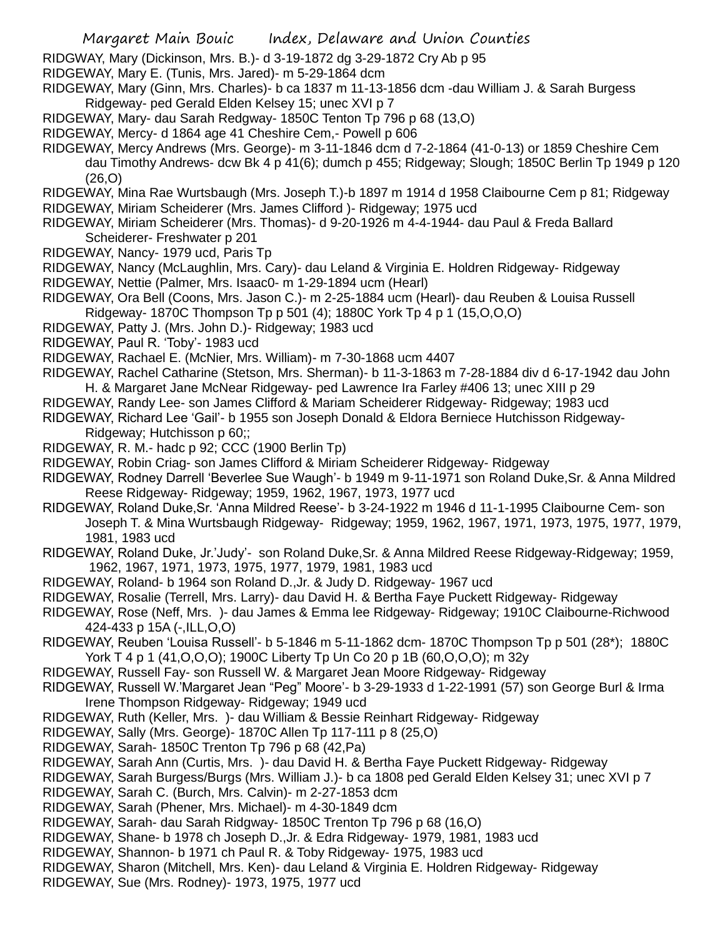- RIDGWAY, Mary (Dickinson, Mrs. B.)- d 3-19-1872 dg 3-29-1872 Cry Ab p 95
- RIDGEWAY, Mary E. (Tunis, Mrs. Jared)- m 5-29-1864 dcm
- RIDGEWAY, Mary (Ginn, Mrs. Charles)- b ca 1837 m 11-13-1856 dcm -dau William J. & Sarah Burgess Ridgeway- ped Gerald Elden Kelsey 15; unec XVI p 7
- RIDGEWAY, Mary- dau Sarah Redgway- 1850C Tenton Tp 796 p 68 (13,O)
- RIDGEWAY, Mercy- d 1864 age 41 Cheshire Cem,- Powell p 606
- RIDGEWAY, Mercy Andrews (Mrs. George)- m 3-11-1846 dcm d 7-2-1864 (41-0-13) or 1859 Cheshire Cem dau Timothy Andrews- dcw Bk 4 p 41(6); dumch p 455; Ridgeway; Slough; 1850C Berlin Tp 1949 p 120 (26,O)
- RIDGEWAY, Mina Rae Wurtsbaugh (Mrs. Joseph T.)-b 1897 m 1914 d 1958 Claibourne Cem p 81; Ridgeway RIDGEWAY, Miriam Scheiderer (Mrs. James Clifford )- Ridgeway; 1975 ucd
- RIDGEWAY, Miriam Scheiderer (Mrs. Thomas)- d 9-20-1926 m 4-4-1944- dau Paul & Freda Ballard Scheiderer- Freshwater p 201
- RIDGEWAY, Nancy- 1979 ucd, Paris Tp
- RIDGEWAY, Nancy (McLaughlin, Mrs. Cary)- dau Leland & Virginia E. Holdren Ridgeway- Ridgeway
- RIDGEWAY, Nettie (Palmer, Mrs. Isaac0- m 1-29-1894 ucm (Hearl)
- RIDGEWAY, Ora Bell (Coons, Mrs. Jason C.)- m 2-25-1884 ucm (Hearl)- dau Reuben & Louisa Russell Ridgeway- 1870C Thompson Tp p 501 (4); 1880C York Tp 4 p 1 (15,O,O,O)
- RIDGEWAY, Patty J. (Mrs. John D.)- Ridgeway; 1983 ucd
- RIDGEWAY, Paul R. 'Toby'- 1983 ucd
- RIDGEWAY, Rachael E. (McNier, Mrs. William)- m 7-30-1868 ucm 4407
- RIDGEWAY, Rachel Catharine (Stetson, Mrs. Sherman)- b 11-3-1863 m 7-28-1884 div d 6-17-1942 dau John H. & Margaret Jane McNear Ridgeway- ped Lawrence Ira Farley #406 13; unec XIII p 29
- RIDGEWAY, Randy Lee- son James Clifford & Mariam Scheiderer Ridgeway- Ridgeway; 1983 ucd
- RIDGEWAY, Richard Lee 'Gail'- b 1955 son Joseph Donald & Eldora Berniece Hutchisson Ridgeway-Ridgeway; Hutchisson p 60;;
- RIDGEWAY, R. M.- hadc p 92; CCC (1900 Berlin Tp)
- RIDGEWAY, Robin Criag- son James Clifford & Miriam Scheiderer Ridgeway- Ridgeway
- RIDGEWAY, Rodney Darrell 'Beverlee Sue Waugh'- b 1949 m 9-11-1971 son Roland Duke,Sr. & Anna Mildred Reese Ridgeway- Ridgeway; 1959, 1962, 1967, 1973, 1977 ucd
- RIDGEWAY, Roland Duke,Sr. 'Anna Mildred Reese'- b 3-24-1922 m 1946 d 11-1-1995 Claibourne Cem- son Joseph T. & Mina Wurtsbaugh Ridgeway- Ridgeway; 1959, 1962, 1967, 1971, 1973, 1975, 1977, 1979, 1981, 1983 ucd
- RIDGEWAY, Roland Duke, Jr.'Judy'- son Roland Duke,Sr. & Anna Mildred Reese Ridgeway-Ridgeway; 1959, 1962, 1967, 1971, 1973, 1975, 1977, 1979, 1981, 1983 ucd
- RIDGEWAY, Roland- b 1964 son Roland D.,Jr. & Judy D. Ridgeway- 1967 ucd
- RIDGEWAY, Rosalie (Terrell, Mrs. Larry)- dau David H. & Bertha Faye Puckett Ridgeway- Ridgeway
- RIDGEWAY, Rose (Neff, Mrs. )- dau James & Emma lee Ridgeway- Ridgeway; 1910C Claibourne-Richwood 424-433 p 15A (-,ILL,O,O)
- RIDGEWAY, Reuben 'Louisa Russell'- b 5-1846 m 5-11-1862 dcm- 1870C Thompson Tp p 501 (28\*); 1880C York T 4 p 1 (41,O,O,O); 1900C Liberty Tp Un Co 20 p 1B (60,O,O,O); m 32y
- RIDGEWAY, Russell Fay- son Russell W. & Margaret Jean Moore Ridgeway- Ridgeway
- RIDGEWAY, Russell W.'Margaret Jean "Peg" Moore'- b 3-29-1933 d 1-22-1991 (57) son George Burl & Irma Irene Thompson Ridgeway- Ridgeway; 1949 ucd
- RIDGEWAY, Ruth (Keller, Mrs. )- dau William & Bessie Reinhart Ridgeway- Ridgeway
- RIDGEWAY, Sally (Mrs. George)- 1870C Allen Tp 117-111 p 8 (25,O)
- RIDGEWAY, Sarah- 1850C Trenton Tp 796 p 68 (42,Pa)
- RIDGEWAY, Sarah Ann (Curtis, Mrs. )- dau David H. & Bertha Faye Puckett Ridgeway- Ridgeway
- RIDGEWAY, Sarah Burgess/Burgs (Mrs. William J.)- b ca 1808 ped Gerald Elden Kelsey 31; unec XVI p 7
- RIDGEWAY, Sarah C. (Burch, Mrs. Calvin)- m 2-27-1853 dcm
- RIDGEWAY, Sarah (Phener, Mrs. Michael)- m 4-30-1849 dcm
- RIDGEWAY, Sarah- dau Sarah Ridgway- 1850C Trenton Tp 796 p 68 (16,O)
- RIDGEWAY, Shane- b 1978 ch Joseph D.,Jr. & Edra Ridgeway- 1979, 1981, 1983 ucd
- RIDGEWAY, Shannon- b 1971 ch Paul R. & Toby Ridgeway- 1975, 1983 ucd
- RIDGEWAY, Sharon (Mitchell, Mrs. Ken)- dau Leland & Virginia E. Holdren Ridgeway- Ridgeway
- RIDGEWAY, Sue (Mrs. Rodney)- 1973, 1975, 1977 ucd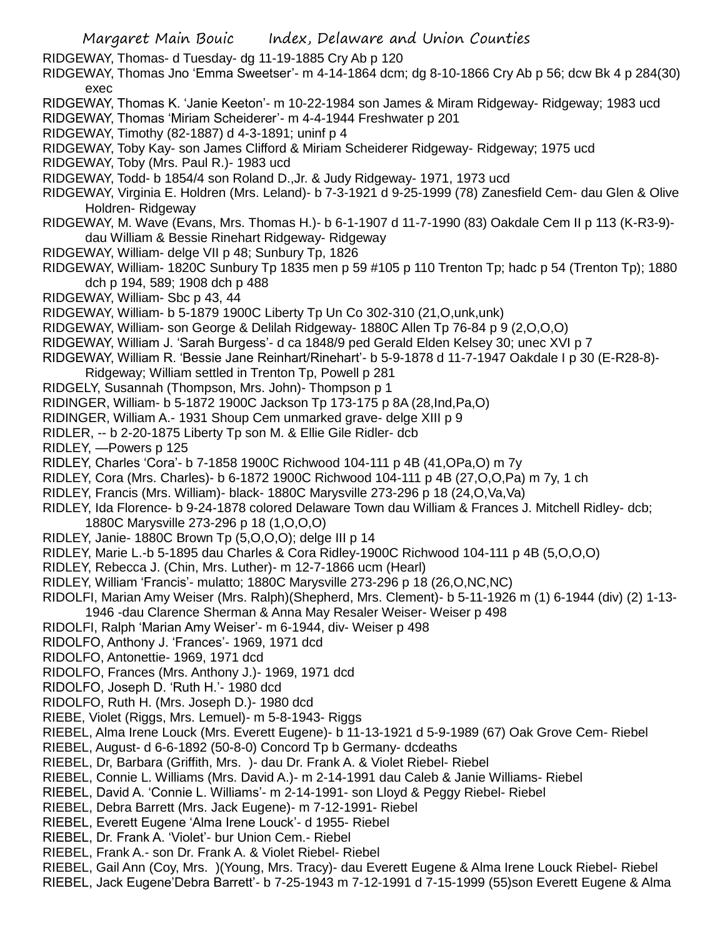- Margaret Main Bouic Index, Delaware and Union Counties
- RIDGEWAY, Thomas- d Tuesday- dg 11-19-1885 Cry Ab p 120
- RIDGEWAY, Thomas Jno 'Emma Sweetser'- m 4-14-1864 dcm; dg 8-10-1866 Cry Ab p 56; dcw Bk 4 p 284(30) exec
- RIDGEWAY, Thomas K. 'Janie Keeton'- m 10-22-1984 son James & Miram Ridgeway- Ridgeway; 1983 ucd
- RIDGEWAY, Thomas 'Miriam Scheiderer'- m 4-4-1944 Freshwater p 201
- RIDGEWAY, Timothy (82-1887) d 4-3-1891; uninf p 4
- RIDGEWAY, Toby Kay- son James Clifford & Miriam Scheiderer Ridgeway- Ridgeway; 1975 ucd
- RIDGEWAY, Toby (Mrs. Paul R.)- 1983 ucd
- RIDGEWAY, Todd- b 1854/4 son Roland D.,Jr. & Judy Ridgeway- 1971, 1973 ucd
- RIDGEWAY, Virginia E. Holdren (Mrs. Leland)- b 7-3-1921 d 9-25-1999 (78) Zanesfield Cem- dau Glen & Olive Holdren- Ridgeway
- RIDGEWAY, M. Wave (Evans, Mrs. Thomas H.)- b 6-1-1907 d 11-7-1990 (83) Oakdale Cem II p 113 (K-R3-9) dau William & Bessie Rinehart Ridgeway- Ridgeway
- RIDGEWAY, William- delge VII p 48; Sunbury Tp, 1826
- RIDGEWAY, William- 1820C Sunbury Tp 1835 men p 59 #105 p 110 Trenton Tp; hadc p 54 (Trenton Tp); 1880 dch p 194, 589; 1908 dch p 488
- RIDGEWAY, William- Sbc p 43, 44
- RIDGEWAY, William- b 5-1879 1900C Liberty Tp Un Co 302-310 (21,O,unk,unk)
- RIDGEWAY, William- son George & Delilah Ridgeway- 1880C Allen Tp 76-84 p 9 (2,O,O,O)
- RIDGEWAY, William J. 'Sarah Burgess'- d ca 1848/9 ped Gerald Elden Kelsey 30; unec XVI p 7
- RIDGEWAY, William R. 'Bessie Jane Reinhart/Rinehart'- b 5-9-1878 d 11-7-1947 Oakdale I p 30 (E-R28-8)-
- Ridgeway; William settled in Trenton Tp, Powell p 281
- RIDGELY, Susannah (Thompson, Mrs. John)- Thompson p 1
- RIDINGER, William- b 5-1872 1900C Jackson Tp 173-175 p 8A (28,Ind,Pa,O)
- RIDINGER, William A.- 1931 Shoup Cem unmarked grave- delge XIII p 9
- RIDLER, -- b 2-20-1875 Liberty Tp son M. & Ellie Gile Ridler- dcb
- RIDLEY, —Powers p 125
- RIDLEY, Charles 'Cora'- b 7-1858 1900C Richwood 104-111 p 4B (41,OPa,O) m 7y
- RIDLEY, Cora (Mrs. Charles)- b 6-1872 1900C Richwood 104-111 p 4B (27,O,O,Pa) m 7y, 1 ch
- RIDLEY, Francis (Mrs. William)- black- 1880C Marysville 273-296 p 18 (24,O,Va,Va)
- RIDLEY, Ida Florence- b 9-24-1878 colored Delaware Town dau William & Frances J. Mitchell Ridley- dcb;
	- 1880C Marysville 273-296 p 18 (1,O,O,O)
- RIDLEY, Janie- 1880C Brown Tp (5,O,O,O); delge III p 14
- RIDLEY, Marie L.-b 5-1895 dau Charles & Cora Ridley-1900C Richwood 104-111 p 4B (5,O,O,O)
- RIDLEY, Rebecca J. (Chin, Mrs. Luther)- m 12-7-1866 ucm (Hearl)
- RIDLEY, William 'Francis'- mulatto; 1880C Marysville 273-296 p 18 (26,O,NC,NC)
- RIDOLFI, Marian Amy Weiser (Mrs. Ralph)(Shepherd, Mrs. Clement)- b 5-11-1926 m (1) 6-1944 (div) (2) 1-13- 1946 -dau Clarence Sherman & Anna May Resaler Weiser- Weiser p 498
- RIDOLFI, Ralph 'Marian Amy Weiser'- m 6-1944, div- Weiser p 498
- RIDOLFO, Anthony J. 'Frances'- 1969, 1971 dcd
- RIDOLFO, Antonettie- 1969, 1971 dcd
- RIDOLFO, Frances (Mrs. Anthony J.)- 1969, 1971 dcd
- RIDOLFO, Joseph D. 'Ruth H.'- 1980 dcd
- RIDOLFO, Ruth H. (Mrs. Joseph D.)- 1980 dcd
- RIEBE, Violet (Riggs, Mrs. Lemuel)- m 5-8-1943- Riggs
- RIEBEL, Alma Irene Louck (Mrs. Everett Eugene)- b 11-13-1921 d 5-9-1989 (67) Oak Grove Cem- Riebel
- RIEBEL, August- d 6-6-1892 (50-8-0) Concord Tp b Germany- dcdeaths
- RIEBEL, Dr, Barbara (Griffith, Mrs. )- dau Dr. Frank A. & Violet Riebel- Riebel
- RIEBEL, Connie L. Williams (Mrs. David A.)- m 2-14-1991 dau Caleb & Janie Williams- Riebel
- RIEBEL, David A. 'Connie L. Williams'- m 2-14-1991- son Lloyd & Peggy Riebel- Riebel
- RIEBEL, Debra Barrett (Mrs. Jack Eugene)- m 7-12-1991- Riebel
- RIEBEL, Everett Eugene 'Alma Irene Louck'- d 1955- Riebel
- RIEBEL, Dr. Frank A. 'Violet'- bur Union Cem.- Riebel
- RIEBEL, Frank A.- son Dr. Frank A. & Violet Riebel- Riebel
- RIEBEL, Gail Ann (Coy, Mrs. )(Young, Mrs. Tracy)- dau Everett Eugene & Alma Irene Louck Riebel- Riebel
- RIEBEL, Jack Eugene'Debra Barrett'- b 7-25-1943 m 7-12-1991 d 7-15-1999 (55)son Everett Eugene & Alma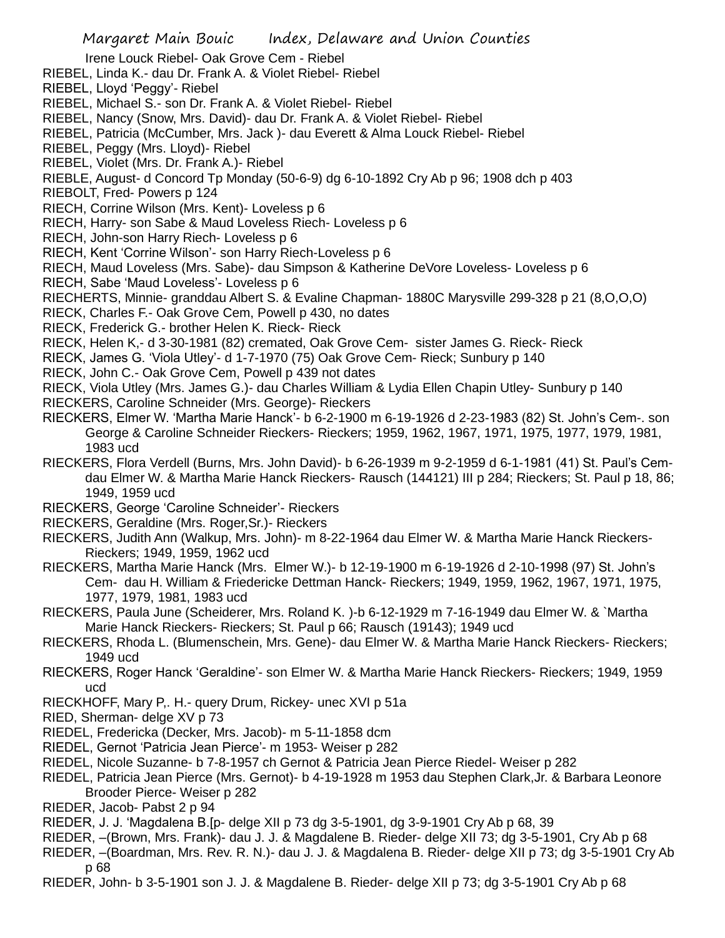Irene Louck Riebel- Oak Grove Cem - Riebel

RIEBEL, Linda K.- dau Dr. Frank A. & Violet Riebel- Riebel

RIEBEL, Lloyd 'Peggy'- Riebel

RIEBEL, Michael S.- son Dr. Frank A. & Violet Riebel- Riebel

RIEBEL, Nancy (Snow, Mrs. David)- dau Dr. Frank A. & Violet Riebel- Riebel

RIEBEL, Patricia (McCumber, Mrs. Jack )- dau Everett & Alma Louck Riebel- Riebel

RIEBEL, Peggy (Mrs. Lloyd)- Riebel

RIEBEL, Violet (Mrs. Dr. Frank A.)- Riebel

RIEBLE, August- d Concord Tp Monday (50-6-9) dg 6-10-1892 Cry Ab p 96; 1908 dch p 403

RIEBOLT, Fred- Powers p 124

RIECH, Corrine Wilson (Mrs. Kent)- Loveless p 6

RIECH, Harry- son Sabe & Maud Loveless Riech- Loveless p 6

RIECH, John-son Harry Riech- Loveless p 6

RIECH, Kent 'Corrine Wilson'- son Harry Riech-Loveless p 6

RIECH, Maud Loveless (Mrs. Sabe)- dau Simpson & Katherine DeVore Loveless- Loveless p 6

RIECH, Sabe 'Maud Loveless'- Loveless p 6

RIECHERTS, Minnie- granddau Albert S. & Evaline Chapman- 1880C Marysville 299-328 p 21 (8,O,O,O)

RIECK, Charles F.- Oak Grove Cem, Powell p 430, no dates

RIECK, Frederick G.- brother Helen K. Rieck- Rieck

RIECK, Helen K,- d 3-30-1981 (82) cremated, Oak Grove Cem- sister James G. Rieck- Rieck

RIECK, James G. 'Viola Utley'- d 1-7-1970 (75) Oak Grove Cem- Rieck; Sunbury p 140

RIECK, John C.- Oak Grove Cem, Powell p 439 not dates

RIECK, Viola Utley (Mrs. James G.)- dau Charles William & Lydia Ellen Chapin Utley- Sunbury p 140

RIECKERS, Caroline Schneider (Mrs. George)- Rieckers

RIECKERS, Elmer W. 'Martha Marie Hanck'- b 6-2-1900 m 6-19-1926 d 2-23-1983 (82) St. John's Cem-. son George & Caroline Schneider Rieckers- Rieckers; 1959, 1962, 1967, 1971, 1975, 1977, 1979, 1981, 1983 ucd

RIECKERS, Flora Verdell (Burns, Mrs. John David)- b 6-26-1939 m 9-2-1959 d 6-1-1981 (41) St. Paul's Cemdau Elmer W. & Martha Marie Hanck Rieckers- Rausch (144121) III p 284; Rieckers; St. Paul p 18, 86: 1949, 1959 ucd

RIECKERS, George 'Caroline Schneider'- Rieckers

RIECKERS, Geraldine (Mrs. Roger,Sr.)- Rieckers

RIECKERS, Judith Ann (Walkup, Mrs. John)- m 8-22-1964 dau Elmer W. & Martha Marie Hanck Rieckers-Rieckers; 1949, 1959, 1962 ucd

RIECKERS, Martha Marie Hanck (Mrs. Elmer W.)- b 12-19-1900 m 6-19-1926 d 2-10-1998 (97) St. John's Cem- dau H. William & Friedericke Dettman Hanck- Rieckers; 1949, 1959, 1962, 1967, 1971, 1975, 1977, 1979, 1981, 1983 ucd

RIECKERS, Paula June (Scheiderer, Mrs. Roland K. )-b 6-12-1929 m 7-16-1949 dau Elmer W. & `Martha Marie Hanck Rieckers- Rieckers; St. Paul p 66; Rausch (19143); 1949 ucd

RIECKERS, Rhoda L. (Blumenschein, Mrs. Gene)- dau Elmer W. & Martha Marie Hanck Rieckers- Rieckers; 1949 ucd

RIECKERS, Roger Hanck 'Geraldine'- son Elmer W. & Martha Marie Hanck Rieckers- Rieckers; 1949, 1959 ucd

RIECKHOFF, Mary P,. H.- query Drum, Rickey- unec XVI p 51a

RIED, Sherman- delge XV p 73

RIEDEL, Fredericka (Decker, Mrs. Jacob)- m 5-11-1858 dcm

RIEDEL, Gernot 'Patricia Jean Pierce'- m 1953- Weiser p 282

RIEDEL, Nicole Suzanne- b 7-8-1957 ch Gernot & Patricia Jean Pierce Riedel- Weiser p 282

RIEDEL, Patricia Jean Pierce (Mrs. Gernot)- b 4-19-1928 m 1953 dau Stephen Clark,Jr. & Barbara Leonore Brooder Pierce- Weiser p 282

RIEDER, Jacob- Pabst 2 p 94

RIEDER, J. J. 'Magdalena B.[p- delge XII p 73 dg 3-5-1901, dg 3-9-1901 Cry Ab p 68, 39

RIEDER, –(Brown, Mrs. Frank)- dau J. J. & Magdalene B. Rieder- delge XII 73; dg 3-5-1901, Cry Ab p 68

RIEDER, –(Boardman, Mrs. Rev. R. N.)- dau J. J. & Magdalena B. Rieder- delge XII p 73; dg 3-5-1901 Cry Ab p 68

RIEDER, John- b 3-5-1901 son J. J. & Magdalene B. Rieder- delge XII p 73; dg 3-5-1901 Cry Ab p 68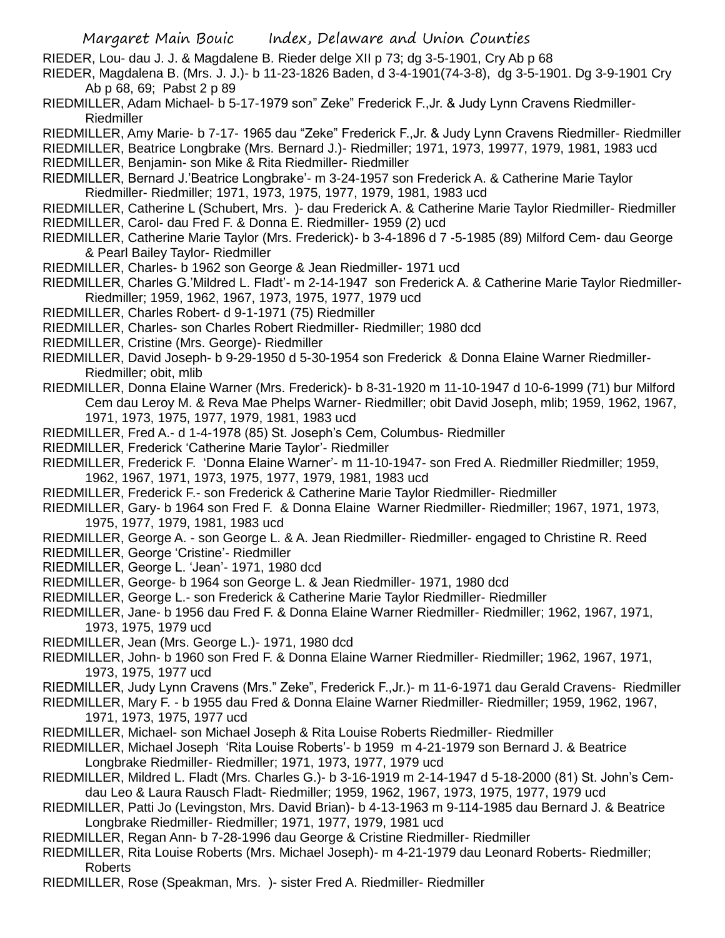- RIEDER, Lou- dau J. J. & Magdalene B. Rieder delge XII p 73; dg 3-5-1901, Cry Ab p 68
- RIEDER, Magdalena B. (Mrs. J. J.)- b 11-23-1826 Baden, d 3-4-1901(74-3-8), dg 3-5-1901. Dg 3-9-1901 Cry Ab p 68, 69; Pabst 2 p 89
- RIEDMILLER, Adam Michael- b 5-17-1979 son" Zeke" Frederick F.,Jr. & Judy Lynn Cravens Riedmiller-Riedmiller
- RIEDMILLER, Amy Marie- b 7-17- 1965 dau "Zeke" Frederick F.,Jr. & Judy Lynn Cravens Riedmiller- Riedmiller
- RIEDMILLER, Beatrice Longbrake (Mrs. Bernard J.)- Riedmiller; 1971, 1973, 19977, 1979, 1981, 1983 ucd
- RIEDMILLER, Benjamin- son Mike & Rita Riedmiller- Riedmiller
- RIEDMILLER, Bernard J.'Beatrice Longbrake'- m 3-24-1957 son Frederick A. & Catherine Marie Taylor Riedmiller- Riedmiller; 1971, 1973, 1975, 1977, 1979, 1981, 1983 ucd
- RIEDMILLER, Catherine L (Schubert, Mrs. )- dau Frederick A. & Catherine Marie Taylor Riedmiller- Riedmiller RIEDMILLER, Carol- dau Fred F. & Donna E. Riedmiller- 1959 (2) ucd
- RIEDMILLER, Catherine Marie Taylor (Mrs. Frederick)- b 3-4-1896 d 7 -5-1985 (89) Milford Cem- dau George & Pearl Bailey Taylor- Riedmiller
- RIEDMILLER, Charles- b 1962 son George & Jean Riedmiller- 1971 ucd
- RIEDMILLER, Charles G.'Mildred L. Fladt'- m 2-14-1947 son Frederick A. & Catherine Marie Taylor Riedmiller-Riedmiller; 1959, 1962, 1967, 1973, 1975, 1977, 1979 ucd
- RIEDMILLER, Charles Robert- d 9-1-1971 (75) Riedmiller
- RIEDMILLER, Charles- son Charles Robert Riedmiller- Riedmiller; 1980 dcd
- RIEDMILLER, Cristine (Mrs. George)- Riedmiller
- RIEDMILLER, David Joseph- b 9-29-1950 d 5-30-1954 son Frederick & Donna Elaine Warner Riedmiller-Riedmiller; obit, mlib
- RIEDMILLER, Donna Elaine Warner (Mrs. Frederick)- b 8-31-1920 m 11-10-1947 d 10-6-1999 (71) bur Milford Cem dau Leroy M. & Reva Mae Phelps Warner- Riedmiller; obit David Joseph, mlib; 1959, 1962, 1967, 1971, 1973, 1975, 1977, 1979, 1981, 1983 ucd
- RIEDMILLER, Fred A.- d 1-4-1978 (85) St. Joseph's Cem, Columbus- Riedmiller
- RIEDMILLER, Frederick 'Catherine Marie Taylor'- Riedmiller
- RIEDMILLER, Frederick F. 'Donna Elaine Warner'- m 11-10-1947- son Fred A. Riedmiller Riedmiller; 1959, 1962, 1967, 1971, 1973, 1975, 1977, 1979, 1981, 1983 ucd
- RIEDMILLER, Frederick F.- son Frederick & Catherine Marie Taylor Riedmiller- Riedmiller
- RIEDMILLER, Gary- b 1964 son Fred F. & Donna Elaine Warner Riedmiller- Riedmiller; 1967, 1971, 1973, 1975, 1977, 1979, 1981, 1983 ucd
- RIEDMILLER, George A. son George L. & A. Jean Riedmiller- Riedmiller- engaged to Christine R. Reed
- RIEDMILLER, George 'Cristine'- Riedmiller
- RIEDMILLER, George L. 'Jean'- 1971, 1980 dcd
- RIEDMILLER, George- b 1964 son George L. & Jean Riedmiller- 1971, 1980 dcd
- RIEDMILLER, George L.- son Frederick & Catherine Marie Taylor Riedmiller- Riedmiller
- RIEDMILLER, Jane- b 1956 dau Fred F. & Donna Elaine Warner Riedmiller- Riedmiller; 1962, 1967, 1971, 1973, 1975, 1979 ucd
- RIEDMILLER, Jean (Mrs. George L.)- 1971, 1980 dcd
- RIEDMILLER, John- b 1960 son Fred F. & Donna Elaine Warner Riedmiller- Riedmiller; 1962, 1967, 1971, 1973, 1975, 1977 ucd
- RIEDMILLER, Judy Lynn Cravens (Mrs." Zeke", Frederick F.,Jr.)- m 11-6-1971 dau Gerald Cravens- Riedmiller
- RIEDMILLER, Mary F. b 1955 dau Fred & Donna Elaine Warner Riedmiller- Riedmiller; 1959, 1962, 1967, 1971, 1973, 1975, 1977 ucd
- RIEDMILLER, Michael- son Michael Joseph & Rita Louise Roberts Riedmiller- Riedmiller
- RIEDMILLER, Michael Joseph 'Rita Louise Roberts'- b 1959 m 4-21-1979 son Bernard J. & Beatrice Longbrake Riedmiller- Riedmiller; 1971, 1973, 1977, 1979 ucd
- RIEDMILLER, Mildred L. Fladt (Mrs. Charles G.)- b 3-16-1919 m 2-14-1947 d 5-18-2000 (81) St. John's Cemdau Leo & Laura Rausch Fladt- Riedmiller; 1959, 1962, 1967, 1973, 1975, 1977, 1979 ucd
- RIEDMILLER, Patti Jo (Levingston, Mrs. David Brian)- b 4-13-1963 m 9-114-1985 dau Bernard J. & Beatrice Longbrake Riedmiller- Riedmiller; 1971, 1977, 1979, 1981 ucd
- RIEDMILLER, Regan Ann- b 7-28-1996 dau George & Cristine Riedmiller- Riedmiller
- RIEDMILLER, Rita Louise Roberts (Mrs. Michael Joseph)- m 4-21-1979 dau Leonard Roberts- Riedmiller; Roberts
- RIEDMILLER, Rose (Speakman, Mrs. )- sister Fred A. Riedmiller- Riedmiller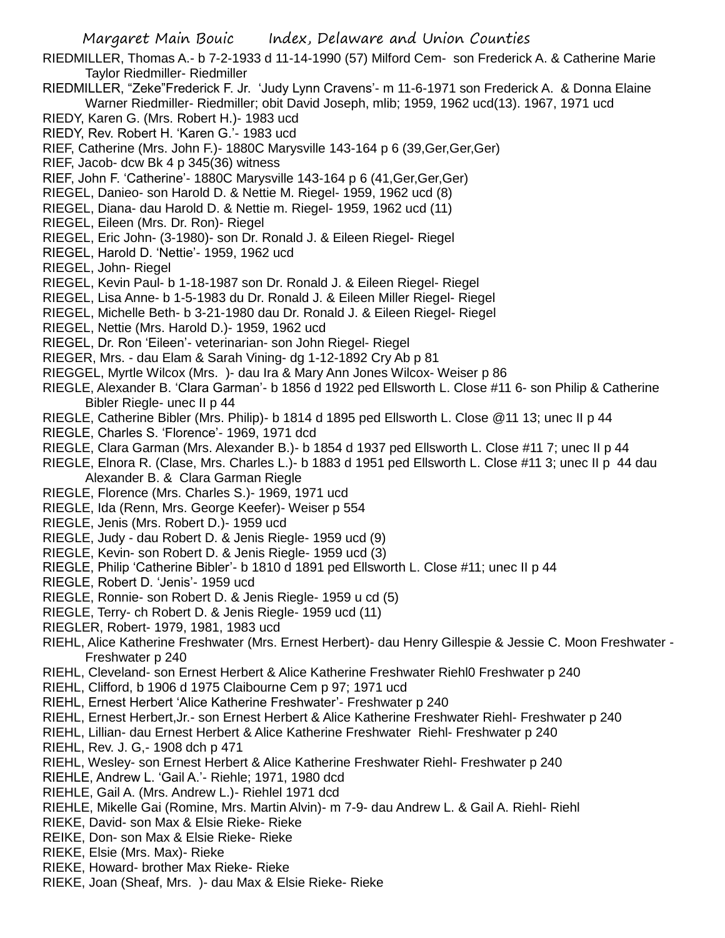Margaret Main Bouic Index, Delaware and Union Counties RIEDMILLER, Thomas A.- b 7-2-1933 d 11-14-1990 (57) Milford Cem- son Frederick A. & Catherine Marie Taylor Riedmiller- Riedmiller RIEDMILLER, "Zeke"Frederick F. Jr. 'Judy Lynn Cravens'- m 11-6-1971 son Frederick A. & Donna Elaine Warner Riedmiller- Riedmiller; obit David Joseph, mlib; 1959, 1962 ucd(13). 1967, 1971 ucd RIEDY, Karen G. (Mrs. Robert H.)- 1983 ucd RIEDY, Rev. Robert H. 'Karen G.'- 1983 ucd RIEF, Catherine (Mrs. John F.)- 1880C Marysville 143-164 p 6 (39,Ger,Ger,Ger) RIEF, Jacob- dcw Bk 4 p 345(36) witness RIEF, John F. 'Catherine'- 1880C Marysville 143-164 p 6 (41,Ger,Ger,Ger) RIEGEL, Danieo- son Harold D. & Nettie M. Riegel- 1959, 1962 ucd (8) RIEGEL, Diana- dau Harold D. & Nettie m. Riegel- 1959, 1962 ucd (11) RIEGEL, Eileen (Mrs. Dr. Ron)- Riegel RIEGEL, Eric John- (3-1980)- son Dr. Ronald J. & Eileen Riegel- Riegel RIEGEL, Harold D. 'Nettie'- 1959, 1962 ucd RIEGEL, John- Riegel RIEGEL, Kevin Paul- b 1-18-1987 son Dr. Ronald J. & Eileen Riegel- Riegel RIEGEL, Lisa Anne- b 1-5-1983 du Dr. Ronald J. & Eileen Miller Riegel- Riegel RIEGEL, Michelle Beth- b 3-21-1980 dau Dr. Ronald J. & Eileen Riegel- Riegel RIEGEL, Nettie (Mrs. Harold D.)- 1959, 1962 ucd RIEGEL, Dr. Ron 'Eileen'- veterinarian- son John Riegel- Riegel RIEGER, Mrs. - dau Elam & Sarah Vining- dg 1-12-1892 Cry Ab p 81 RIEGGEL, Myrtle Wilcox (Mrs. )- dau Ira & Mary Ann Jones Wilcox- Weiser p 86 RIEGLE, Alexander B. 'Clara Garman'- b 1856 d 1922 ped Ellsworth L. Close #11 6- son Philip & Catherine Bibler Riegle- unec II p 44 RIEGLE, Catherine Bibler (Mrs. Philip)- b 1814 d 1895 ped Ellsworth L. Close @11 13; unec II p 44 RIEGLE, Charles S. 'Florence'- 1969, 1971 dcd RIEGLE, Clara Garman (Mrs. Alexander B.)- b 1854 d 1937 ped Ellsworth L. Close #11 7; unec II p 44 RIEGLE, Elnora R. (Clase, Mrs. Charles L.)- b 1883 d 1951 ped Ellsworth L. Close #11 3; unec II p 44 dau Alexander B. & Clara Garman Riegle RIEGLE, Florence (Mrs. Charles S.)- 1969, 1971 ucd RIEGLE, Ida (Renn, Mrs. George Keefer)- Weiser p 554 RIEGLE, Jenis (Mrs. Robert D.)- 1959 ucd RIEGLE, Judy - dau Robert D. & Jenis Riegle- 1959 ucd (9) RIEGLE, Kevin- son Robert D. & Jenis Riegle- 1959 ucd (3) RIEGLE, Philip 'Catherine Bibler'- b 1810 d 1891 ped Ellsworth L. Close #11; unec II p 44 RIEGLE, Robert D. 'Jenis'- 1959 ucd RIEGLE, Ronnie- son Robert D. & Jenis Riegle- 1959 u cd (5) RIEGLE, Terry- ch Robert D. & Jenis Riegle- 1959 ucd (11) RIEGLER, Robert- 1979, 1981, 1983 ucd RIEHL, Alice Katherine Freshwater (Mrs. Ernest Herbert)- dau Henry Gillespie & Jessie C. Moon Freshwater - Freshwater p 240 RIEHL, Cleveland- son Ernest Herbert & Alice Katherine Freshwater Riehl0 Freshwater p 240 RIEHL, Clifford, b 1906 d 1975 Claibourne Cem p 97; 1971 ucd RIEHL, Ernest Herbert 'Alice Katherine Freshwater'- Freshwater p 240 RIEHL, Ernest Herbert,Jr.- son Ernest Herbert & Alice Katherine Freshwater Riehl- Freshwater p 240 RIEHL, Lillian- dau Ernest Herbert & Alice Katherine Freshwater Riehl- Freshwater p 240 RIEHL, Rev. J. G,- 1908 dch p 471 RIEHL, Wesley- son Ernest Herbert & Alice Katherine Freshwater Riehl- Freshwater p 240 RIEHLE, Andrew L. 'Gail A.'- Riehle; 1971, 1980 dcd RIEHLE, Gail A. (Mrs. Andrew L.)- Riehlel 1971 dcd

- RIEHLE, Mikelle Gai (Romine, Mrs. Martin Alvin)- m 7-9- dau Andrew L. & Gail A. Riehl- Riehl
- RIEKE, David- son Max & Elsie Rieke- Rieke
- REIKE, Don- son Max & Elsie Rieke- Rieke
- RIEKE, Elsie (Mrs. Max)- Rieke
- RIEKE, Howard- brother Max Rieke- Rieke
- RIEKE, Joan (Sheaf, Mrs. )- dau Max & Elsie Rieke- Rieke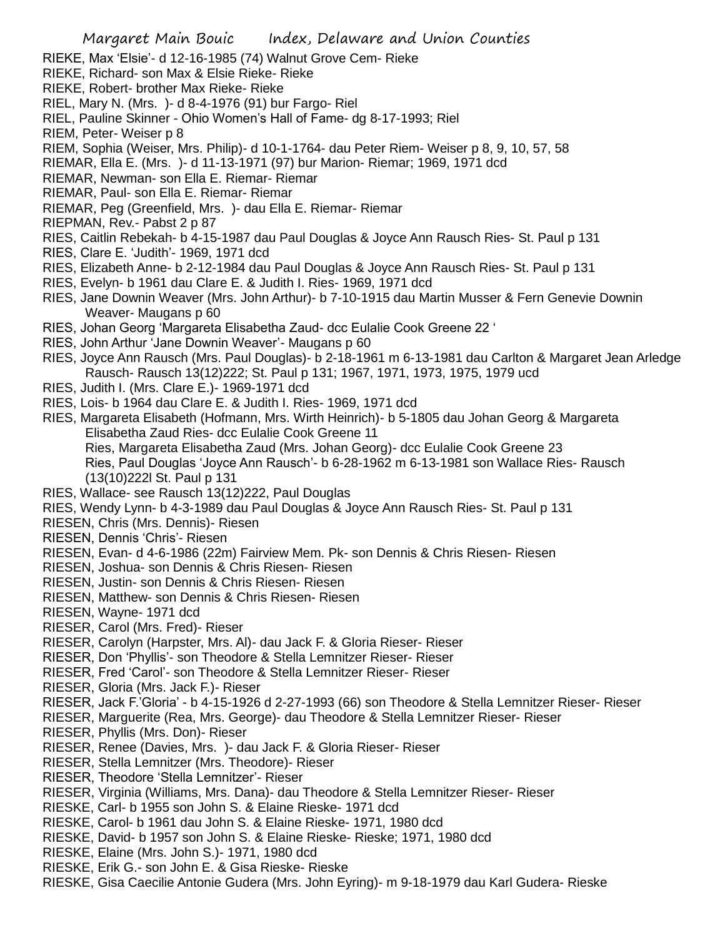- RIEKE, Max 'Elsie'- d 12-16-1985 (74) Walnut Grove Cem- Rieke
- RIEKE, Richard- son Max & Elsie Rieke- Rieke
- RIEKE, Robert- brother Max Rieke- Rieke
- RIEL, Mary N. (Mrs. )- d 8-4-1976 (91) bur Fargo- Riel
- RIEL, Pauline Skinner Ohio Women's Hall of Fame- dg 8-17-1993; Riel
- RIEM, Peter- Weiser p 8
- RIEM, Sophia (Weiser, Mrs. Philip)- d 10-1-1764- dau Peter Riem- Weiser p 8, 9, 10, 57, 58
- RIEMAR, Ella E. (Mrs. )- d 11-13-1971 (97) bur Marion- Riemar; 1969, 1971 dcd
- RIEMAR, Newman- son Ella E. Riemar- Riemar
- RIEMAR, Paul- son Ella E. Riemar- Riemar
- RIEMAR, Peg (Greenfield, Mrs. )- dau Ella E. Riemar- Riemar
- RIEPMAN, Rev.- Pabst 2 p 87
- RIES, Caitlin Rebekah- b 4-15-1987 dau Paul Douglas & Joyce Ann Rausch Ries- St. Paul p 131
- RIES, Clare E. 'Judith'- 1969, 1971 dcd
- RIES, Elizabeth Anne- b 2-12-1984 dau Paul Douglas & Joyce Ann Rausch Ries- St. Paul p 131
- RIES, Evelyn- b 1961 dau Clare E. & Judith I. Ries- 1969, 1971 dcd
- RIES, Jane Downin Weaver (Mrs. John Arthur)- b 7-10-1915 dau Martin Musser & Fern Genevie Downin Weaver- Maugans p 60
- RIES, Johan Georg 'Margareta Elisabetha Zaud- dcc Eulalie Cook Greene 22 '
- RIES, John Arthur 'Jane Downin Weaver'- Maugans p 60
- RIES, Joyce Ann Rausch (Mrs. Paul Douglas)- b 2-18-1961 m 6-13-1981 dau Carlton & Margaret Jean Arledge Rausch- Rausch 13(12)222; St. Paul p 131; 1967, 1971, 1973, 1975, 1979 ucd
- RIES, Judith I. (Mrs. Clare E.)- 1969-1971 dcd
- RIES, Lois- b 1964 dau Clare E. & Judith I. Ries- 1969, 1971 dcd
- RIES, Margareta Elisabeth (Hofmann, Mrs. Wirth Heinrich)- b 5-1805 dau Johan Georg & Margareta Elisabetha Zaud Ries- dcc Eulalie Cook Greene 11 Ries, Margareta Elisabetha Zaud (Mrs. Johan Georg)- dcc Eulalie Cook Greene 23 Ries, Paul Douglas 'Joyce Ann Rausch'- b 6-28-1962 m 6-13-1981 son Wallace Ries- Rausch (13(10)222l St. Paul p 131
- RIES, Wallace- see Rausch 13(12)222, Paul Douglas
- RIES, Wendy Lynn- b 4-3-1989 dau Paul Douglas & Joyce Ann Rausch Ries- St. Paul p 131
- RIESEN, Chris (Mrs. Dennis)- Riesen
- RIESEN, Dennis 'Chris'- Riesen
- RIESEN, Evan- d 4-6-1986 (22m) Fairview Mem. Pk- son Dennis & Chris Riesen- Riesen
- RIESEN, Joshua- son Dennis & Chris Riesen- Riesen
- RIESEN, Justin- son Dennis & Chris Riesen- Riesen
- RIESEN, Matthew- son Dennis & Chris Riesen- Riesen
- RIESEN, Wayne- 1971 dcd
- RIESER, Carol (Mrs. Fred)- Rieser
- RIESER, Carolyn (Harpster, Mrs. Al)- dau Jack F. & Gloria Rieser- Rieser
- RIESER, Don 'Phyllis'- son Theodore & Stella Lemnitzer Rieser- Rieser
- RIESER, Fred 'Carol'- son Theodore & Stella Lemnitzer Rieser- Rieser
- RIESER, Gloria (Mrs. Jack F.)- Rieser
- RIESER, Jack F.'Gloria' b 4-15-1926 d 2-27-1993 (66) son Theodore & Stella Lemnitzer Rieser- Rieser
- RIESER, Marguerite (Rea, Mrs. George)- dau Theodore & Stella Lemnitzer Rieser- Rieser
- RIESER, Phyllis (Mrs. Don)- Rieser
- RIESER, Renee (Davies, Mrs. )- dau Jack F. & Gloria Rieser- Rieser
- RIESER, Stella Lemnitzer (Mrs. Theodore)- Rieser
- RIESER, Theodore 'Stella Lemnitzer'- Rieser
- RIESER, Virginia (Williams, Mrs. Dana)- dau Theodore & Stella Lemnitzer Rieser- Rieser
- RIESKE, Carl- b 1955 son John S. & Elaine Rieske- 1971 dcd
- RIESKE, Carol- b 1961 dau John S. & Elaine Rieske- 1971, 1980 dcd
- RIESKE, David- b 1957 son John S. & Elaine Rieske- Rieske; 1971, 1980 dcd
- RIESKE, Elaine (Mrs. John S.)- 1971, 1980 dcd
- RIESKE, Erik G.- son John E. & Gisa Rieske- Rieske
- RIESKE, Gisa Caecilie Antonie Gudera (Mrs. John Eyring)- m 9-18-1979 dau Karl Gudera- Rieske